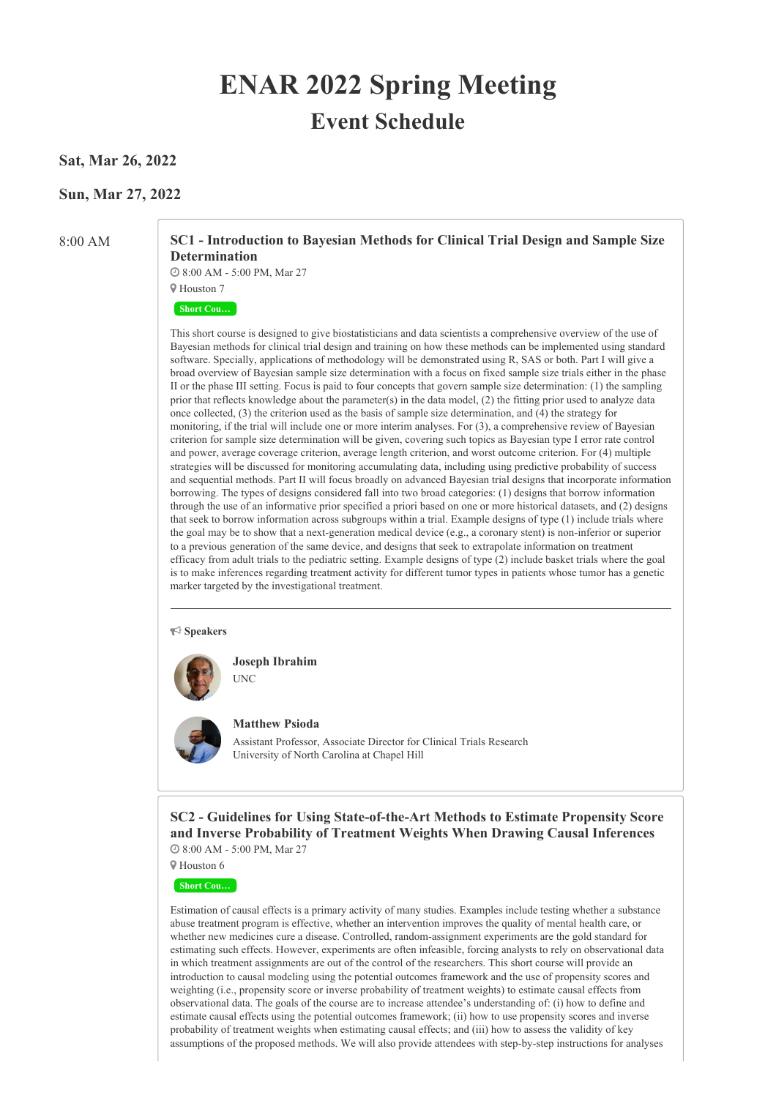# **ENAR 2022 Spring Meeting Event Schedule**

# **Sat, Mar 26, 2022**

# **Sun, Mar 27, 2022**

8:00 AM **SC1 - Introduction to Bayesian Methods for Clinical Trial Design and Sample Size Determination**

> 8:00 AM - 5:00 PM, Mar 27 Houston 7

#### **Short Cou…**

This short course is designed to give biostatisticians and data scientists a comprehensive overview of the use of Bayesian methods for clinical trial design and training on how these methods can be implemented using standard software. Specially, applications of methodology will be demonstrated using R, SAS or both. Part I will give a broad overview of Bayesian sample size determination with a focus on fixed sample size trials either in the phase II or the phase III setting. Focus is paid to four concepts that govern sample size determination: (1) the sampling prior that reflects knowledge about the parameter(s) in the data model, (2) the fitting prior used to analyze data once collected, (3) the criterion used as the basis of sample size determination, and (4) the strategy for monitoring, if the trial will include one or more interim analyses. For (3), a comprehensive review of Bayesian criterion for sample size determination will be given, covering such topics as Bayesian type I error rate control and power, average coverage criterion, average length criterion, and worst outcome criterion. For (4) multiple strategies will be discussed for monitoring accumulating data, including using predictive probability of success and sequential methods. Part II will focus broadly on advanced Bayesian trial designs that incorporate information borrowing. The types of designs considered fall into two broad categories: (1) designs that borrow information through the use of an informative prior specified a priori based on one or more historical datasets, and (2) designs that seek to borrow information across subgroups within a trial. Example designs of type (1) include trials where the goal may be to show that a next-generation medical device (e.g., a coronary stent) is non-inferior or superior to a previous generation of the same device, and designs that seek to extrapolate information on treatment efficacy from adult trials to the pediatric setting. Example designs of type (2) include basket trials where the goal is to make inferences regarding treatment activity for different tumor types in patients whose tumor has a genetic marker targeted by the investigational treatment.

#### **Speakers**



**Joseph Ibrahim** UNC



**Matthew Psioda**

Assistant Professor, Associate Director for Clinical Trials Research University of North Carolina at Chapel Hill

**SC2 - Guidelines for Using State-of-the-Art Methods to Estimate Propensity Score and Inverse Probability of Treatment Weights When Drawing Causal Inferences** 8:00 AM - 5:00 PM, Mar 27

Houston 6

**Short Cou…**

Estimation of causal effects is a primary activity of many studies. Examples include testing whether a substance abuse treatment program is effective, whether an intervention improves the quality of mental health care, or whether new medicines cure a disease. Controlled, random-assignment experiments are the gold standard for estimating such effects. However, experiments are often infeasible, forcing analysts to rely on observational data in which treatment assignments are out of the control of the researchers. This short course will provide an introduction to causal modeling using the potential outcomes framework and the use of propensity scores and weighting (i.e., propensity score or inverse probability of treatment weights) to estimate causal effects from observational data. The goals of the course are to increase attendee's understanding of: (i) how to define and estimate causal effects using the potential outcomes framework; (ii) how to use propensity scores and inverse probability of treatment weights when estimating causal effects; and (iii) how to assess the validity of key assumptions of the proposed methods. We will also provide attendees with step-by-step instructions for analyses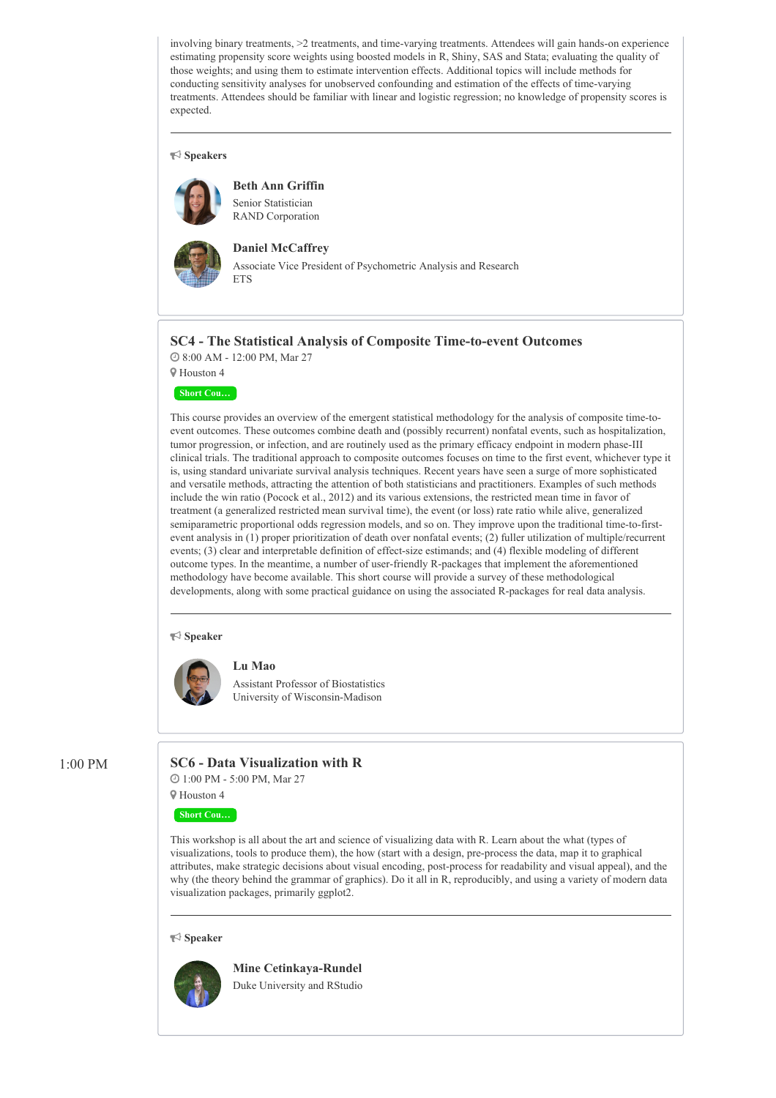involving binary treatments, >2 treatments, and time-varying treatments. Attendees will gain hands-on experience estimating propensity score weights using boosted models in R, Shiny, SAS and Stata; evaluating the quality of those weights; and using them to estimate intervention effects. Additional topics will include methods for conducting sensitivity analyses for unobserved confounding and estimation of the effects of time-varying treatments. Attendees should be familiar with linear and logistic regression; no knowledge of propensity scores is expected.

#### **Speakers**



#### **Beth Ann Griffin**

Senior Statistician RAND Corporation



### **Daniel McCaffrey**

Associate Vice President of Psychometric Analysis and Research **ETS** 

# **SC4 - The Statistical Analysis of Composite Time-to-event Outcomes**

8:00 AM - 12:00 PM, Mar 27





This course provides an overview of the emergent statistical methodology for the analysis of composite time-toevent outcomes. These outcomes combine death and (possibly recurrent) nonfatal events, such as hospitalization, tumor progression, or infection, and are routinely used as the primary efficacy endpoint in modern phase-III clinical trials. The traditional approach to composite outcomes focuses on time to the first event, whichever type it is, using standard univariate survival analysis techniques. Recent years have seen a surge of more sophisticated and versatile methods, attracting the attention of both statisticians and practitioners. Examples of such methods include the win ratio (Pocock et al., 2012) and its various extensions, the restricted mean time in favor of treatment (a generalized restricted mean survival time), the event (or loss) rate ratio while alive, generalized semiparametric proportional odds regression models, and so on. They improve upon the traditional time-to-firstevent analysis in (1) proper prioritization of death over nonfatal events; (2) fuller utilization of multiple/recurrent events; (3) clear and interpretable definition of effect-size estimands; and (4) flexible modeling of different outcome types. In the meantime, a number of user-friendly R-packages that implement the aforementioned methodology have become available. This short course will provide a survey of these methodological developments, along with some practical guidance on using the associated R-packages for real data analysis.

#### **Speaker**



Assistant Professor of Biostatistics University of Wisconsin-Madison

# 1:00 PM **SC6 - Data Visualization with R**

**Lu Mao**

 1:00 PM - 5:00 PM, Mar 27 Houston 4

#### **Short Cou…**

This workshop is all about the art and science of visualizing data with R. Learn about the what (types of visualizations, tools to produce them), the how (start with a design, pre-process the data, map it to graphical attributes, make strategic decisions about visual encoding, post-process for readability and visual appeal), and the why (the theory behind the grammar of graphics). Do it all in R, reproducibly, and using a variety of modern data visualization packages, primarily ggplot2.

#### **Speaker**



**Mine Cetinkaya-Rundel** Duke University and RStudio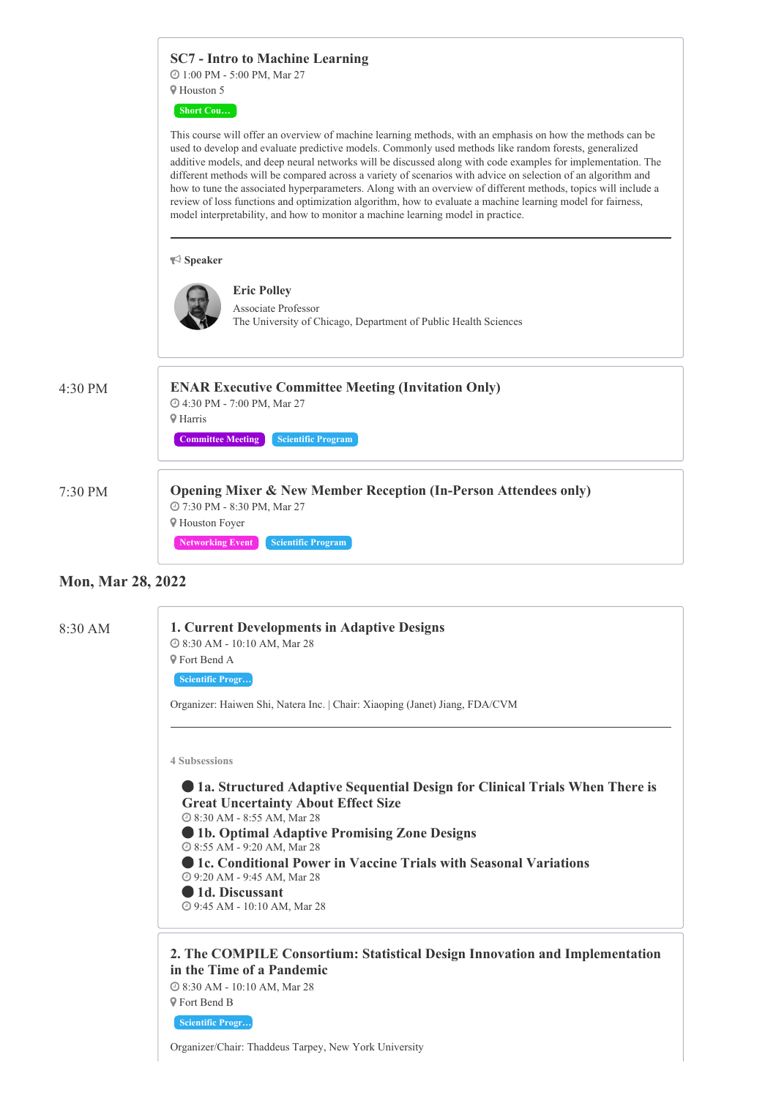|         | <b>SC7</b> - Intro to Machine Learning                                                                                                                                                                                                                                                                                                                                                                                                                                                                                                                                                                                                                                                                                                                                     |
|---------|----------------------------------------------------------------------------------------------------------------------------------------------------------------------------------------------------------------------------------------------------------------------------------------------------------------------------------------------------------------------------------------------------------------------------------------------------------------------------------------------------------------------------------------------------------------------------------------------------------------------------------------------------------------------------------------------------------------------------------------------------------------------------|
|         | <b>@</b> 1:00 PM - 5:00 PM, Mar 27                                                                                                                                                                                                                                                                                                                                                                                                                                                                                                                                                                                                                                                                                                                                         |
|         | <b>9</b> Houston 5                                                                                                                                                                                                                                                                                                                                                                                                                                                                                                                                                                                                                                                                                                                                                         |
|         | <b>Short Cou</b>                                                                                                                                                                                                                                                                                                                                                                                                                                                                                                                                                                                                                                                                                                                                                           |
|         | This course will offer an overview of machine learning methods, with an emphasis on how the methods can be<br>used to develop and evaluate predictive models. Commonly used methods like random forests, generalized<br>additive models, and deep neural networks will be discussed along with code examples for implementation. The<br>different methods will be compared across a variety of scenarios with advice on selection of an algorithm and<br>how to tune the associated hyperparameters. Along with an overview of different methods, topics will include a<br>review of loss functions and optimization algorithm, how to evaluate a machine learning model for fairness,<br>model interpretability, and how to monitor a machine learning model in practice. |
|         | $\blacktriangleright$ Speaker                                                                                                                                                                                                                                                                                                                                                                                                                                                                                                                                                                                                                                                                                                                                              |
|         | <b>Eric Polley</b><br><b>Associate Professor</b><br>The University of Chicago, Department of Public Health Sciences                                                                                                                                                                                                                                                                                                                                                                                                                                                                                                                                                                                                                                                        |
| 4:30 PM | <b>ENAR Executive Committee Meeting (Invitation Only)</b><br>@ 4:30 PM - 7:00 PM, Mar 27                                                                                                                                                                                                                                                                                                                                                                                                                                                                                                                                                                                                                                                                                   |
|         | <b>9 Harris</b>                                                                                                                                                                                                                                                                                                                                                                                                                                                                                                                                                                                                                                                                                                                                                            |
|         | <b>Scientific Program</b><br><b>Committee Meeting</b>                                                                                                                                                                                                                                                                                                                                                                                                                                                                                                                                                                                                                                                                                                                      |
|         | <b>Opening Mixer &amp; New Member Reception (In-Person Attendees only)</b>                                                                                                                                                                                                                                                                                                                                                                                                                                                                                                                                                                                                                                                                                                 |
| 7:30 PM | @ 7:30 PM - 8:30 PM, Mar 27<br><b>V</b> Houston Foyer                                                                                                                                                                                                                                                                                                                                                                                                                                                                                                                                                                                                                                                                                                                      |
|         | <b>Scientific Program</b><br><b>Networking Event</b>                                                                                                                                                                                                                                                                                                                                                                                                                                                                                                                                                                                                                                                                                                                       |

# **Mon, Mar 28, 2022**

| 8:30 AM | 1. Current Developments in Adaptive Designs<br>@ 8:30 AM - 10:10 AM, Mar 28<br><b>9</b> Fort Bend A<br>Scientific Progr<br>Organizer: Haiwen Shi, Natera Inc.   Chair: Xiaoping (Janet) Jiang, FDA/CVM                                                                                                                                                                                                     |  |  |  |  |
|---------|------------------------------------------------------------------------------------------------------------------------------------------------------------------------------------------------------------------------------------------------------------------------------------------------------------------------------------------------------------------------------------------------------------|--|--|--|--|
|         | <b>4 Subsessions</b>                                                                                                                                                                                                                                                                                                                                                                                       |  |  |  |  |
|         | <b>Ia. Structured Adaptive Sequential Design for Clinical Trials When There is</b><br><b>Great Uncertainty About Effect Size</b><br>@ 8:30 AM - 8:55 AM, Mar 28<br>Ib. Optimal Adaptive Promising Zone Designs<br>@ 8:55 AM - 9:20 AM, Mar 28<br><b>• 1c. Conditional Power in Vaccine Trials with Seasonal Variations</b><br>29:20 AM - 9:45 AM, Mar 28<br>ld. Discussant<br>@ 9:45 AM - 10:10 AM, Mar 28 |  |  |  |  |
|         | 2. The COMPILE Consortium: Statistical Design Innovation and Implementation<br>in the Time of a Pandemic<br>@ 8:30 AM - 10:10 AM, Mar 28<br><b>9</b> Fort Bend B<br>Scientific Progr<br>Organizer/Chair: Thaddeus Tarpey, New York University                                                                                                                                                              |  |  |  |  |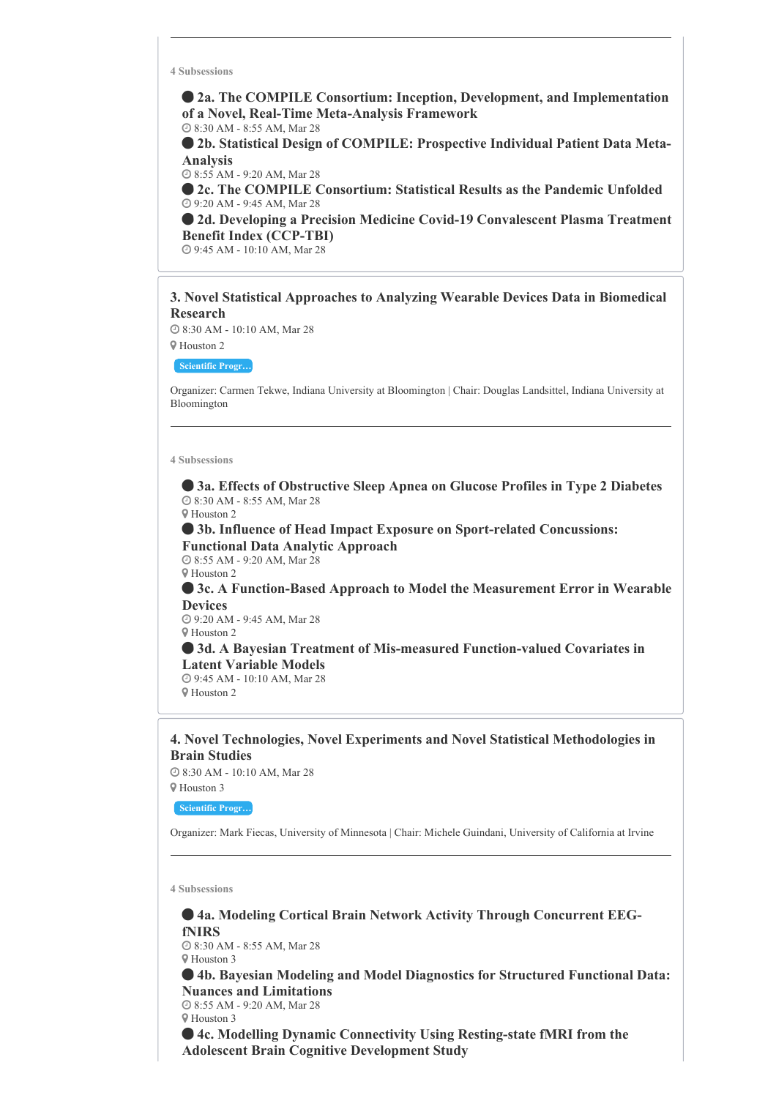**2a. The COMPILE Consortium: Inception, Development, and Implementation of a Novel, Real-Time Meta-Analysis Framework**

8:30 AM - 8:55 AM, Mar 28

 **2b. Statistical Design of COMPILE: Prospective Individual Patient Data Meta-Analysis**

8:55 AM - 9:20 AM, Mar 28

 **2c. The COMPILE Consortium: Statistical Results as the Pandemic Unfolded** 9:20 AM - 9:45 AM, Mar 28

 **2d. Developing a Precision Medicine Covid-19 Convalescent Plasma Treatment Benefit Index (CCP-TBI)**

9:45 AM - 10:10 AM, Mar 28

# **3. Novel Statistical Approaches to Analyzing Wearable Devices Data in Biomedical Research**

 8:30 AM - 10:10 AM, Mar 28 Houston 2

**Scientific Progr…**

Organizer: Carmen Tekwe, Indiana University at Bloomington | Chair: Douglas Landsittel, Indiana University at Bloomington

#### **4 Subsessions**

 **3a. Effects of Obstructive Sleep Apnea on Glucose Profiles in Type 2 Diabetes** 8:30 AM - 8:55 AM, Mar 28 Houston 2

 **3b. Influence of Head Impact Exposure on Sport-related Concussions: Functional Data Analytic Approach**

 8:55 AM - 9:20 AM, Mar 28 Houston 2

 **3c. A Function-Based Approach to Model the Measurement Error in Wearable Devices**

 9:20 AM - 9:45 AM, Mar 28 Houston 2

 **3d. A Bayesian Treatment of Mis-measured Function-valued Covariates in Latent Variable Models**

 9:45 AM - 10:10 AM, Mar 28 Houston 2

# **4. Novel Technologies, Novel Experiments and Novel Statistical Methodologies in Brain Studies**

8:30 AM - 10:10 AM, Mar 28

Houston 3

**Scientific Progr…**

Organizer: Mark Fiecas, University of Minnesota | Chair: Michele Guindani, University of California at Irvine

**4 Subsessions**

 **4a. Modeling Cortical Brain Network Activity Through Concurrent EEGfNIRS**

 8:30 AM - 8:55 AM, Mar 28 Houston 3

 **4b. Bayesian Modeling and Model Diagnostics for Structured Functional Data: Nuances and Limitations**

 8:55 AM - 9:20 AM, Mar 28 Houston 3

 **4c. Modelling Dynamic Connectivity Using Resting-state fMRI from the Adolescent Brain Cognitive Development Study**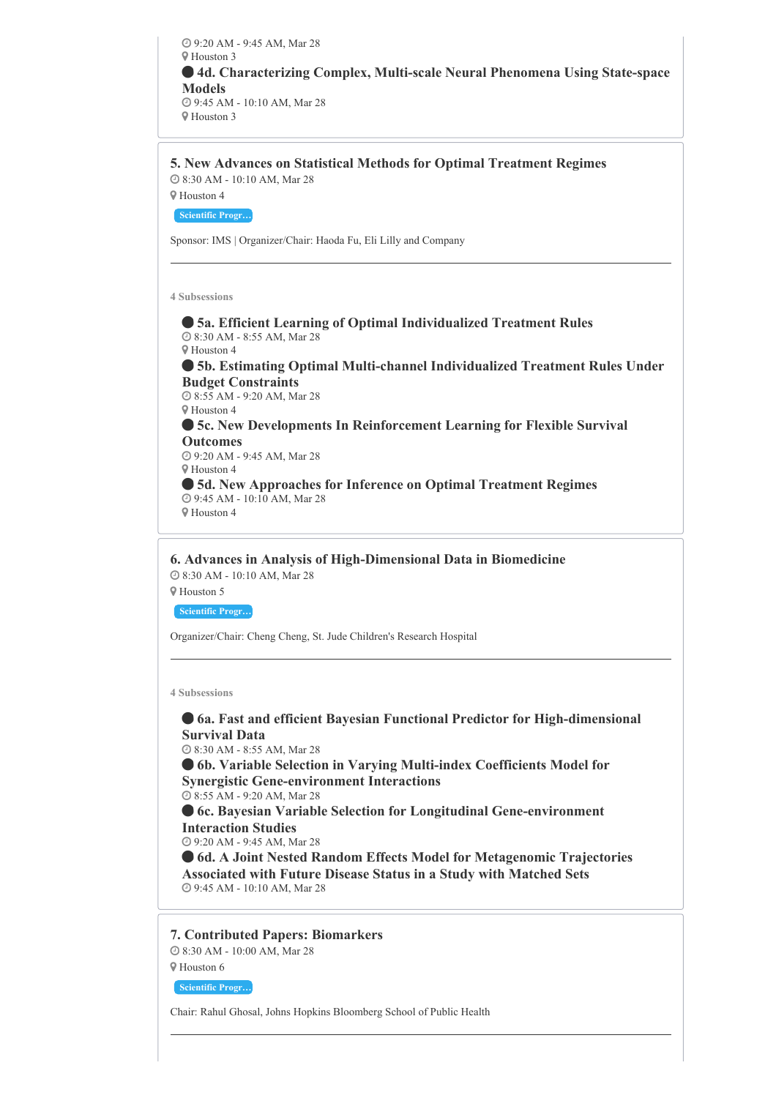9:20 AM - 9:45 AM, Mar 28 Houston 3 **4d. Characterizing Complex, Multi-scale Neural Phenomena Using State-space Models** 9:45 AM - 10:10 AM, Mar 28 Houston 3

**5. New Advances on Statistical Methods for Optimal Treatment Regimes**

8:30 AM - 10:10 AM, Mar 28

Houston 4

**Scientific Progr…**

Sponsor: IMS | Organizer/Chair: Haoda Fu, Eli Lilly and Company

**4 Subsessions**

 **5a. Efficient Learning of Optimal Individualized Treatment Rules** 8:30 AM - 8:55 AM, Mar 28 Houston 4

 **5b. Estimating Optimal Multi-channel Individualized Treatment Rules Under Budget Constraints**

 8:55 AM - 9:20 AM, Mar 28 Houston 4

 **5c. New Developments In Reinforcement Learning for Flexible Survival Outcomes**

 9:20 AM - 9:45 AM, Mar 28 Houston 4

 **5d. New Approaches for Inference on Optimal Treatment Regimes** 9:45 AM - 10:10 AM, Mar 28

Houston 4

**6. Advances in Analysis of High-Dimensional Data in Biomedicine** 8:30 AM - 10:10 AM, Mar 28

Houston 5

**Scientific Progr…**

Organizer/Chair: Cheng Cheng, St. Jude Children's Research Hospital

**4 Subsessions**

 **6a. Fast and efficient Bayesian Functional Predictor for High-dimensional Survival Data**

8:30 AM - 8:55 AM, Mar 28

 **6b. Variable Selection in Varying Multi-index Coefficients Model for Synergistic Gene-environment Interactions**

8:55 AM - 9:20 AM, Mar 28

 **6c. Bayesian Variable Selection for Longitudinal Gene-environment Interaction Studies**

9:20 AM - 9:45 AM, Mar 28

 **6d. A Joint Nested Random Effects Model for Metagenomic Trajectories Associated with Future Disease Status in a Study with Matched Sets** 9:45 AM - 10:10 AM, Mar 28

**7. Contributed Papers: Biomarkers**

8:30 AM - 10:00 AM, Mar 28

Houston 6

**Scientific Progr…**

Chair: Rahul Ghosal, Johns Hopkins Bloomberg School of Public Health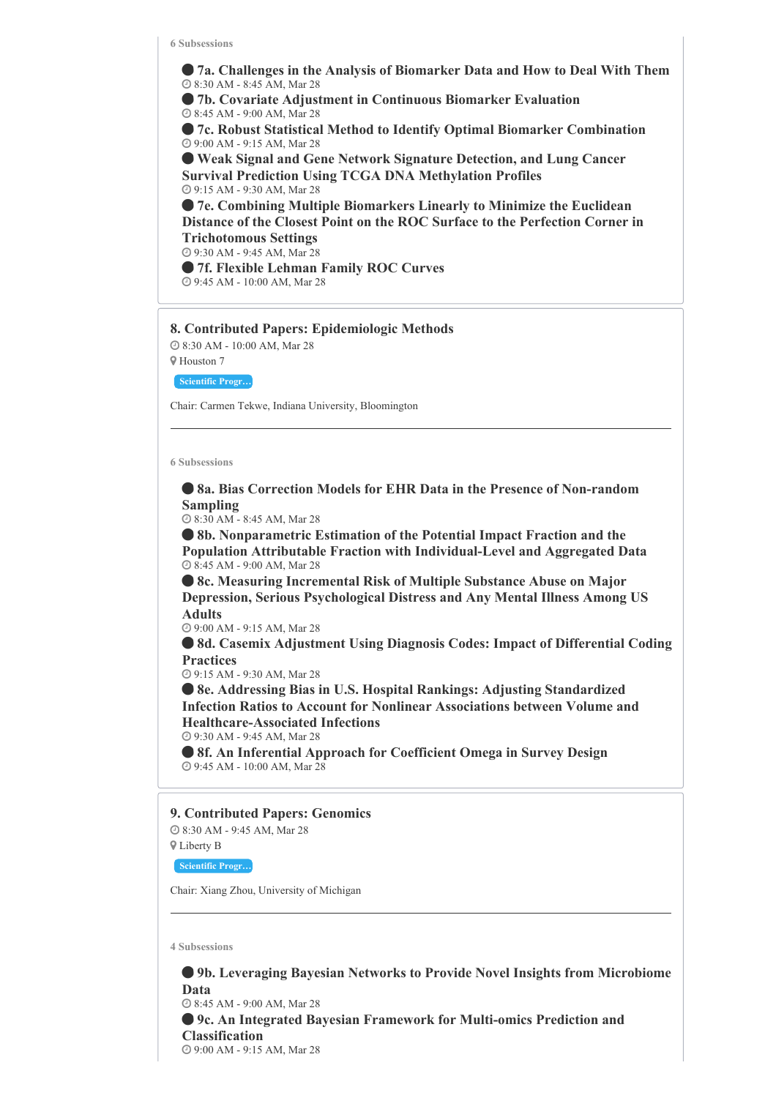**7a. Challenges in the Analysis of Biomarker Data and How to Deal With Them** 8:30 AM - 8:45 AM, Mar 28

 **7b. Covariate Adjustment in Continuous Biomarker Evaluation** 8:45 AM - 9:00 AM, Mar 28

 **7c. Robust Statistical Method to Identify Optimal Biomarker Combination** 9:00 AM - 9:15 AM, Mar 28

 **Weak Signal and Gene Network Signature Detection, and Lung Cancer Survival Prediction Using TCGA DNA Methylation Profiles** 9:15 AM - 9:30 AM, Mar 28

 **7e. Combining Multiple Biomarkers Linearly to Minimize the Euclidean Distance of the Closest Point on the ROC Surface to the Perfection Corner in Trichotomous Settings**

9:30 AM - 9:45 AM, Mar 28

 **7f. Flexible Lehman Family ROC Curves** 9:45 AM - 10:00 AM, Mar 28

#### **8. Contributed Papers: Epidemiologic Methods**

 8:30 AM - 10:00 AM, Mar 28 Houston 7

**Scientific Progr…**

Chair: Carmen Tekwe, Indiana University, Bloomington

#### **6 Subsessions**

 **8a. Bias Correction Models for EHR Data in the Presence of Non-random Sampling**

8:30 AM - 8:45 AM, Mar 28

 **8b. Nonparametric Estimation of the Potential Impact Fraction and the Population Attributable Fraction with Individual-Level and Aggregated Data** 8:45 AM - 9:00 AM, Mar 28

 **8c. Measuring Incremental Risk of Multiple Substance Abuse on Major Depression, Serious Psychological Distress and Any Mental Illness Among US Adults**

9:00 AM - 9:15 AM, Mar 28

 **8d. Casemix Adjustment Using Diagnosis Codes: Impact of Differential Coding Practices**

9:15 AM - 9:30 AM, Mar 28

 **8e. Addressing Bias in U.S. Hospital Rankings: Adjusting Standardized Infection Ratios to Account for Nonlinear Associations between Volume and Healthcare-Associated Infections**

9:30 AM - 9:45 AM, Mar 28

 **8f. An Inferential Approach for Coefficient Omega in Survey Design** 9:45 AM - 10:00 AM, Mar 28

#### **9. Contributed Papers: Genomics**

 8:30 AM - 9:45 AM, Mar 28 Liberty B

**Scientific Progr…**

Chair: Xiang Zhou, University of Michigan

**4 Subsessions**

 **9b. Leveraging Bayesian Networks to Provide Novel Insights from Microbiome Data** 8:45 AM - 9:00 AM, Mar 28 **9c. An Integrated Bayesian Framework for Multi-omics Prediction and Classification** 9:00 AM - 9:15 AM, Mar 28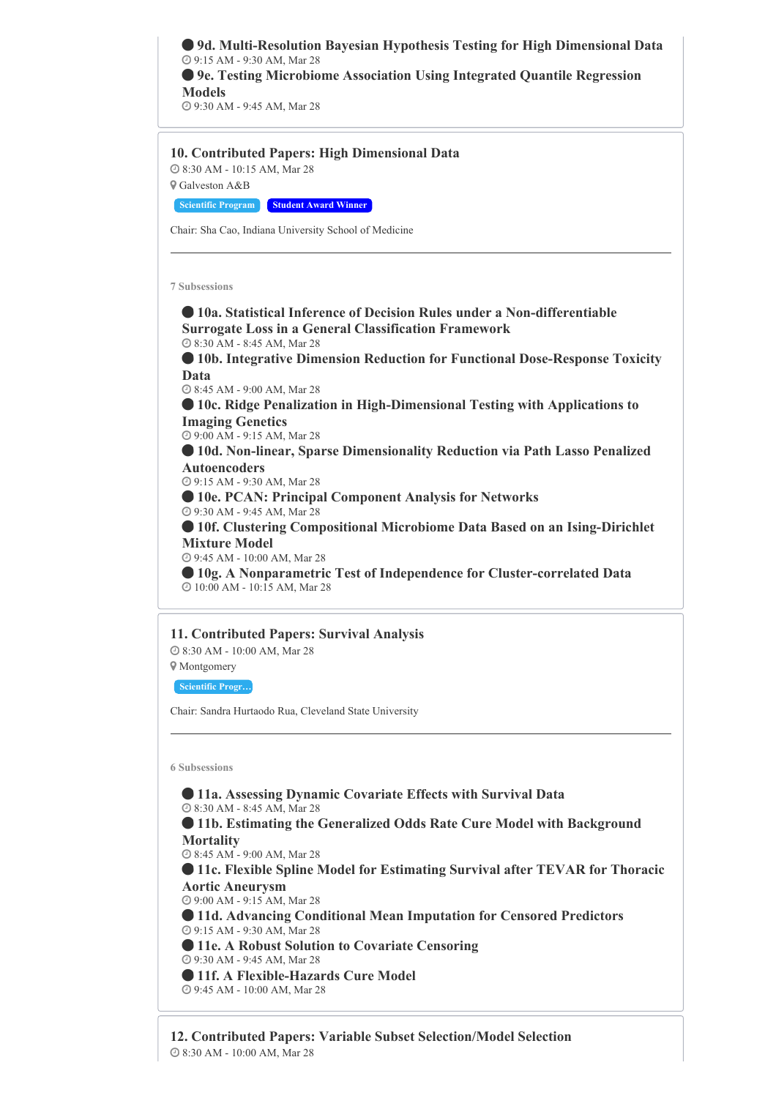**9d. Multi-Resolution Bayesian Hypothesis Testing for High Dimensional Data** 9:15 AM - 9:30 AM, Mar 28 **9e. Testing Microbiome Association Using Integrated Quantile Regression Models**

9:30 AM - 9:45 AM, Mar 28

# **10. Contributed Papers: High Dimensional Data**

 8:30 AM - 10:15 AM, Mar 28 Galveston A&B

**Scientific Program Student Award Winner**

Chair: Sha Cao, Indiana University School of Medicine

**7 Subsessions**

 **10a. Statistical Inference of Decision Rules under a Non-differentiable Surrogate Loss in a General Classification Framework** 8:30 AM - 8:45 AM, Mar 28

 **10b. Integrative Dimension Reduction for Functional Dose-Response Toxicity Data**

8:45 AM - 9:00 AM, Mar 28

 **10c. Ridge Penalization in High-Dimensional Testing with Applications to Imaging Genetics**

9:00 AM - 9:15 AM, Mar 28

 **10d. Non-linear, Sparse Dimensionality Reduction via Path Lasso Penalized Autoencoders**

9:15 AM - 9:30 AM, Mar 28

**10e. PCAN: Principal Component Analysis for Networks**

9:30 AM - 9:45 AM, Mar 28

 **10f. Clustering Compositional Microbiome Data Based on an Ising-Dirichlet Mixture Model**

9:45 AM - 10:00 AM, Mar 28

 **10g. A Nonparametric Test of Independence for Cluster-correlated Data** 10:00 AM - 10:15 AM, Mar 28

# **11. Contributed Papers: Survival Analysis**

8:30 AM - 10:00 AM, Mar 28

Montgomery

**Scientific Progr…**

Chair: Sandra Hurtaodo Rua, Cleveland State University

**6 Subsessions**

 **11a. Assessing Dynamic Covariate Effects with Survival Data** 8:30 AM - 8:45 AM, Mar 28 **11b. Estimating the Generalized Odds Rate Cure Model with Background Mortality** 8:45 AM - 9:00 AM, Mar 28 **11c. Flexible Spline Model for Estimating Survival after TEVAR for Thoracic Aortic Aneurysm** 9:00 AM - 9:15 AM, Mar 28 **11d. Advancing Conditional Mean Imputation for Censored Predictors** 9:15 AM - 9:30 AM, Mar 28 **11e. A Robust Solution to Covariate Censoring** 9:30 AM - 9:45 AM, Mar 28 **11f. A Flexible-Hazards Cure Model** 9:45 AM - 10:00 AM, Mar 28

**12. Contributed Papers: Variable Subset Selection/Model Selection** 8:30 AM - 10:00 AM, Mar 28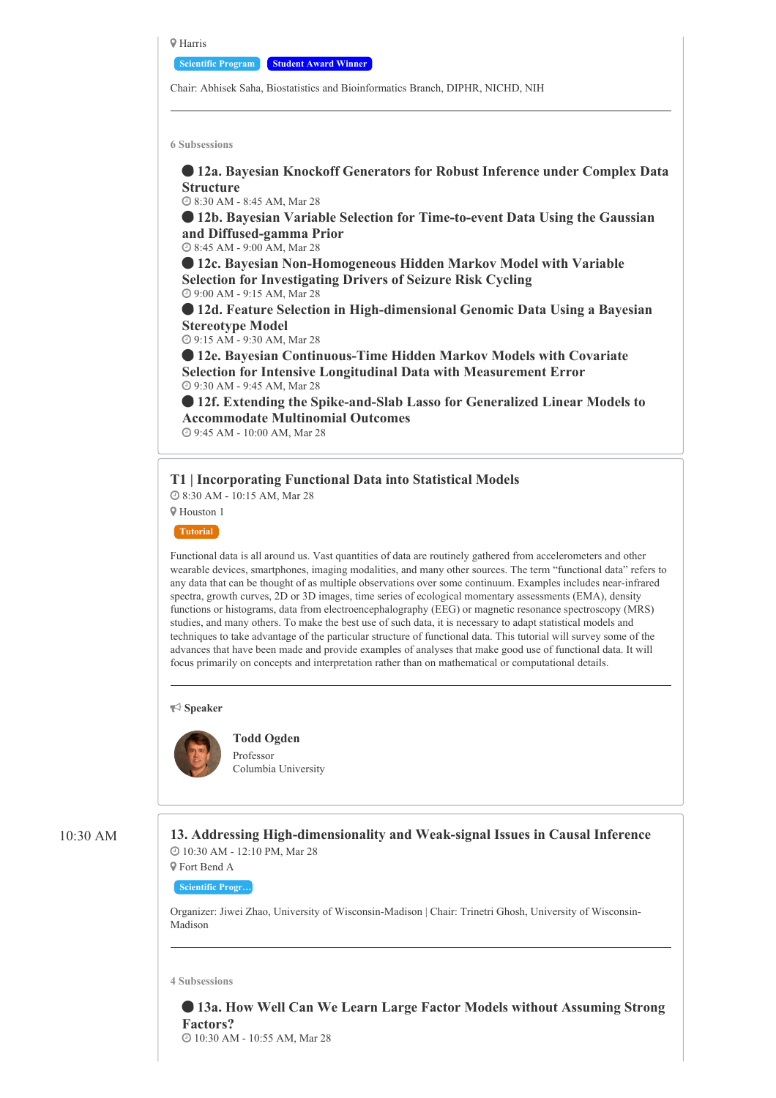**Q** Harris

**Scientific Program Student Award Winner**

Chair: Abhisek Saha, Biostatistics and Bioinformatics Branch, DIPHR, NICHD, NIH

**6 Subsessions**

 **12a. Bayesian Knockoff Generators for Robust Inference under Complex Data Structure**

8:30 AM - 8:45 AM, Mar 28

 **12b. Bayesian Variable Selection for Time-to-event Data Using the Gaussian and Diffused-gamma Prior**

8:45 AM - 9:00 AM, Mar 28

 **12c. Bayesian Non-Homogeneous Hidden Markov Model with Variable Selection for Investigating Drivers of Seizure Risk Cycling** 9:00 AM - 9:15 AM, Mar 28

 **12d. Feature Selection in High-dimensional Genomic Data Using a Bayesian Stereotype Model**

9:15 AM - 9:30 AM, Mar 28

 **12e. Bayesian Continuous-Time Hidden Markov Models with Covariate Selection for Intensive Longitudinal Data with Measurement Error** 9:30 AM - 9:45 AM, Mar 28

 **12f. Extending the Spike-and-Slab Lasso for Generalized Linear Models to Accommodate Multinomial Outcomes** 9:45 AM - 10:00 AM, Mar 28

**T1 | Incorporating Functional Data into Statistical Models**

8:30 AM - 10:15 AM, Mar 28

Houston 1

**Tutorial**

Functional data is all around us. Vast quantities of data are routinely gathered from accelerometers and other wearable devices, smartphones, imaging modalities, and many other sources. The term "functional data" refers to any data that can be thought of as multiple observations over some continuum. Examples includes near-infrared spectra, growth curves, 2D or 3D images, time series of ecological momentary assessments (EMA), density functions or histograms, data from electroencephalography (EEG) or magnetic resonance spectroscopy (MRS) studies, and many others. To make the best use of such data, it is necessary to adapt statistical models and techniques to take advantage of the particular structure of functional data. This tutorial will survey some of the advances that have been made and provide examples of analyses that make good use of functional data. It will focus primarily on concepts and interpretation rather than on mathematical or computational details.

**Speaker**



**Todd Ogden**

Professor Columbia University

10:30 AM **13. Addressing High-dimensionality and Weak-signal Issues in Causal Inference** 10:30 AM - 12:10 PM, Mar 28

> Fort Bend A **Scientific Progr…**

Organizer: Jiwei Zhao, University of Wisconsin-Madison | Chair: Trinetri Ghosh, University of Wisconsin-Madison

**4 Subsessions**

 **13a. How Well Can We Learn Large Factor Models without Assuming Strong Factors?**

10:30 AM - 10:55 AM, Mar 28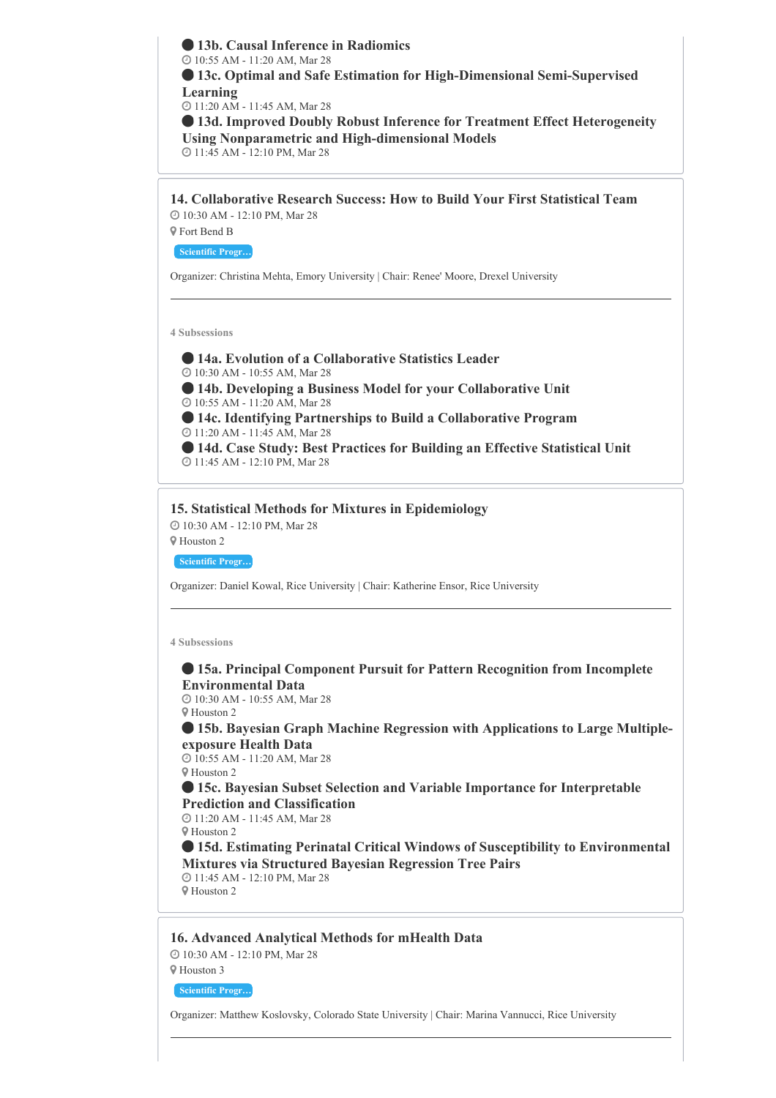**13b. Causal Inference in Radiomics** 10:55 AM - 11:20 AM, Mar 28 **13c. Optimal and Safe Estimation for High-Dimensional Semi-Supervised Learning** 11:20 AM - 11:45 AM, Mar 28 **13d. Improved Doubly Robust Inference for Treatment Effect Heterogeneity Using Nonparametric and High-dimensional Models** 11:45 AM - 12:10 PM, Mar 28

**14. Collaborative Research Success: How to Build Your First Statistical Team** 10:30 AM - 12:10 PM, Mar 28 Fort Bend B

**Scientific Progr…**

Organizer: Christina Mehta, Emory University | Chair: Renee' Moore, Drexel University

**4 Subsessions**

 **14a. Evolution of a Collaborative Statistics Leader** 10:30 AM - 10:55 AM, Mar 28 **14b. Developing a Business Model for your Collaborative Unit** 10:55 AM - 11:20 AM, Mar 28 **14c. Identifying Partnerships to Build a Collaborative Program** 11:20 AM - 11:45 AM, Mar 28 **14d. Case Study: Best Practices for Building an Effective Statistical Unit** 11:45 AM - 12:10 PM, Mar 28

# **15. Statistical Methods for Mixtures in Epidemiology**

10:30 AM - 12:10 PM, Mar 28

Houston 2

**Scientific Progr…**

Organizer: Daniel Kowal, Rice University | Chair: Katherine Ensor, Rice University

**4 Subsessions**

# **15a. Principal Component Pursuit for Pattern Recognition from Incomplete Environmental Data**

 10:30 AM - 10:55 AM, Mar 28 Houston 2

 **15b. Bayesian Graph Machine Regression with Applications to Large Multipleexposure Health Data**

 10:55 AM - 11:20 AM, Mar 28 Houston 2

 **15c. Bayesian Subset Selection and Variable Importance for Interpretable Prediction and Classification**

 11:20 AM - 11:45 AM, Mar 28 Houston 2 **15d. Estimating Perinatal Critical Windows of Susceptibility to Environmental**

**Mixtures via Structured Bayesian Regression Tree Pairs** 11:45 AM - 12:10 PM, Mar 28

Houston 2

# **16. Advanced Analytical Methods for mHealth Data**

10:30 AM - 12:10 PM, Mar 28

Houston 3

**Scientific Progr…**

Organizer: Matthew Koslovsky, Colorado State University | Chair: Marina Vannucci, Rice University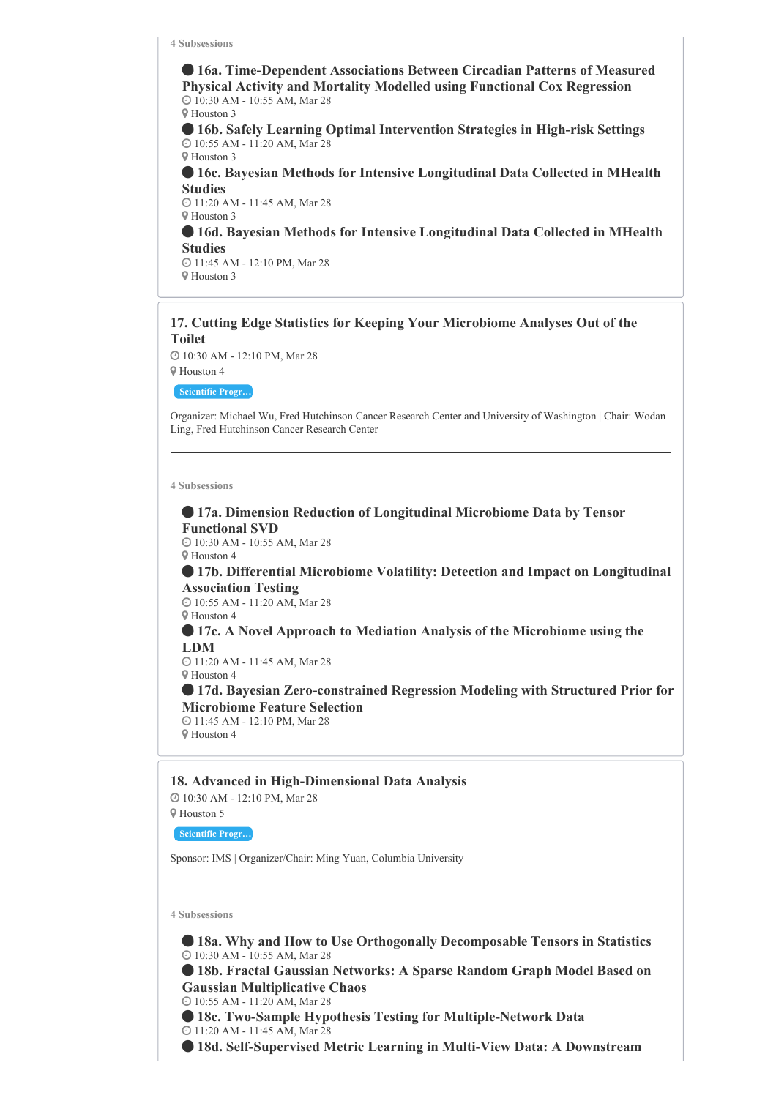**16a. Time-Dependent Associations Between Circadian Patterns of Measured Physical Activity and Mortality Modelled using Functional Cox Regression** 10:30 AM - 10:55 AM, Mar 28 Houston 3

 **16b. Safely Learning Optimal Intervention Strategies in High-risk Settings** 10:55 AM - 11:20 AM, Mar 28 Houston 3

 **16c. Bayesian Methods for Intensive Longitudinal Data Collected in MHealth Studies**

 11:20 AM - 11:45 AM, Mar 28 Houston 3

 **16d. Bayesian Methods for Intensive Longitudinal Data Collected in MHealth Studies**

 11:45 AM - 12:10 PM, Mar 28 Houston 3

# **17. Cutting Edge Statistics for Keeping Your Microbiome Analyses Out of the Toilet**

 10:30 AM - 12:10 PM, Mar 28 Houston 4

**Scientific Progr…**

Organizer: Michael Wu, Fred Hutchinson Cancer Research Center and University of Washington | Chair: Wodan Ling, Fred Hutchinson Cancer Research Center

**4 Subsessions**

 **17a. Dimension Reduction of Longitudinal Microbiome Data by Tensor Functional SVD** 10:30 AM - 10:55 AM, Mar 28

Houston 4

 **17b. Differential Microbiome Volatility: Detection and Impact on Longitudinal Association Testing**

 10:55 AM - 11:20 AM, Mar 28 Houston 4

 **17c. A Novel Approach to Mediation Analysis of the Microbiome using the LDM**

 11:20 AM - 11:45 AM, Mar 28 Houston 4

 **17d. Bayesian Zero-constrained Regression Modeling with Structured Prior for Microbiome Feature Selection** 11:45 AM - 12:10 PM, Mar 28

Houston 4

**18. Advanced in High-Dimensional Data Analysis**

 10:30 AM - 12:10 PM, Mar 28 Houston 5

**Scientific Progr…**

Sponsor: IMS | Organizer/Chair: Ming Yuan, Columbia University

**4 Subsessions**

 **18a. Why and How to Use Orthogonally Decomposable Tensors in Statistics** 10:30 AM - 10:55 AM, Mar 28

 **18b. Fractal Gaussian Networks: A Sparse Random Graph Model Based on Gaussian Multiplicative Chaos**

10:55 AM - 11:20 AM, Mar 28

 **18c. Two-Sample Hypothesis Testing for Multiple-Network Data** 11:20 AM - 11:45 AM, Mar 28

**18d. Self-Supervised Metric Learning in Multi-View Data: A Downstream**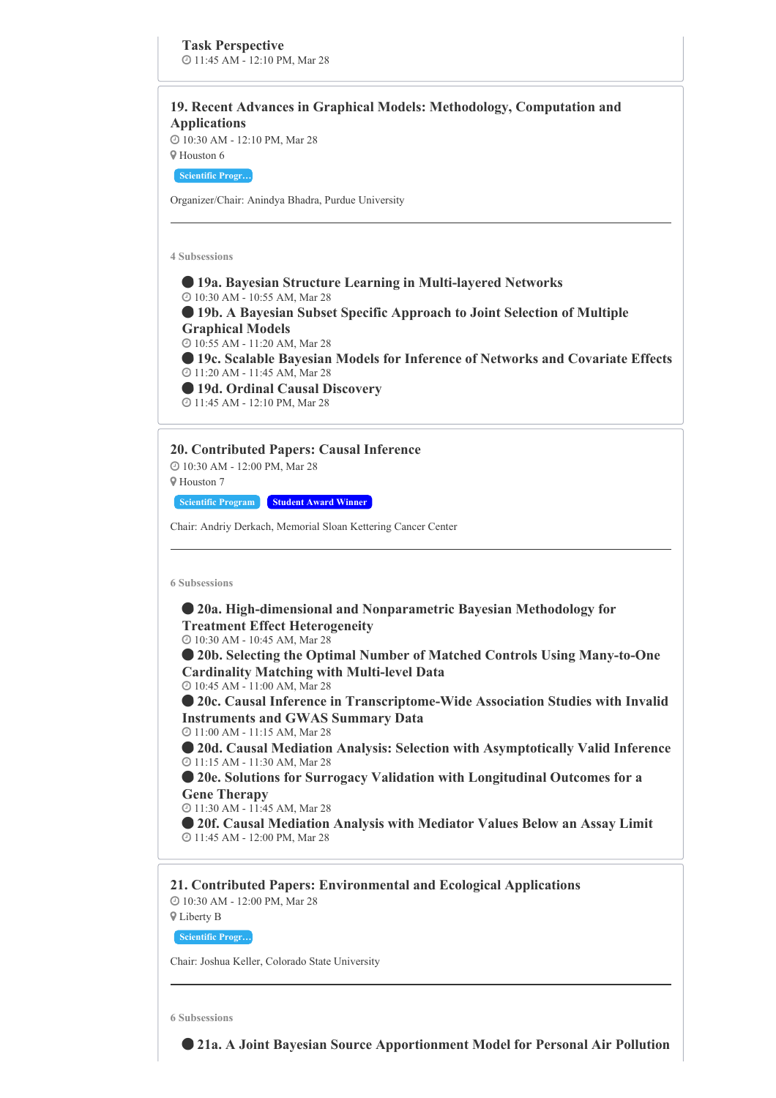# **19. Recent Advances in Graphical Models: Methodology, Computation and Applications**

 10:30 AM - 12:10 PM, Mar 28 Houston 6

**Scientific Progr…**

Organizer/Chair: Anindya Bhadra, Purdue University

**4 Subsessions**

 **19a. Bayesian Structure Learning in Multi-layered Networks** 10:30 AM - 10:55 AM, Mar 28 **19b. A Bayesian Subset Specific Approach to Joint Selection of Multiple Graphical Models** 10:55 AM - 11:20 AM, Mar 28 **19c. Scalable Bayesian Models for Inference of Networks and Covariate Effects** 11:20 AM - 11:45 AM, Mar 28 **19d. Ordinal Causal Discovery** 11:45 AM - 12:10 PM, Mar 28

**20. Contributed Papers: Causal Inference**

 10:30 AM - 12:00 PM, Mar 28 Houston 7

**Scientific Program Student Award Winner**

Chair: Andriy Derkach, Memorial Sloan Kettering Cancer Center

**6 Subsessions**

 **20a. High-dimensional and Nonparametric Bayesian Methodology for Treatment Effect Heterogeneity** 10:30 AM - 10:45 AM, Mar 28 **20b. Selecting the Optimal Number of Matched Controls Using Many-to-One Cardinality Matching with Multi-level Data** 10:45 AM - 11:00 AM, Mar 28 **20c. Causal Inference in Transcriptome-Wide Association Studies with Invalid Instruments and GWAS Summary Data** 11:00 AM - 11:15 AM, Mar 28 **20d. Causal Mediation Analysis: Selection with Asymptotically Valid Inference** 11:15 AM - 11:30 AM, Mar 28 **20e. Solutions for Surrogacy Validation with Longitudinal Outcomes for a Gene Therapy** 11:30 AM - 11:45 AM, Mar 28 **20f. Causal Mediation Analysis with Mediator Values Below an Assay Limit** 11:45 AM - 12:00 PM, Mar 28

**21. Contributed Papers: Environmental and Ecological Applications** 10:30 AM - 12:00 PM, Mar 28

Liberty B

**Scientific Progr…**

Chair: Joshua Keller, Colorado State University

**6 Subsessions**

**21a. A Joint Bayesian Source Apportionment Model for Personal Air Pollution**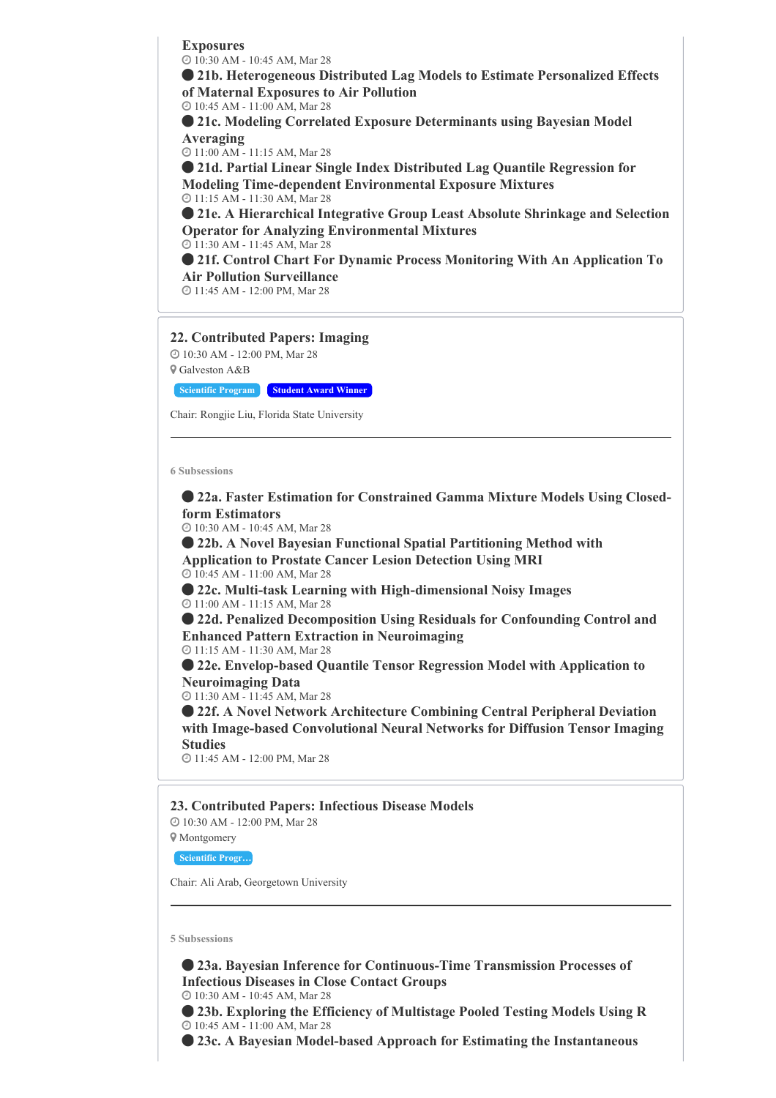**Exposures** 10:30 AM - 10:45 AM, Mar 28

 **21b. Heterogeneous Distributed Lag Models to Estimate Personalized Effects of Maternal Exposures to Air Pollution**

10:45 AM - 11:00 AM, Mar 28

 **21c. Modeling Correlated Exposure Determinants using Bayesian Model Averaging**

11:00 AM - 11:15 AM, Mar 28

 **21d. Partial Linear Single Index Distributed Lag Quantile Regression for Modeling Time-dependent Environmental Exposure Mixtures** 11:15 AM - 11:30 AM, Mar 28

 **21e. A Hierarchical Integrative Group Least Absolute Shrinkage and Selection Operator for Analyzing Environmental Mixtures** 11:30 AM - 11:45 AM, Mar 28

 **21f. Control Chart For Dynamic Process Monitoring With An Application To Air Pollution Surveillance**

11:45 AM - 12:00 PM, Mar 28

# **22. Contributed Papers: Imaging**

 10:30 AM - 12:00 PM, Mar 28 Galveston A&B

**Scientific Program Student Award Winner**

Chair: Rongjie Liu, Florida State University

#### **6 Subsessions**

 **22a. Faster Estimation for Constrained Gamma Mixture Models Using Closedform Estimators**

10:30 AM - 10:45 AM, Mar 28

 **22b. A Novel Bayesian Functional Spatial Partitioning Method with Application to Prostate Cancer Lesion Detection Using MRI** 10:45 AM - 11:00 AM, Mar 28

 **22c. Multi-task Learning with High-dimensional Noisy Images** 11:00 AM - 11:15 AM, Mar 28

 **22d. Penalized Decomposition Using Residuals for Confounding Control and Enhanced Pattern Extraction in Neuroimaging**

11:15 AM - 11:30 AM, Mar 28

 **22e. Envelop-based Quantile Tensor Regression Model with Application to Neuroimaging Data**

11:30 AM - 11:45 AM, Mar 28

 **22f. A Novel Network Architecture Combining Central Peripheral Deviation with Image-based Convolutional Neural Networks for Diffusion Tensor Imaging Studies**

11:45 AM - 12:00 PM, Mar 28

# **23. Contributed Papers: Infectious Disease Models**

10:30 AM - 12:00 PM, Mar 28

**V** Montgomery

**Scientific Progr…**

Chair: Ali Arab, Georgetown University

#### **5 Subsessions**

 **23a. Bayesian Inference for Continuous-Time Transmission Processes of Infectious Diseases in Close Contact Groups** 10:30 AM - 10:45 AM, Mar 28

 **23b. Exploring the Efficiency of Multistage Pooled Testing Models Using R** 10:45 AM - 11:00 AM, Mar 28

**23c. A Bayesian Model-based Approach for Estimating the Instantaneous**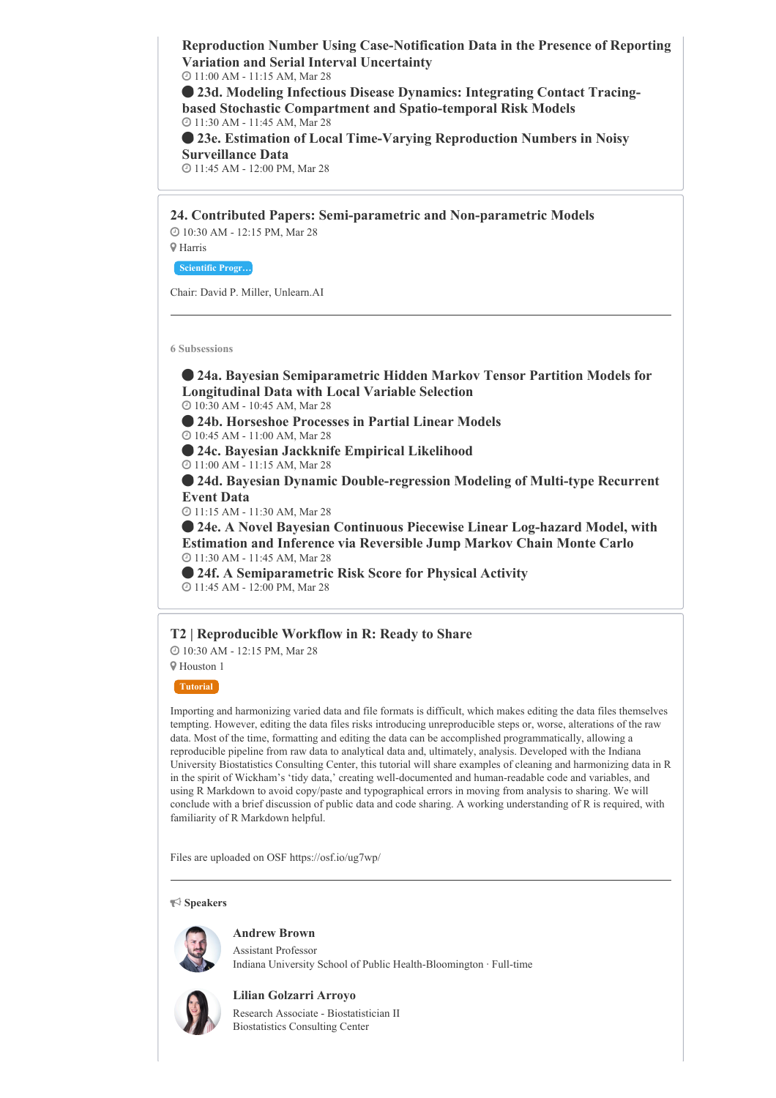**Reproduction Number Using Case-Notification Data in the Presence of Reporting Variation and Serial Interval Uncertainty** 11:00 AM - 11:15 AM, Mar 28

 **23d. Modeling Infectious Disease Dynamics: Integrating Contact Tracingbased Stochastic Compartment and Spatio-temporal Risk Models** 11:30 AM - 11:45 AM, Mar 28

 **23e. Estimation of Local Time-Varying Reproduction Numbers in Noisy Surveillance Data**

11:45 AM - 12:00 PM, Mar 28

**24. Contributed Papers: Semi-parametric and Non-parametric Models** 10:30 AM - 12:15 PM, Mar 28

**Scientific Progr…**

Harris

Chair: David P. Miller, Unlearn.AI

**6 Subsessions**

 **24a. Bayesian Semiparametric Hidden Markov Tensor Partition Models for Longitudinal Data with Local Variable Selection**

10:30 AM - 10:45 AM, Mar 28

**24b. Horseshoe Processes in Partial Linear Models**

10:45 AM - 11:00 AM, Mar 28

**24c. Bayesian Jackknife Empirical Likelihood**

11:00 AM - 11:15 AM, Mar 28

 **24d. Bayesian Dynamic Double-regression Modeling of Multi-type Recurrent Event Data**

11:15 AM - 11:30 AM, Mar 28

 **24e. A Novel Bayesian Continuous Piecewise Linear Log-hazard Model, with Estimation and Inference via Reversible Jump Markov Chain Monte Carlo** 11:30 AM - 11:45 AM, Mar 28

 **24f. A Semiparametric Risk Score for Physical Activity** 11:45 AM - 12:00 PM, Mar 28

**T2 | Reproducible Workflow in R: Ready to Share**

10:30 AM - 12:15 PM, Mar 28

Houston 1

**Tutorial**

Importing and harmonizing varied data and file formats is difficult, which makes editing the data files themselves tempting. However, editing the data files risks introducing unreproducible steps or, worse, alterations of the raw data. Most of the time, formatting and editing the data can be accomplished programmatically, allowing a reproducible pipeline from raw data to analytical data and, ultimately, analysis. Developed with the Indiana University Biostatistics Consulting Center, this tutorial will share examples of cleaning and harmonizing data in R in the spirit of Wickham's 'tidy data,' creating well-documented and human-readable code and variables, and using R Markdown to avoid copy/paste and typographical errors in moving from analysis to sharing. We will conclude with a brief discussion of public data and code sharing. A working understanding of R is required, with familiarity of R Markdown helpful.

Files are uploaded on OSF https://osf.io/ug7wp/

**Speakers**

# **Andrew Brown**

Assistant Professor Indiana University School of Public Health-Bloomington · Full-time



**Lilian Golzarri Arroyo** Research Associate - Biostatistician II Biostatistics Consulting Center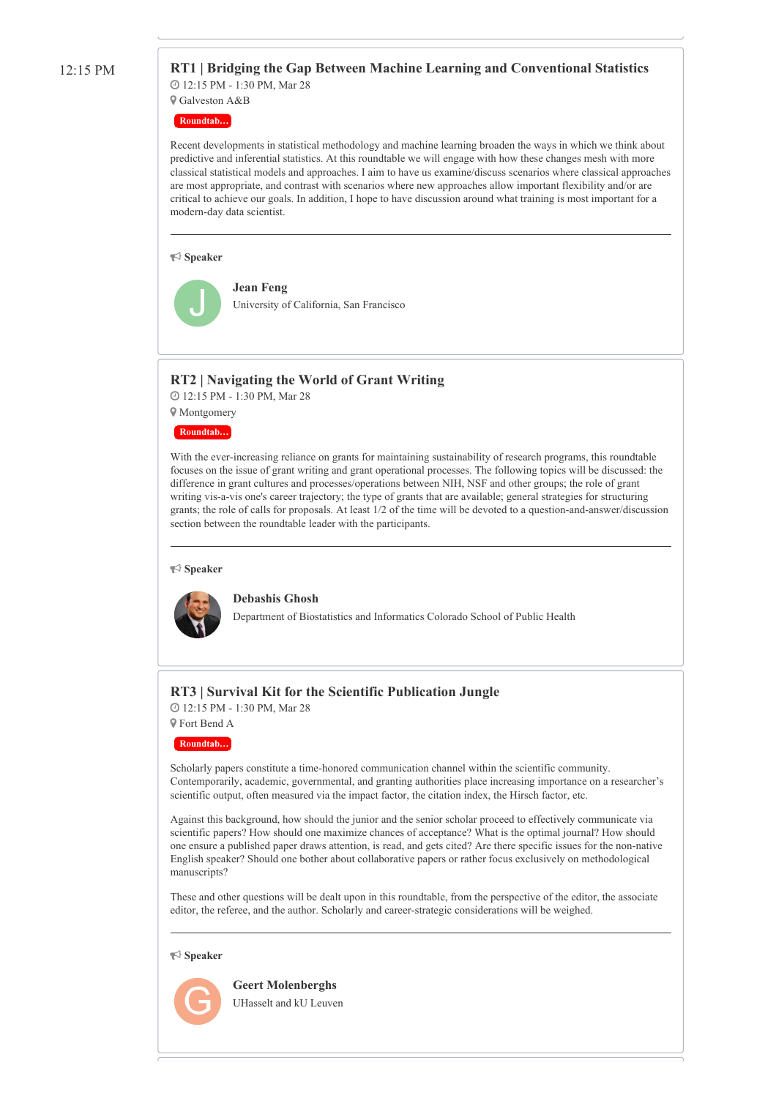#### 12:15 PM **RT1 | Bridging the Gap Between Machine Learning and Conventional Statistics** 12:15 PM - 1:30 PM, Mar 28

Galveston A&B

**Roundtab…**

Recent developments in statistical methodology and machine learning broaden the ways in which we think about predictive and inferential statistics. At this roundtable we will engage with how these changes mesh with more classical statistical models and approaches. I aim to have us examine/discuss scenarios where classical approaches are most appropriate, and contrast with scenarios where new approaches allow important flexibility and/or are critical to achieve our goals. In addition, I hope to have discussion around what training is most important for a modern-day data scientist.

#### **Speaker**



**Jean Feng** University of California, San Francisco

### **RT2 | Navigating the World of Grant Writing**

 12:15 PM - 1:30 PM, Mar 28 Montgomery

#### **Roundtab…**

With the ever-increasing reliance on grants for maintaining sustainability of research programs, this roundtable focuses on the issue of grant writing and grant operational processes. The following topics will be discussed: the difference in grant cultures and processes/operations between NIH, NSF and other groups; the role of grant writing vis-a-vis one's career trajectory; the type of grants that are available; general strategies for structuring grants; the role of calls for proposals. At least 1/2 of the time will be devoted to a question-and-answer/discussion section between the roundtable leader with the participants.

#### **Speaker**



#### **Debashis Ghosh**

Department of Biostatistics and Informatics Colorado School of Public Health

# **RT3 | Survival Kit for the Scientific Publication Jungle**

 12:15 PM - 1:30 PM, Mar 28 Fort Bend A

**Roundtab…**

Scholarly papers constitute a time-honored communication channel within the scientific community. Contemporarily, academic, governmental, and granting authorities place increasing importance on a researcher's scientific output, often measured via the impact factor, the citation index, the Hirsch factor, etc.

Against this background, how should the junior and the senior scholar proceed to effectively communicate via scientific papers? How should one maximize chances of acceptance? What is the optimal journal? How should one ensure a published paper draws attention, is read, and gets cited? Are there specific issues for the non-native English speaker? Should one bother about collaborative papers or rather focus exclusively on methodological manuscripts?

These and other questions will be dealt upon in this roundtable, from the perspective of the editor, the associate editor, the referee, and the author. Scholarly and career-strategic considerations will be weighed.

#### **Speaker**



**Geert Molenberghs** UHasselt and kU Leuven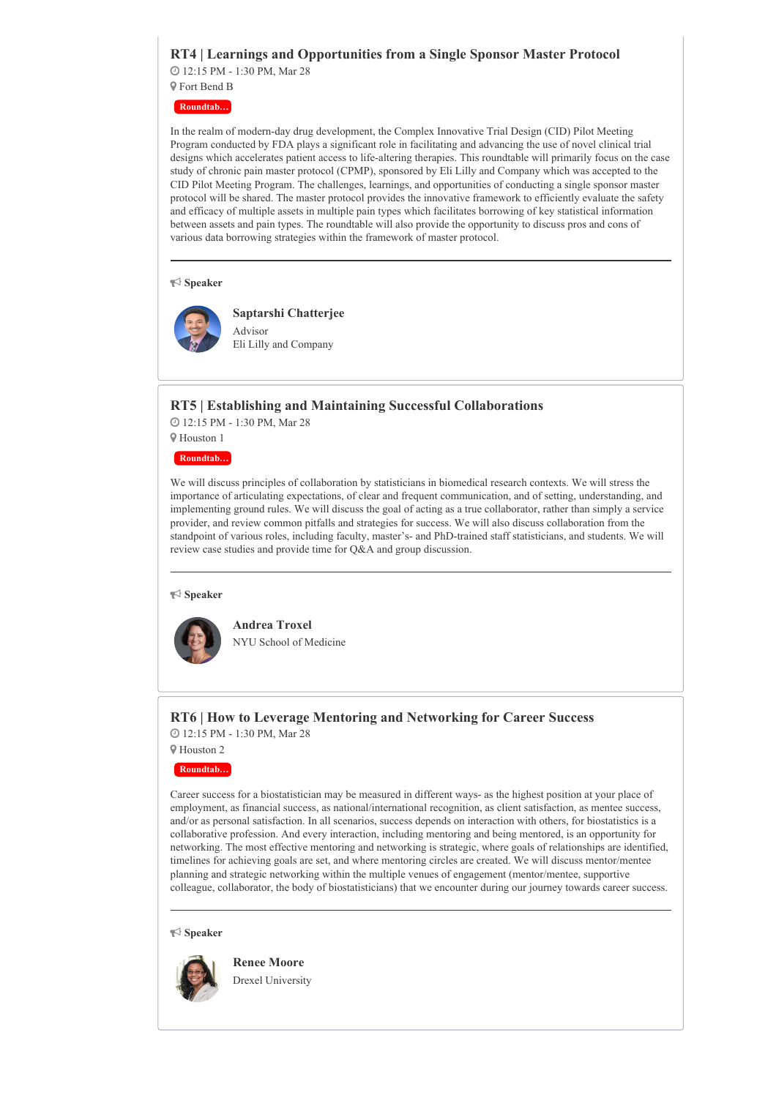# **RT4 | Learnings and Opportunities from a Single Sponsor Master Protocol**

 12:15 PM - 1:30 PM, Mar 28 Fort Bend B

**Roundtab…**

In the realm of modern-day drug development, the Complex Innovative Trial Design (CID) Pilot Meeting Program conducted by FDA plays a significant role in facilitating and advancing the use of novel clinical trial designs which accelerates patient access to life-altering therapies. This roundtable will primarily focus on the case study of chronic pain master protocol (CPMP), sponsored by Eli Lilly and Company which was accepted to the CID Pilot Meeting Program. The challenges, learnings, and opportunities of conducting a single sponsor master protocol will be shared. The master protocol provides the innovative framework to efficiently evaluate the safety and efficacy of multiple assets in multiple pain types which facilitates borrowing of key statistical information between assets and pain types. The roundtable will also provide the opportunity to discuss pros and cons of various data borrowing strategies within the framework of master protocol.

#### **Speaker**



**Saptarshi Chatterjee** Advisor Eli Lilly and Company

### **RT5 | Establishing and Maintaining Successful Collaborations**

 12:15 PM - 1:30 PM, Mar 28 Houston 1

**Roundtab…**

We will discuss principles of collaboration by statisticians in biomedical research contexts. We will stress the importance of articulating expectations, of clear and frequent communication, and of setting, understanding, and implementing ground rules. We will discuss the goal of acting as a true collaborator, rather than simply a service provider, and review common pitfalls and strategies for success. We will also discuss collaboration from the standpoint of various roles, including faculty, master's- and PhD-trained staff statisticians, and students. We will review case studies and provide time for Q&A and group discussion.

#### **Speaker**



NYU School of Medicine

**Andrea Troxel**

# **RT6 | How to Leverage Mentoring and Networking for Career Success** 12:15 PM - 1:30 PM, Mar 28

Houston 2

**Roundtab…**

Career success for a biostatistician may be measured in different ways- as the highest position at your place of employment, as financial success, as national/international recognition, as client satisfaction, as mentee success, and/or as personal satisfaction. In all scenarios, success depends on interaction with others, for biostatistics is a collaborative profession. And every interaction, including mentoring and being mentored, is an opportunity for networking. The most effective mentoring and networking is strategic, where goals of relationships are identified, timelines for achieving goals are set, and where mentoring circles are created. We will discuss mentor/mentee planning and strategic networking within the multiple venues of engagement (mentor/mentee, supportive colleague, collaborator, the body of biostatisticians) that we encounter during our journey towards career success.

#### **Speaker**



**Renee Moore** Drexel University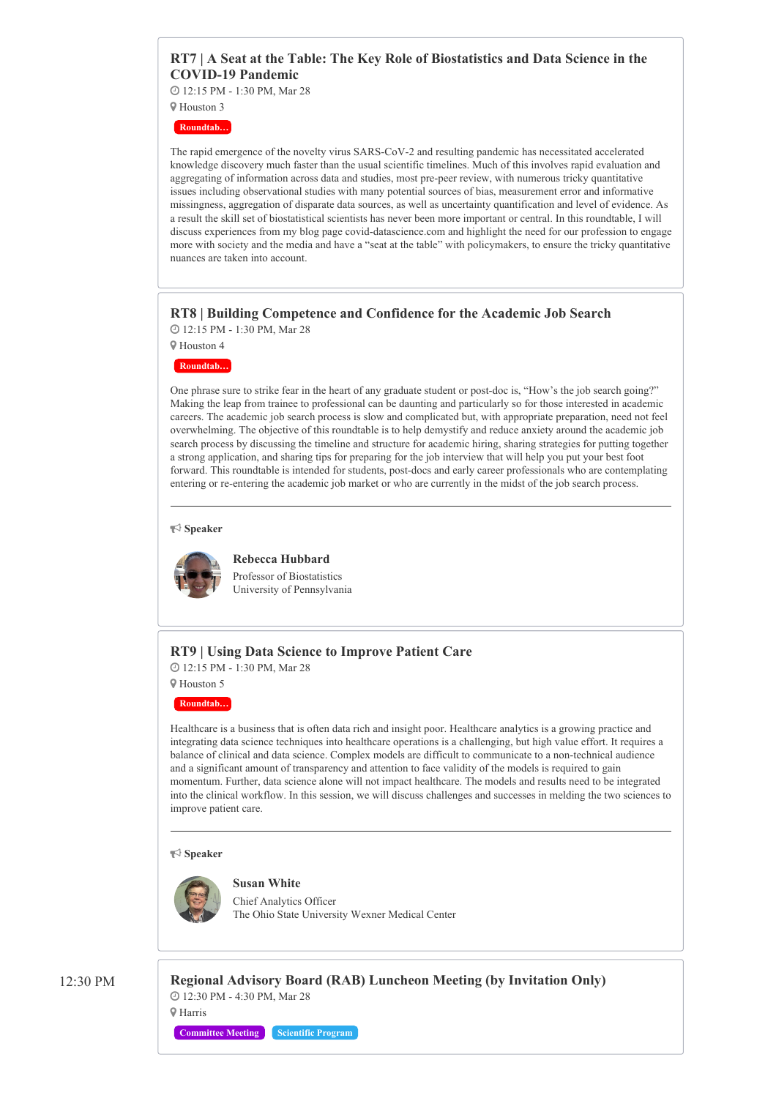# **RT7 | A Seat at the Table: The Key Role of Biostatistics and Data Science in the COVID-19 Pandemic**

12:15 PM - 1:30 PM, Mar 28

 Houston 3 **Roundtab…**

The rapid emergence of the novelty virus SARS-CoV-2 and resulting pandemic has necessitated accelerated knowledge discovery much faster than the usual scientific timelines. Much of this involves rapid evaluation and aggregating of information across data and studies, most pre-peer review, with numerous tricky quantitative issues including observational studies with many potential sources of bias, measurement error and informative missingness, aggregation of disparate data sources, as well as uncertainty quantification and level of evidence. As a result the skill set of biostatistical scientists has never been more important or central. In this roundtable, I will discuss experiences from my blog page covid-datascience.com and highlight the need for our profession to engage more with society and the media and have a "seat at the table" with policymakers, to ensure the tricky quantitative nuances are taken into account.

# **RT8 | Building Competence and Confidence for the Academic Job Search**

12:15 PM - 1:30 PM, Mar 28

Houston 4

**Roundtab…**

One phrase sure to strike fear in the heart of any graduate student or post-doc is, "How's the job search going?" Making the leap from trainee to professional can be daunting and particularly so for those interested in academic careers. The academic job search process is slow and complicated but, with appropriate preparation, need not feel overwhelming. The objective of this roundtable is to help demystify and reduce anxiety around the academic job search process by discussing the timeline and structure for academic hiring, sharing strategies for putting together a strong application, and sharing tips for preparing for the job interview that will help you put your best foot forward. This roundtable is intended for students, post-docs and early career professionals who are contemplating entering or re-entering the academic job market or who are currently in the midst of the job search process.

**Speaker**



**Rebecca Hubbard**

Professor of Biostatistics University of Pennsylvania

# **RT9 | Using Data Science to Improve Patient Care**

 12:15 PM - 1:30 PM, Mar 28 Houston 5

**Roundtab…**

Healthcare is a business that is often data rich and insight poor. Healthcare analytics is a growing practice and integrating data science techniques into healthcare operations is a challenging, but high value effort. It requires a balance of clinical and data science. Complex models are difficult to communicate to a non-technical audience and a significant amount of transparency and attention to face validity of the models is required to gain momentum. Further, data science alone will not impact healthcare. The models and results need to be integrated into the clinical workflow. In this session, we will discuss challenges and successes in melding the two sciences to improve patient care.

**Speaker**



Chief Analytics Officer The Ohio State University Wexner Medical Center

12:30 PM **Regional Advisory Board (RAB) Luncheon Meeting (by Invitation Only)** 12:30 PM - 4:30 PM, Mar 28 Harris

**Committee Meeting Scientific Program**

**Susan White**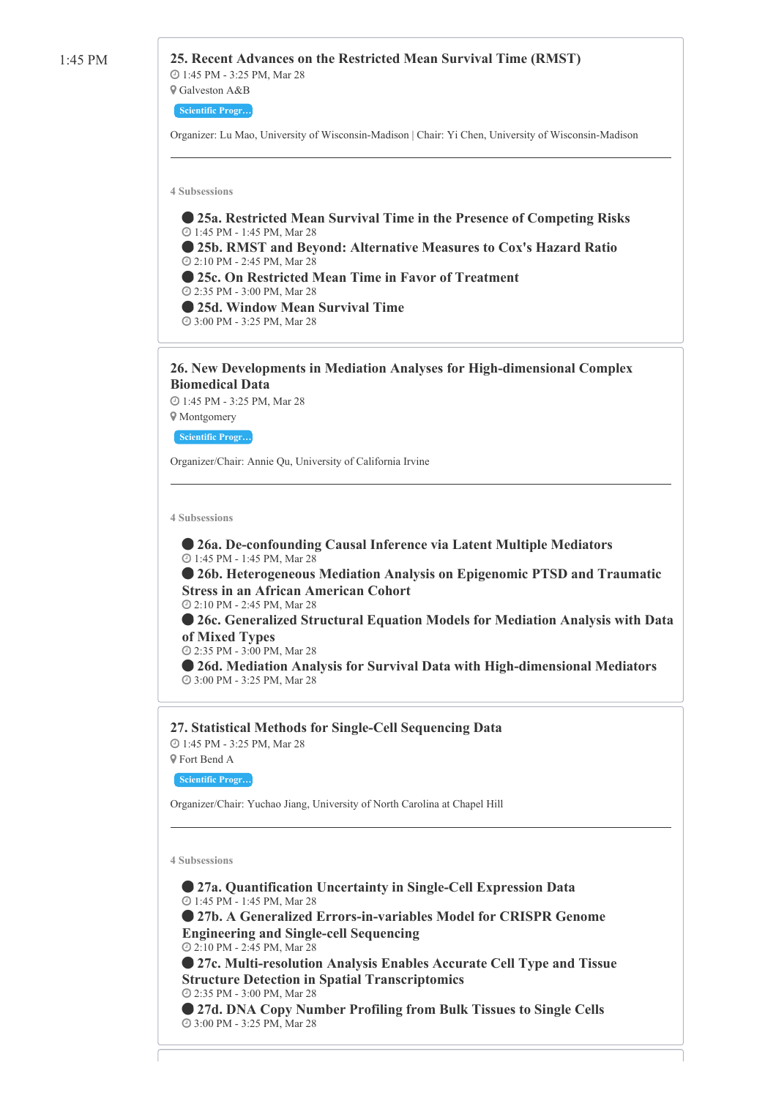# 1:45 PM **25. Recent Advances on the Restricted Mean Survival Time (RMST)**

 1:45 PM - 3:25 PM, Mar 28 Galveston A&B

# **Scientific Progr…**

Organizer: Lu Mao, University of Wisconsin-Madison | Chair: Yi Chen, University of Wisconsin-Madison

**4 Subsessions**

 **25a. Restricted Mean Survival Time in the Presence of Competing Risks** 1:45 PM - 1:45 PM, Mar 28 **25b. RMST and Beyond: Alternative Measures to Cox's Hazard Ratio** 2:10 PM - 2:45 PM, Mar 28 **25c. On Restricted Mean Time in Favor of Treatment** 2:35 PM - 3:00 PM, Mar 28 **25d. Window Mean Survival Time** 3:00 PM - 3:25 PM, Mar 28

# **26. New Developments in Mediation Analyses for High-dimensional Complex Biomedical Data**

 1:45 PM - 3:25 PM, Mar 28 Montgomery

**Scientific Progr…**

Organizer/Chair: Annie Qu, University of California Irvine

**4 Subsessions**

 **26a. De-confounding Causal Inference via Latent Multiple Mediators** 1:45 PM - 1:45 PM, Mar 28

 **26b. Heterogeneous Mediation Analysis on Epigenomic PTSD and Traumatic Stress in an African American Cohort** 2:10 PM - 2:45 PM, Mar 28

 **26c. Generalized Structural Equation Models for Mediation Analysis with Data of Mixed Types**

2:35 PM - 3:00 PM, Mar 28

 **26d. Mediation Analysis for Survival Data with High-dimensional Mediators** 3:00 PM - 3:25 PM, Mar 28

**27. Statistical Methods for Single-Cell Sequencing Data**

 1:45 PM - 3:25 PM, Mar 28 Fort Bend A

**Scientific Progr…**

Organizer/Chair: Yuchao Jiang, University of North Carolina at Chapel Hill

**4 Subsessions**

 **27a. Quantification Uncertainty in Single-Cell Expression Data** 1:45 PM - 1:45 PM, Mar 28 **27b. A Generalized Errors-in-variables Model for CRISPR Genome Engineering and Single-cell Sequencing** 2:10 PM - 2:45 PM, Mar 28 **27c. Multi-resolution Analysis Enables Accurate Cell Type and Tissue Structure Detection in Spatial Transcriptomics** 2:35 PM - 3:00 PM, Mar 28

 **27d. DNA Copy Number Profiling from Bulk Tissues to Single Cells** 3:00 PM - 3:25 PM, Mar 28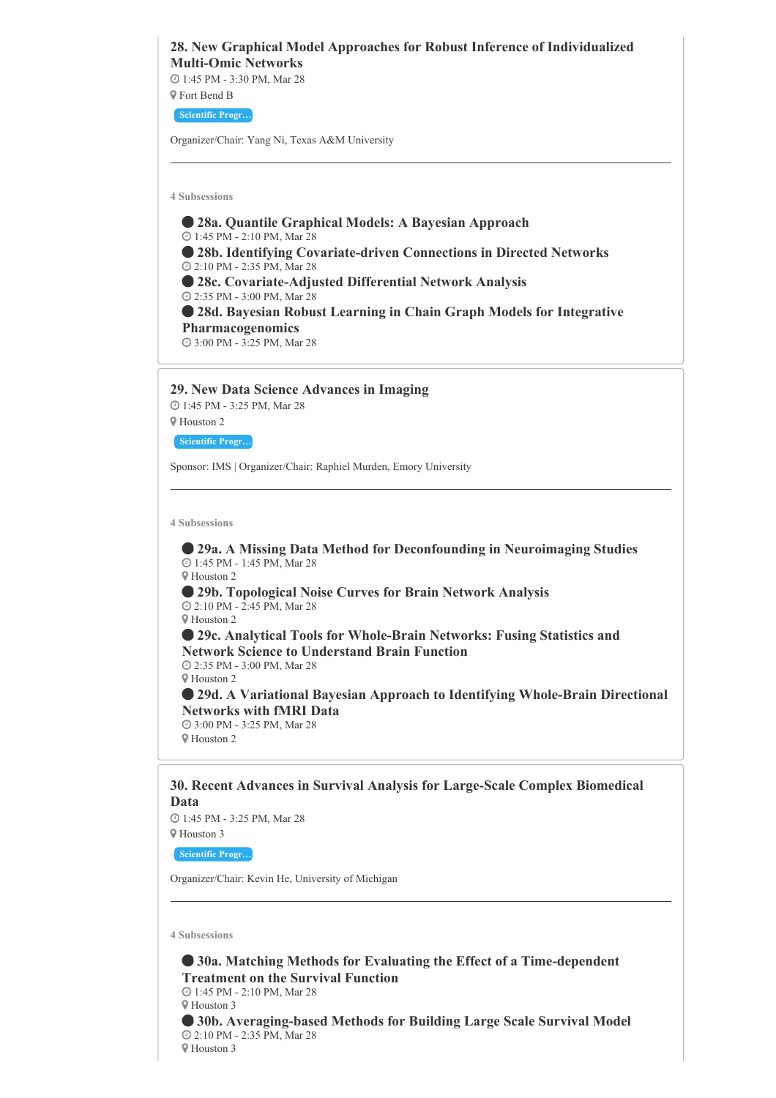# **28. New Graphical Model Approaches for Robust Inference of Individualized Multi-Omic Networks**

 1:45 PM - 3:30 PM, Mar 28 Fort Bend B

**Scientific Progr…**

Organizer/Chair: Yang Ni, Texas A&M University

**4 Subsessions**

 **28a. Quantile Graphical Models: A Bayesian Approach** 1:45 PM - 2:10 PM, Mar 28 **28b. Identifying Covariate-driven Connections in Directed Networks** 2:10 PM - 2:35 PM, Mar 28 **28c. Covariate-Adjusted Differential Network Analysis** 2:35 PM - 3:00 PM, Mar 28 **28d. Bayesian Robust Learning in Chain Graph Models for Integrative Pharmacogenomics** 3:00 PM - 3:25 PM, Mar 28

**29. New Data Science Advances in Imaging** 1:45 PM - 3:25 PM, Mar 28

Houston 2

**Scientific Progr…**

Sponsor: IMS | Organizer/Chair: Raphiel Murden, Emory University

**4 Subsessions**

 **29a. A Missing Data Method for Deconfounding in Neuroimaging Studies** 1:45 PM - 1:45 PM, Mar 28 Houston 2 **29b. Topological Noise Curves for Brain Network Analysis** 2:10 PM - 2:45 PM, Mar 28 Houston 2 **29c. Analytical Tools for Whole-Brain Networks: Fusing Statistics and**

**Network Science to Understand Brain Function** 2:35 PM - 3:00 PM, Mar 28 Houston 2 **29d. A Variational Bayesian Approach to Identifying Whole-Brain Directional Networks with fMRI Data**

 3:00 PM - 3:25 PM, Mar 28 Houston 2

**30. Recent Advances in Survival Analysis for Large-Scale Complex Biomedical Data**

 1:45 PM - 3:25 PM, Mar 28 Houston 3

**Scientific Progr…**

Organizer/Chair: Kevin He, University of Michigan

**4 Subsessions**

 **30a. Matching Methods for Evaluating the Effect of a Time-dependent Treatment on the Survival Function** 1:45 PM - 2:10 PM, Mar 28 Houston 3 **30b. Averaging-based Methods for Building Large Scale Survival Model** 2:10 PM - 2:35 PM, Mar 28 Houston 3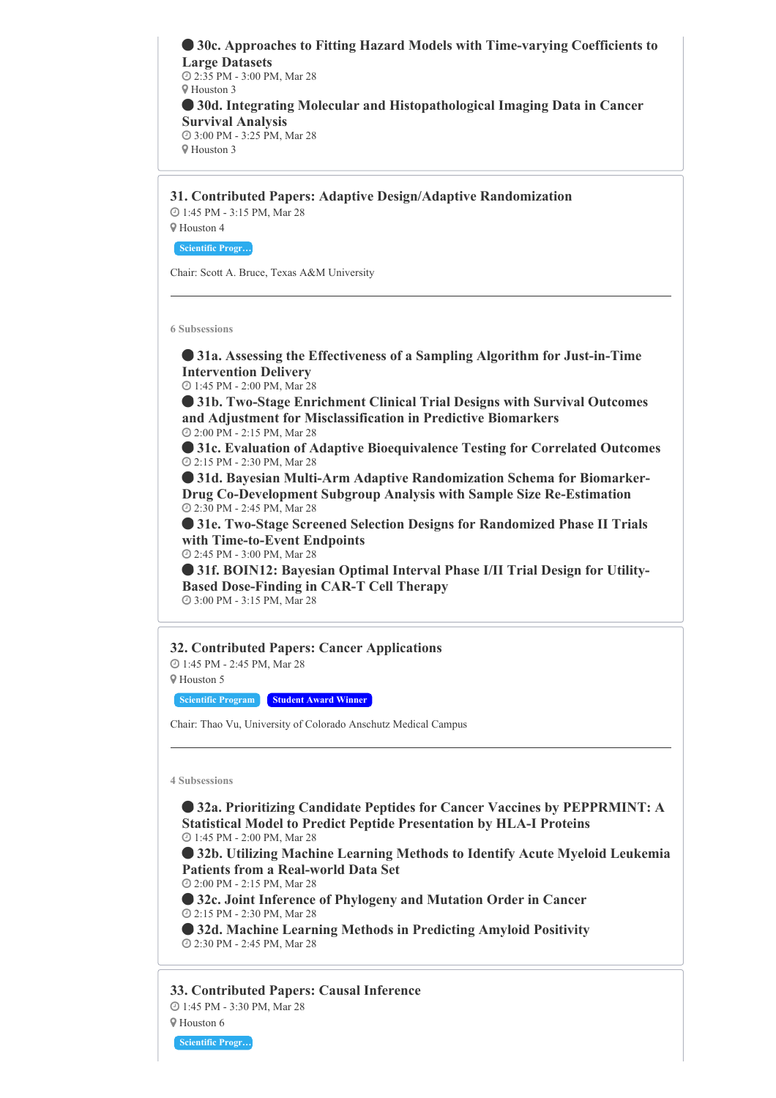**30c. Approaches to Fitting Hazard Models with Time-varying Coefficients to Large Datasets** 2:35 PM - 3:00 PM, Mar 28  $\mathbb Q$  Houston 3 **30d. Integrating Molecular and Histopathological Imaging Data in Cancer Survival Analysis** 3:00 PM - 3:25 PM, Mar 28 Houston 3

**31. Contributed Papers: Adaptive Design/Adaptive Randomization** 1:45 PM - 3:15 PM, Mar 28

Houston 4

**Scientific Progr…**

Chair: Scott A. Bruce, Texas A&M University

**6 Subsessions**

 **31a. Assessing the Effectiveness of a Sampling Algorithm for Just-in-Time Intervention Delivery**

1:45 PM - 2:00 PM, Mar 28

 **31b. Two-Stage Enrichment Clinical Trial Designs with Survival Outcomes and Adjustment for Misclassification in Predictive Biomarkers** 2:00 PM - 2:15 PM, Mar 28

 **31c. Evaluation of Adaptive Bioequivalence Testing for Correlated Outcomes** 2:15 PM - 2:30 PM, Mar 28

 **31d. Bayesian Multi-Arm Adaptive Randomization Schema for Biomarker-Drug Co-Development Subgroup Analysis with Sample Size Re-Estimation** 2:30 PM - 2:45 PM, Mar 28

 **31e. Two-Stage Screened Selection Designs for Randomized Phase II Trials with Time-to-Event Endpoints** 2:45 PM - 3:00 PM, Mar 28

 **31f. BOIN12: Bayesian Optimal Interval Phase I/II Trial Design for Utility-Based Dose-Finding in CAR-T Cell Therapy**

3:00 PM - 3:15 PM, Mar 28

#### **32. Contributed Papers: Cancer Applications**

 1:45 PM - 2:45 PM, Mar 28 Houston 5

**Scientific Program Student Award Winner**

Chair: Thao Vu, University of Colorado Anschutz Medical Campus

**4 Subsessions**

 **32a. Prioritizing Candidate Peptides for Cancer Vaccines by PEPPRMINT: A Statistical Model to Predict Peptide Presentation by HLA-I Proteins** 1:45 PM - 2:00 PM, Mar 28

 **32b. Utilizing Machine Learning Methods to Identify Acute Myeloid Leukemia Patients from a Real-world Data Set**

2:00 PM - 2:15 PM, Mar 28

 **32c. Joint Inference of Phylogeny and Mutation Order in Cancer** 2:15 PM - 2:30 PM, Mar 28

 **32d. Machine Learning Methods in Predicting Amyloid Positivity** 2:30 PM - 2:45 PM, Mar 28

**33. Contributed Papers: Causal Inference** 1:45 PM - 3:30 PM, Mar 28

Houston 6

**Scientific Progr…**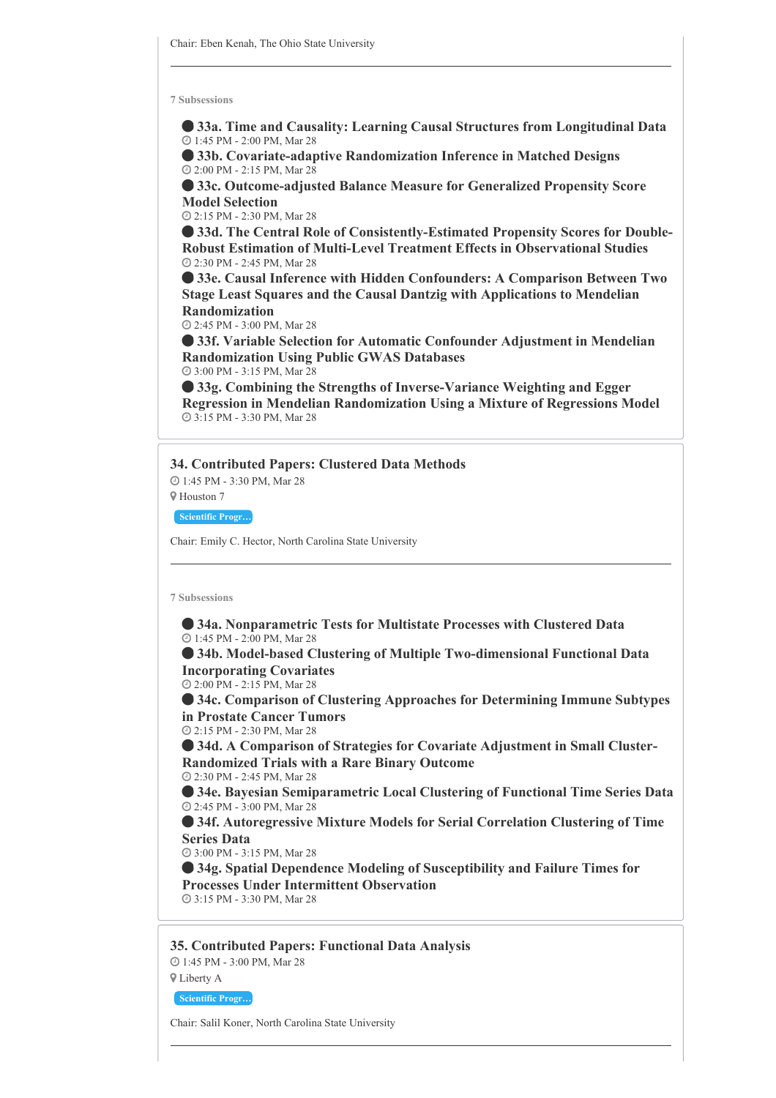**33a. Time and Causality: Learning Causal Structures from Longitudinal Data** 1:45 PM - 2:00 PM, Mar 28

 **33b. Covariate-adaptive Randomization Inference in Matched Designs** 2:00 PM - 2:15 PM, Mar 28

 **33c. Outcome-adjusted Balance Measure for Generalized Propensity Score Model Selection**

2:15 PM - 2:30 PM, Mar 28

 **33d. The Central Role of Consistently-Estimated Propensity Scores for Double-Robust Estimation of Multi-Level Treatment Effects in Observational Studies** 2:30 PM - 2:45 PM, Mar 28

 **33e. Causal Inference with Hidden Confounders: A Comparison Between Two Stage Least Squares and the Causal Dantzig with Applications to Mendelian Randomization**

2:45 PM - 3:00 PM, Mar 28

 **33f. Variable Selection for Automatic Confounder Adjustment in Mendelian Randomization Using Public GWAS Databases**

3:00 PM - 3:15 PM, Mar 28

 **33g. Combining the Strengths of Inverse-Variance Weighting and Egger Regression in Mendelian Randomization Using a Mixture of Regressions Model** 3:15 PM - 3:30 PM, Mar 28

#### **34. Contributed Papers: Clustered Data Methods**

 1:45 PM - 3:30 PM, Mar 28 Houston 7

**Scientific Progr…**

Chair: Emily C. Hector, North Carolina State University

#### **7 Subsessions**

 **34a. Nonparametric Tests for Multistate Processes with Clustered Data** 1:45 PM - 2:00 PM, Mar 28

 **34b. Model-based Clustering of Multiple Two-dimensional Functional Data Incorporating Covariates**

2:00 PM - 2:15 PM, Mar 28

 **34c. Comparison of Clustering Approaches for Determining Immune Subtypes in Prostate Cancer Tumors**

2:15 PM - 2:30 PM, Mar 28

 **34d. A Comparison of Strategies for Covariate Adjustment in Small Cluster-Randomized Trials with a Rare Binary Outcome**

2:30 PM - 2:45 PM, Mar 28

 **34e. Bayesian Semiparametric Local Clustering of Functional Time Series Data** 2:45 PM - 3:00 PM, Mar 28

 **34f. Autoregressive Mixture Models for Serial Correlation Clustering of Time Series Data**

3:00 PM - 3:15 PM, Mar 28

 **34g. Spatial Dependence Modeling of Susceptibility and Failure Times for Processes Under Intermittent Observation** 3:15 PM - 3:30 PM, Mar 28

**35. Contributed Papers: Functional Data Analysis** 1:45 PM - 3:00 PM, Mar 28 Liberty A

**Scientific Progr…**

Chair: Salil Koner, North Carolina State University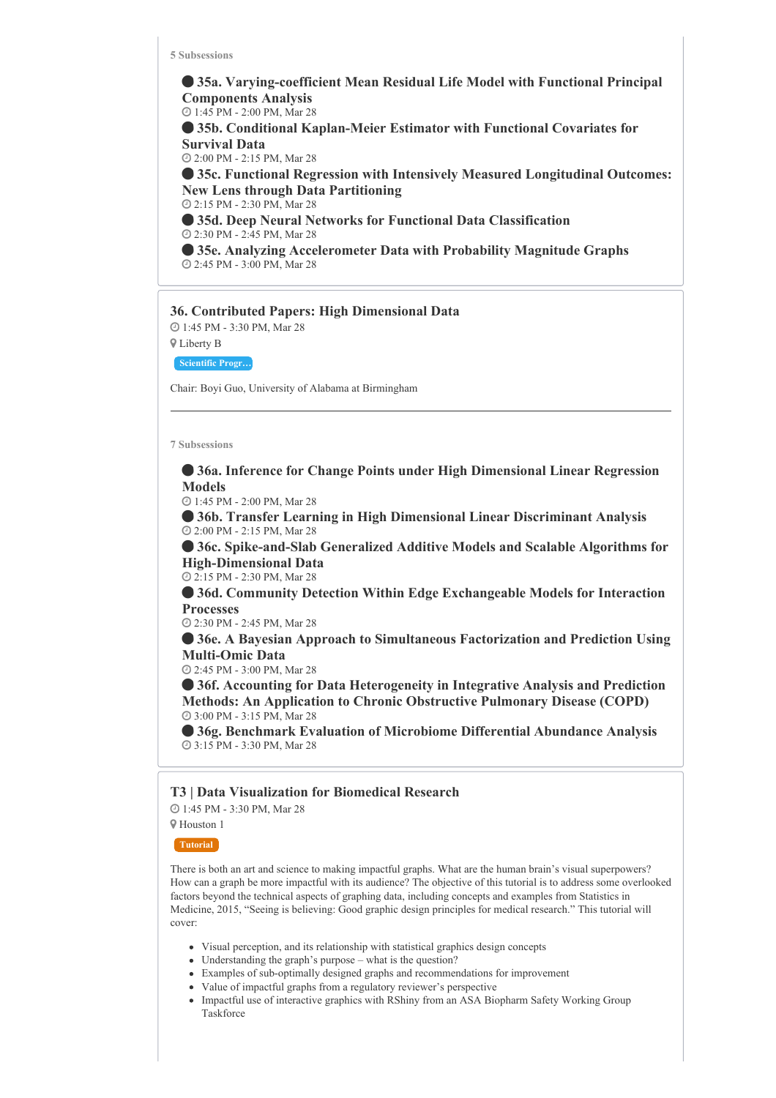**35a. Varying-coefficient Mean Residual Life Model with Functional Principal Components Analysis** 1:45 PM - 2:00 PM, Mar 28

 **35b. Conditional Kaplan-Meier Estimator with Functional Covariates for Survival Data**

2:00 PM - 2:15 PM, Mar 28

 **35c. Functional Regression with Intensively Measured Longitudinal Outcomes: New Lens through Data Partitioning**

2:15 PM - 2:30 PM, Mar 28

 **35d. Deep Neural Networks for Functional Data Classification** 2:30 PM - 2:45 PM, Mar 28

 **35e. Analyzing Accelerometer Data with Probability Magnitude Graphs** 2:45 PM - 3:00 PM, Mar 28

#### **36. Contributed Papers: High Dimensional Data**

 1:45 PM - 3:30 PM, Mar 28 Liberty B

**Scientific Progr…**

Chair: Boyi Guo, University of Alabama at Birmingham

**7 Subsessions**

 **36a. Inference for Change Points under High Dimensional Linear Regression Models**

1:45 PM - 2:00 PM, Mar 28

 **36b. Transfer Learning in High Dimensional Linear Discriminant Analysis** 2:00 PM - 2:15 PM, Mar 28

 **36c. Spike-and-Slab Generalized Additive Models and Scalable Algorithms for High-Dimensional Data**

2:15 PM - 2:30 PM, Mar 28

 **36d. Community Detection Within Edge Exchangeable Models for Interaction Processes**

2:30 PM - 2:45 PM, Mar 28

 **36e. A Bayesian Approach to Simultaneous Factorization and Prediction Using Multi-Omic Data**

2:45 PM - 3:00 PM, Mar 28

 **36f. Accounting for Data Heterogeneity in Integrative Analysis and Prediction Methods: An Application to Chronic Obstructive Pulmonary Disease (COPD)** 3:00 PM - 3:15 PM, Mar 28

 **36g. Benchmark Evaluation of Microbiome Differential Abundance Analysis** 3:15 PM - 3:30 PM, Mar 28

### **T3 | Data Visualization for Biomedical Research**

 1:45 PM - 3:30 PM, Mar 28 Houston 1

**Tutorial**

There is both an art and science to making impactful graphs. What are the human brain's visual superpowers? How can a graph be more impactful with its audience? The objective of this tutorial is to address some overlooked factors beyond the technical aspects of graphing data, including concepts and examples from Statistics in Medicine, 2015, "Seeing is believing: Good graphic design principles for medical research." This tutorial will cover:

- Visual perception, and its relationship with statistical graphics design concepts
- Understanding the graph's purpose what is the question?
- Examples of sub-optimally designed graphs and recommendations for improvement
- Value of impactful graphs from a regulatory reviewer's perspective
- Impactful use of interactive graphics with RShiny from an ASA Biopharm Safety Working Group Taskforce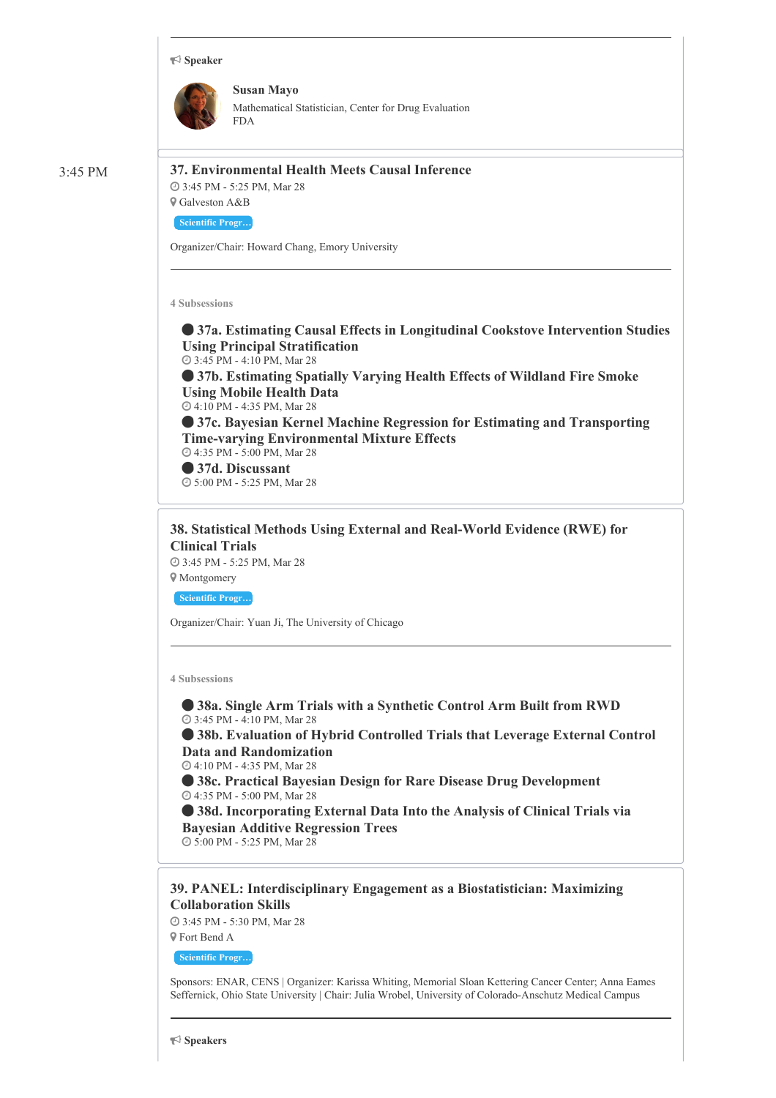#### **Speaker**



**Susan Mayo** Mathematical Statistician, Center for Drug Evaluation FDA

3:45 PM **37. Environmental Health Meets Causal Inference**

Galveston A&B

3:45 PM - 5:25 PM, Mar 28

**Scientific Progr…**

Organizer/Chair: Howard Chang, Emory University

**4 Subsessions**

 **37a. Estimating Causal Effects in Longitudinal Cookstove Intervention Studies Using Principal Stratification**

3:45 PM - 4:10 PM, Mar 28

 **37b. Estimating Spatially Varying Health Effects of Wildland Fire Smoke Using Mobile Health Data**

4:10 PM - 4:35 PM, Mar 28

 **37c. Bayesian Kernel Machine Regression for Estimating and Transporting Time-varying Environmental Mixture Effects**

 4:35 PM - 5:00 PM, Mar 28 **37d. Discussant**

5:00 PM - 5:25 PM, Mar 28

**38. Statistical Methods Using External and Real-World Evidence (RWE) for Clinical Trials**

 3:45 PM - 5:25 PM, Mar 28 Montgomery

**Scientific Progr…**

Organizer/Chair: Yuan Ji, The University of Chicago

**4 Subsessions**

 **38a. Single Arm Trials with a Synthetic Control Arm Built from RWD** 3:45 PM - 4:10 PM, Mar 28

 **38b. Evaluation of Hybrid Controlled Trials that Leverage External Control Data and Randomization**

4:10 PM - 4:35 PM, Mar 28

 **38c. Practical Bayesian Design for Rare Disease Drug Development** 4:35 PM - 5:00 PM, Mar 28

 **38d. Incorporating External Data Into the Analysis of Clinical Trials via Bayesian Additive Regression Trees**

5:00 PM - 5:25 PM, Mar 28

**39. PANEL: Interdisciplinary Engagement as a Biostatistician: Maximizing Collaboration Skills**

 3:45 PM - 5:30 PM, Mar 28 Fort Bend A

**Scientific Progr…**

Sponsors: ENAR, CENS | Organizer: Karissa Whiting, Memorial Sloan Kettering Cancer Center; Anna Eames Seffernick, Ohio State University | Chair: Julia Wrobel, University of Colorado-Anschutz Medical Campus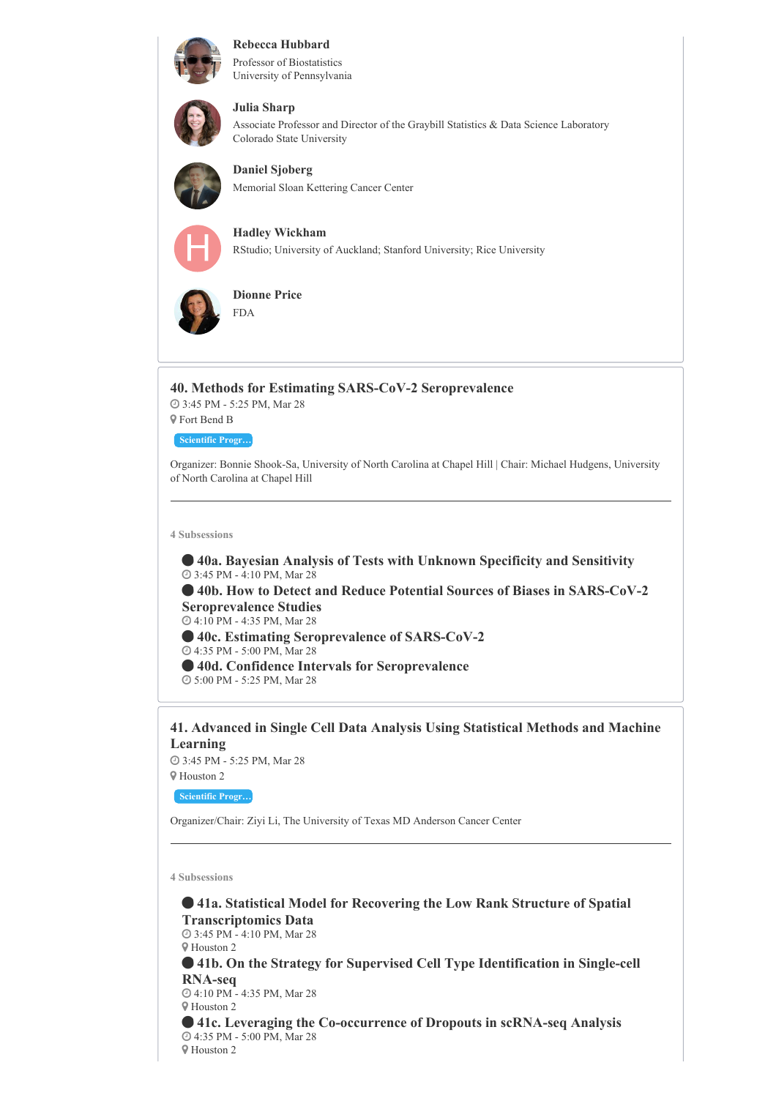



#### Professor of Biostatistics University of Pennsylvania



# **Julia Sharp**

Associate Professor and Director of the Graybill Statistics & Data Science Laboratory Colorado State University



**Daniel Sjoberg** Memorial Sloan Kettering Cancer Center

**Hadley Wickham** RStudio; University of Auckland; Stanford University; Rice University



**Dionne Price** FDA

**40. Methods for Estimating SARS-CoV-2 Seroprevalence** 3:45 PM - 5:25 PM, Mar 28 Fort Bend B **Scientific Progr…**

Organizer: Bonnie Shook-Sa, University of North Carolina at Chapel Hill | Chair: Michael Hudgens, University of North Carolina at Chapel Hill

**4 Subsessions**

 **40a. Bayesian Analysis of Tests with Unknown Specificity and Sensitivity** 3:45 PM - 4:10 PM, Mar 28

 **40b. How to Detect and Reduce Potential Sources of Biases in SARS-CoV-2 Seroprevalence Studies** 4:10 PM - 4:35 PM, Mar 28

**40c. Estimating Seroprevalence of SARS-CoV-2**

4:35 PM - 5:00 PM, Mar 28

**40d. Confidence Intervals for Seroprevalence**

5:00 PM - 5:25 PM, Mar 28

**41. Advanced in Single Cell Data Analysis Using Statistical Methods and Machine Learning**

 3:45 PM - 5:25 PM, Mar 28 Houston 2

**Scientific Progr…**

Organizer/Chair: Ziyi Li, The University of Texas MD Anderson Cancer Center

**4 Subsessions**

 **41a. Statistical Model for Recovering the Low Rank Structure of Spatial Transcriptomics Data** 3:45 PM - 4:10 PM, Mar 28 Houston 2 **41b. On the Strategy for Supervised Cell Type Identification in Single-cell RNA-seq** 4:10 PM - 4:35 PM, Mar 28 Houston 2 **41c. Leveraging the Co-occurrence of Dropouts in scRNA-seq Analysis** 4:35 PM - 5:00 PM, Mar 28 Houston 2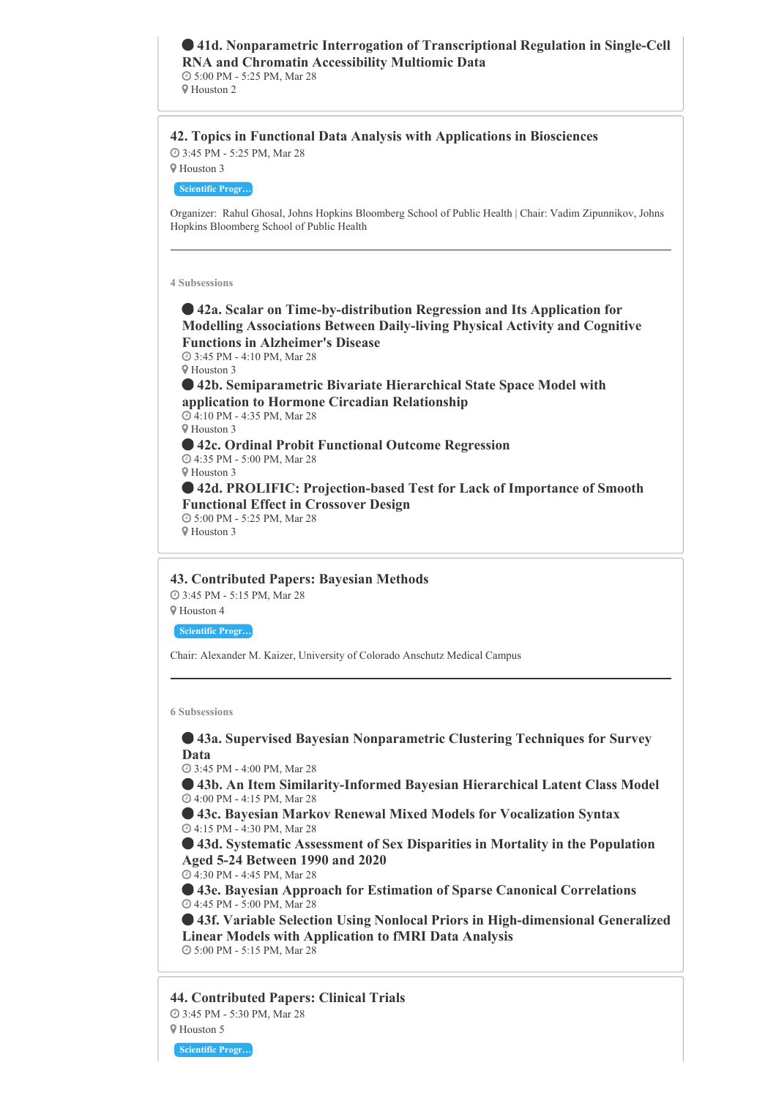# **41d. Nonparametric Interrogation of Transcriptional Regulation in Single-Cell RNA and Chromatin Accessibility Multiomic Data** 5:00 PM - 5:25 PM, Mar 28

Houston 2

# **42. Topics in Functional Data Analysis with Applications in Biosciences**

 3:45 PM - 5:25 PM, Mar 28 Houston 3

**Scientific Progr…**

Organizer: Rahul Ghosal, Johns Hopkins Bloomberg School of Public Health | Chair: Vadim Zipunnikov, Johns Hopkins Bloomberg School of Public Health

#### **4 Subsessions**

 **42a. Scalar on Time-by-distribution Regression and Its Application for Modelling Associations Between Daily-living Physical Activity and Cognitive Functions in Alzheimer's Disease** 3:45 PM - 4:10 PM, Mar 28 Houston 3

 **42b. Semiparametric Bivariate Hierarchical State Space Model with application to Hormone Circadian Relationship** 4:10 PM - 4:35 PM, Mar 28 Houston 3 **42c. Ordinal Probit Functional Outcome Regression** 4:35 PM - 5:00 PM, Mar 28 Houston 3 **42d. PROLIFIC: Projection-based Test for Lack of Importance of Smooth Functional Effect in Crossover Design** 5:00 PM - 5:25 PM, Mar 28 Houston 3

# **43. Contributed Papers: Bayesian Methods**

3:45 PM - 5:15 PM, Mar 28

Houston 4

**Scientific Progr…**

Chair: Alexander M. Kaizer, University of Colorado Anschutz Medical Campus

**6 Subsessions**

 **43a. Supervised Bayesian Nonparametric Clustering Techniques for Survey Data**

3:45 PM - 4:00 PM, Mar 28

 **43b. An Item Similarity-Informed Bayesian Hierarchical Latent Class Model** 4:00 PM - 4:15 PM, Mar 28

 **43c. Bayesian Markov Renewal Mixed Models for Vocalization Syntax** 4:15 PM - 4:30 PM, Mar 28

 **43d. Systematic Assessment of Sex Disparities in Mortality in the Population Aged 5-24 Between 1990 and 2020**

4:30 PM - 4:45 PM, Mar 28

 **43e. Bayesian Approach for Estimation of Sparse Canonical Correlations** 4:45 PM - 5:00 PM, Mar 28

 **43f. Variable Selection Using Nonlocal Priors in High-dimensional Generalized Linear Models with Application to fMRI Data Analysis** 5:00 PM - 5:15 PM, Mar 28

**44. Contributed Papers: Clinical Trials** 3:45 PM - 5:30 PM, Mar 28 Houston 5

**Scientific Progr…**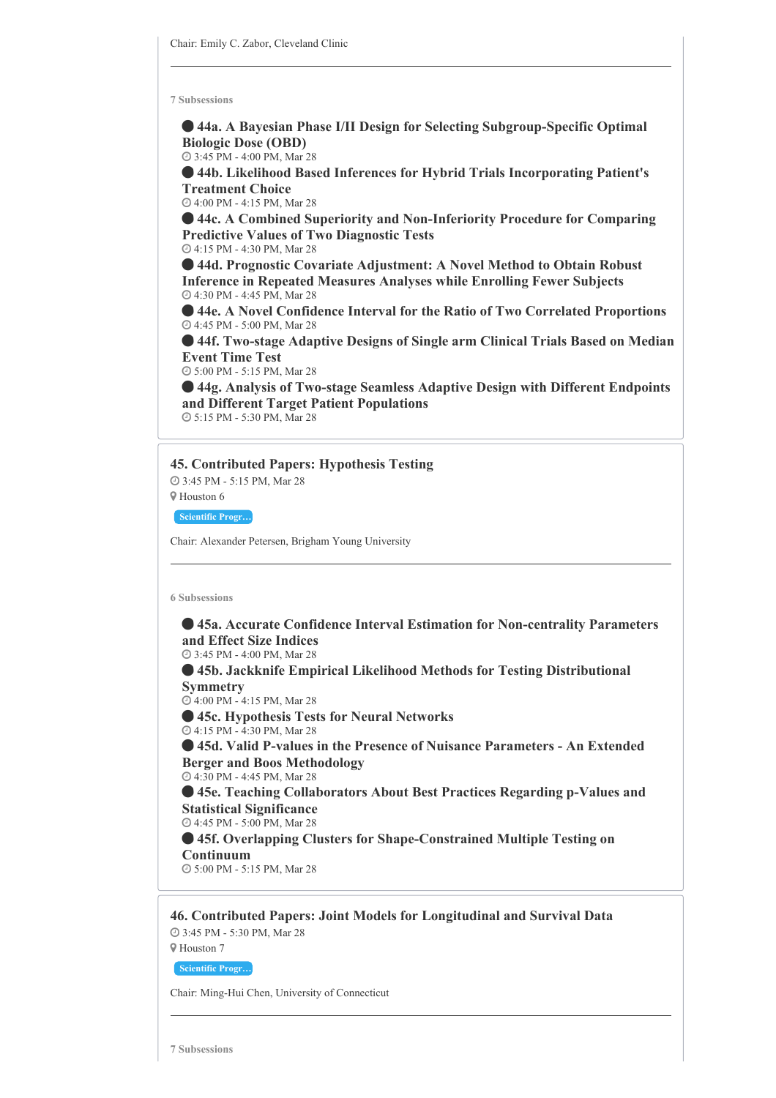**44a. A Bayesian Phase I/II Design for Selecting Subgroup-Specific Optimal Biologic Dose (OBD)**

3:45 PM - 4:00 PM, Mar 28

 **44b. Likelihood Based Inferences for Hybrid Trials Incorporating Patient's Treatment Choice**

4:00 PM - 4:15 PM, Mar 28

 **44c. A Combined Superiority and Non-Inferiority Procedure for Comparing Predictive Values of Two Diagnostic Tests** 4:15 PM - 4:30 PM, Mar 28

 **44d. Prognostic Covariate Adjustment: A Novel Method to Obtain Robust Inference in Repeated Measures Analyses while Enrolling Fewer Subjects** 4:30 PM - 4:45 PM, Mar 28

 **44e. A Novel Confidence Interval for the Ratio of Two Correlated Proportions** 4:45 PM - 5:00 PM, Mar 28

 **44f. Two-stage Adaptive Designs of Single arm Clinical Trials Based on Median Event Time Test**

5:00 PM - 5:15 PM, Mar 28

 **44g. Analysis of Two-stage Seamless Adaptive Design with Different Endpoints and Different Target Patient Populations**

5:15 PM - 5:30 PM, Mar 28

#### **45. Contributed Papers: Hypothesis Testing**

 3:45 PM - 5:15 PM, Mar 28 Houston 6

**Scientific Progr…**

Chair: Alexander Petersen, Brigham Young University

#### **6 Subsessions**

 **45a. Accurate Confidence Interval Estimation for Non-centrality Parameters and Effect Size Indices**

3:45 PM - 4:00 PM, Mar 28

 **45b. Jackknife Empirical Likelihood Methods for Testing Distributional Symmetry**

4:00 PM - 4:15 PM, Mar 28

**45c. Hypothesis Tests for Neural Networks**

4:15 PM - 4:30 PM, Mar 28

 **45d. Valid P-values in the Presence of Nuisance Parameters - An Extended Berger and Boos Methodology**

4:30 PM - 4:45 PM, Mar 28

 **45e. Teaching Collaborators About Best Practices Regarding p-Values and Statistical Significance**

4:45 PM - 5:00 PM, Mar 28

 **45f. Overlapping Clusters for Shape-Constrained Multiple Testing on Continuum**

5:00 PM - 5:15 PM, Mar 28

**46. Contributed Papers: Joint Models for Longitudinal and Survival Data** 3:45 PM - 5:30 PM, Mar 28

Houston 7

**Scientific Progr…**

Chair: Ming-Hui Chen, University of Connecticut

**7 Subsessions**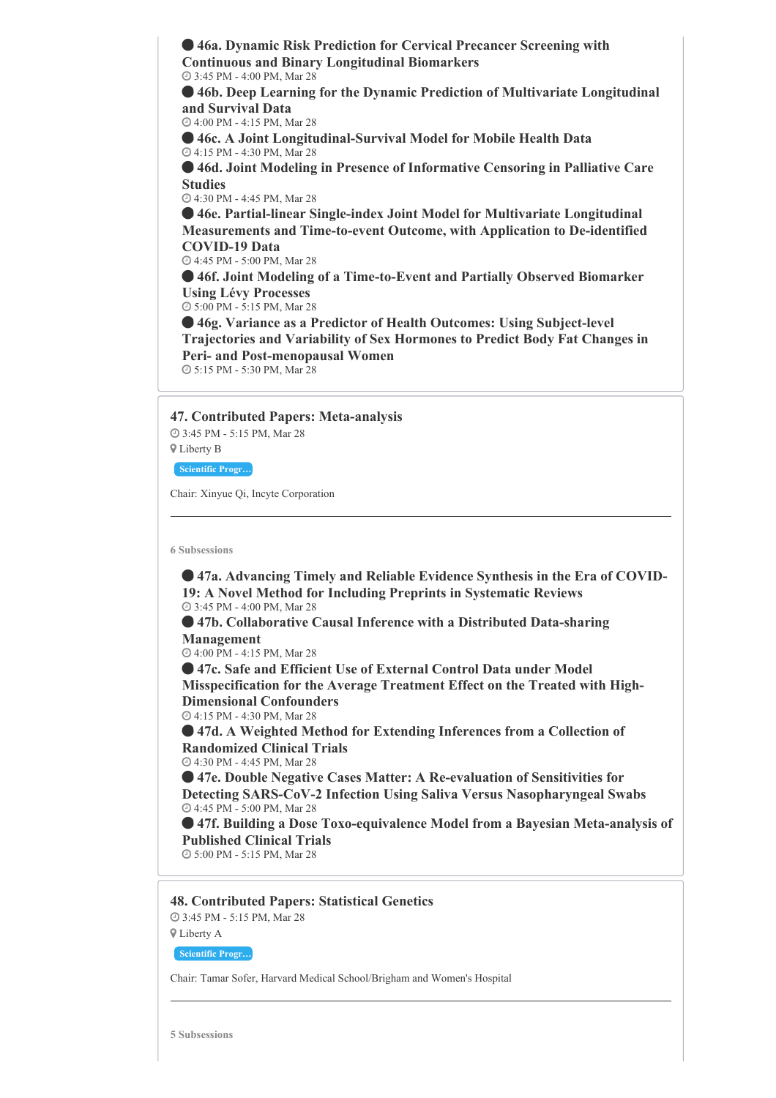**46a. Dynamic Risk Prediction for Cervical Precancer Screening with Continuous and Binary Longitudinal Biomarkers** 3:45 PM - 4:00 PM, Mar 28

 **46b. Deep Learning for the Dynamic Prediction of Multivariate Longitudinal and Survival Data**

4:00 PM - 4:15 PM, Mar 28

 **46c. A Joint Longitudinal-Survival Model for Mobile Health Data** 4:15 PM - 4:30 PM, Mar 28

 **46d. Joint Modeling in Presence of Informative Censoring in Palliative Care Studies**

4:30 PM - 4:45 PM, Mar 28

 **46e. Partial-linear Single-index Joint Model for Multivariate Longitudinal Measurements and Time-to-event Outcome, with Application to De-identified COVID-19 Data**

4:45 PM - 5:00 PM, Mar 28

 **46f. Joint Modeling of a Time-to-Event and Partially Observed Biomarker Using Lévy Processes**

5:00 PM - 5:15 PM, Mar 28

 **46g. Variance as a Predictor of Health Outcomes: Using Subject-level Trajectories and Variability of Sex Hormones to Predict Body Fat Changes in Peri- and Post-menopausal Women** 5:15 PM - 5:30 PM, Mar 28

**47. Contributed Papers: Meta-analysis**

 3:45 PM - 5:15 PM, Mar 28 Liberty B

**Scientific Progr…**

Chair: Xinyue Qi, Incyte Corporation

**6 Subsessions**

 **47a. Advancing Timely and Reliable Evidence Synthesis in the Era of COVID-19: A Novel Method for Including Preprints in Systematic Reviews** 3:45 PM - 4:00 PM, Mar 28

 **47b. Collaborative Causal Inference with a Distributed Data-sharing Management**

4:00 PM - 4:15 PM, Mar 28

 **47c. Safe and Efficient Use of External Control Data under Model Misspecification for the Average Treatment Effect on the Treated with High-Dimensional Confounders** 4:15 PM - 4:30 PM, Mar 28

 **47d. A Weighted Method for Extending Inferences from a Collection of Randomized Clinical Trials** 4:30 PM - 4:45 PM, Mar 28

 **47e. Double Negative Cases Matter: A Re-evaluation of Sensitivities for Detecting SARS-CoV-2 Infection Using Saliva Versus Nasopharyngeal Swabs** 4:45 PM - 5:00 PM, Mar 28

 **47f. Building a Dose Toxo-equivalence Model from a Bayesian Meta-analysis of Published Clinical Trials**

5:00 PM - 5:15 PM, Mar 28

**48. Contributed Papers: Statistical Genetics**

 3:45 PM - 5:15 PM, Mar 28 Liberty A

**Scientific Progr…**

Chair: Tamar Sofer, Harvard Medical School/Brigham and Women's Hospital

**5 Subsessions**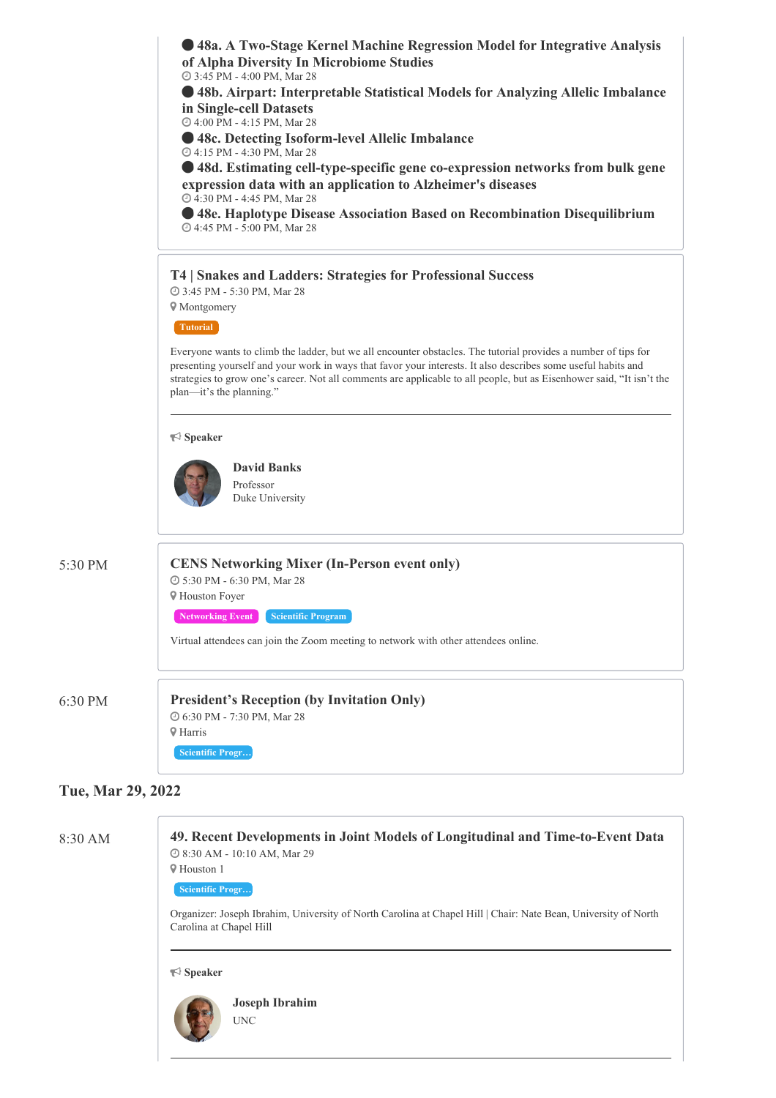**48a. A Two-Stage Kernel Machine Regression Model for Integrative Analysis of Alpha Diversity In Microbiome Studies**

3:45 PM - 4:00 PM, Mar 28

 **48b. Airpart: Interpretable Statistical Models for Analyzing Allelic Imbalance in Single-cell Datasets**

4:00 PM - 4:15 PM, Mar 28

**48c. Detecting Isoform-level Allelic Imbalance**

4:15 PM - 4:30 PM, Mar 28

 **48d. Estimating cell-type-specific gene co-expression networks from bulk gene expression data with an application to Alzheimer's diseases** 4:30 PM - 4:45 PM, Mar 28

**48e. Haplotype Disease Association Based on Recombination Disequilibrium**

4:45 PM - 5:00 PM, Mar 28

# **T4 | Snakes and Ladders: Strategies for Professional Success**

3:45 PM - 5:30 PM, Mar 28

**V** Montgomery

**Tutorial**

Everyone wants to climb the ladder, but we all encounter obstacles. The tutorial provides a number of tips for presenting yourself and your work in ways that favor your interests. It also describes some useful habits and strategies to grow one's career. Not all comments are applicable to all people, but as Eisenhower said, "It isn't the plan—it's the planning."

#### **Speaker**



# 5:30 PM **CENS Networking Mixer (In-Person event only)** 5:30 PM - 6:30 PM, Mar 28 Houston Foyer

**Networking Event Scientific Program** 

Virtual attendees can join the Zoom meeting to network with other attendees online.

# 6:30 PM **President's Reception (by Invitation Only)** 6:30 PM - 7:30 PM, Mar 28 Harris

**Scientific Progr…**

# **Tue, Mar 29, 2022**

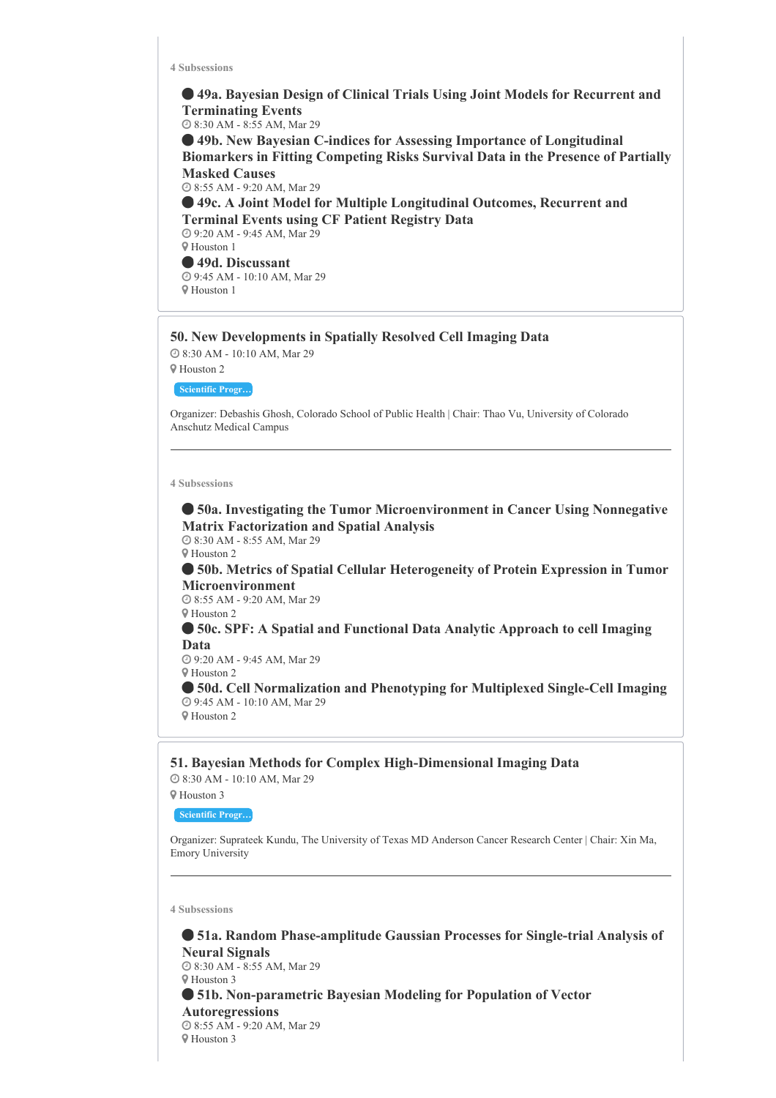**49a. Bayesian Design of Clinical Trials Using Joint Models for Recurrent and Terminating Events** 8:30 AM - 8:55 AM, Mar 29 **49b. New Bayesian C-indices for Assessing Importance of Longitudinal Biomarkers in Fitting Competing Risks Survival Data in the Presence of Partially Masked Causes** 8:55 AM - 9:20 AM, Mar 29 **49c. A Joint Model for Multiple Longitudinal Outcomes, Recurrent and Terminal Events using CF Patient Registry Data** 9:20 AM - 9:45 AM, Mar 29 Houston 1

 **49d. Discussant** 9:45 AM - 10:10 AM, Mar 29 Houston 1

# **50. New Developments in Spatially Resolved Cell Imaging Data**

 8:30 AM - 10:10 AM, Mar 29 Houston 2

**Scientific Progr…**

Organizer: Debashis Ghosh, Colorado School of Public Health | Chair: Thao Vu, University of Colorado Anschutz Medical Campus

#### **4 Subsessions**

 **50a. Investigating the Tumor Microenvironment in Cancer Using Nonnegative Matrix Factorization and Spatial Analysis** 8:30 AM - 8:55 AM, Mar 29

Houston 2

 **50b. Metrics of Spatial Cellular Heterogeneity of Protein Expression in Tumor Microenvironment**

 8:55 AM - 9:20 AM, Mar 29 Houston 2

 **50c. SPF: A Spatial and Functional Data Analytic Approach to cell Imaging Data**

 9:20 AM - 9:45 AM, Mar 29 Houston 2

 **50d. Cell Normalization and Phenotyping for Multiplexed Single-Cell Imaging** 9:45 AM - 10:10 AM, Mar 29 Houston 2

**51. Bayesian Methods for Complex High-Dimensional Imaging Data** 8:30 AM - 10:10 AM, Mar 29

Houston 3

**Scientific Progr…**

Organizer: Suprateek Kundu, The University of Texas MD Anderson Cancer Research Center | Chair: Xin Ma, Emory University

**4 Subsessions**

 **51a. Random Phase-amplitude Gaussian Processes for Single-trial Analysis of Neural Signals** 8:30 AM - 8:55 AM, Mar 29 Houston 3 **51b. Non-parametric Bayesian Modeling for Population of Vector Autoregressions** 8:55 AM - 9:20 AM, Mar 29 Houston 3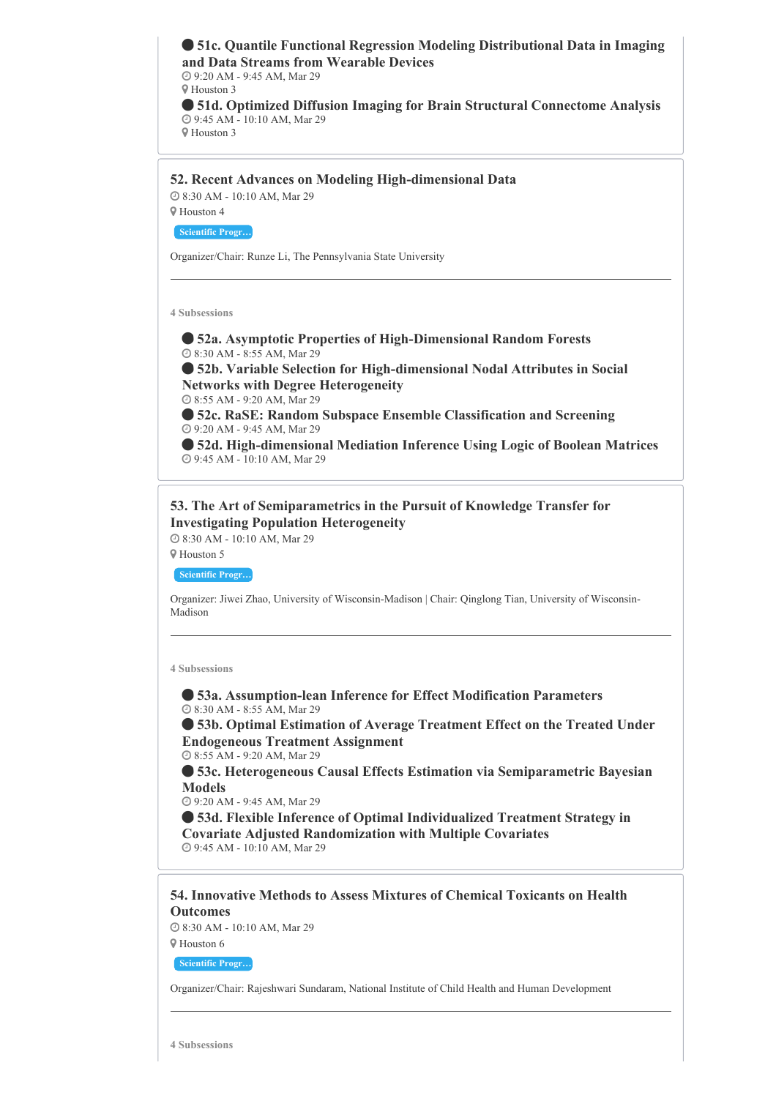**51c. Quantile Functional Regression Modeling Distributional Data in Imaging and Data Streams from Wearable Devices** 9:20 AM - 9:45 AM, Mar 29 Houston 3 **51d. Optimized Diffusion Imaging for Brain Structural Connectome Analysis** 9:45 AM - 10:10 AM, Mar 29 Houston 3

**52. Recent Advances on Modeling High-dimensional Data**

 8:30 AM - 10:10 AM, Mar 29 Houston 4

**Scientific Progr…**

Organizer/Chair: Runze Li, The Pennsylvania State University

**4 Subsessions**

 **52a. Asymptotic Properties of High-Dimensional Random Forests**  $\overline{Q}$  8:30 AM - 8:55 AM, Mar 29

 **52b. Variable Selection for High-dimensional Nodal Attributes in Social Networks with Degree Heterogeneity**

8:55 AM - 9:20 AM, Mar 29

 **52c. RaSE: Random Subspace Ensemble Classification and Screening** 9:20 AM - 9:45 AM, Mar 29

 **52d. High-dimensional Mediation Inference Using Logic of Boolean Matrices** 9:45 AM - 10:10 AM, Mar 29

**53. The Art of Semiparametrics in the Pursuit of Knowledge Transfer for Investigating Population Heterogeneity**

8:30 AM - 10:10 AM, Mar 29

Houston 5

**Scientific Progr…**

Organizer: Jiwei Zhao, University of Wisconsin-Madison | Chair: Qinglong Tian, University of Wisconsin-Madison

**4 Subsessions**

 **53a. Assumption-lean Inference for Effect Modification Parameters** 8:30 AM - 8:55 AM, Mar 29

 **53b. Optimal Estimation of Average Treatment Effect on the Treated Under Endogeneous Treatment Assignment**

8:55 AM - 9:20 AM, Mar 29

 **53c. Heterogeneous Causal Effects Estimation via Semiparametric Bayesian Models**

9:20 AM - 9:45 AM, Mar 29

 **53d. Flexible Inference of Optimal Individualized Treatment Strategy in Covariate Adjusted Randomization with Multiple Covariates** 9:45 AM - 10:10 AM, Mar 29

**54. Innovative Methods to Assess Mixtures of Chemical Toxicants on Health Outcomes**

 8:30 AM - 10:10 AM, Mar 29 Houston 6

**Scientific Progr…**

Organizer/Chair: Rajeshwari Sundaram, National Institute of Child Health and Human Development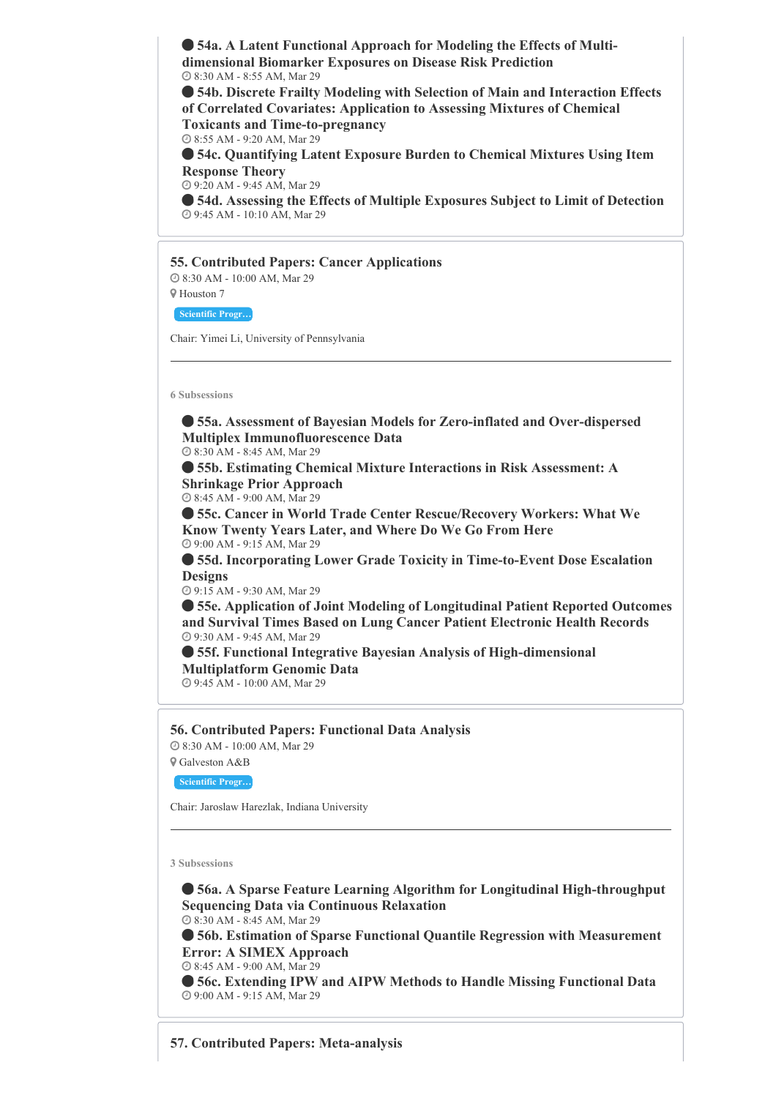**54a. A Latent Functional Approach for Modeling the Effects of Multidimensional Biomarker Exposures on Disease Risk Prediction** 8:30 AM - 8:55 AM, Mar 29

 **54b. Discrete Frailty Modeling with Selection of Main and Interaction Effects of Correlated Covariates: Application to Assessing Mixtures of Chemical Toxicants and Time-to-pregnancy**

8:55 AM - 9:20 AM, Mar 29

 **54c. Quantifying Latent Exposure Burden to Chemical Mixtures Using Item Response Theory**

9:20 AM - 9:45 AM, Mar 29

 **54d. Assessing the Effects of Multiple Exposures Subject to Limit of Detection** 9:45 AM - 10:10 AM, Mar 29

**55. Contributed Papers: Cancer Applications** 8:30 AM - 10:00 AM, Mar 29

Houston 7

**Scientific Progr…**

Chair: Yimei Li, University of Pennsylvania

**6 Subsessions**

 **55a. Assessment of Bayesian Models for Zero-inflated and Over-dispersed Multiplex Immunofluorescence Data**

8:30 AM - 8:45 AM, Mar 29

 **55b. Estimating Chemical Mixture Interactions in Risk Assessment: A Shrinkage Prior Approach**

8:45 AM - 9:00 AM, Mar 29

 **55c. Cancer in World Trade Center Rescue/Recovery Workers: What We Know Twenty Years Later, and Where Do We Go From Here** 9:00 AM - 9:15 AM, Mar 29

 **55d. Incorporating Lower Grade Toxicity in Time-to-Event Dose Escalation Designs**

9:15 AM - 9:30 AM, Mar 29

 **55e. Application of Joint Modeling of Longitudinal Patient Reported Outcomes and Survival Times Based on Lung Cancer Patient Electronic Health Records** 9:30 AM - 9:45 AM, Mar 29

 **55f. Functional Integrative Bayesian Analysis of High-dimensional Multiplatform Genomic Data**

9:45 AM - 10:00 AM, Mar 29

**56. Contributed Papers: Functional Data Analysis** 8:30 AM - 10:00 AM, Mar 29

Galveston A&B

**Scientific Progr…**

Chair: Jaroslaw Harezlak, Indiana University

**3 Subsessions**

 **56a. A Sparse Feature Learning Algorithm for Longitudinal High-throughput Sequencing Data via Continuous Relaxation** 8:30 AM - 8:45 AM, Mar 29

**56b. Estimation of Sparse Functional Quantile Regression with Measurement**

**Error: A SIMEX Approach** 8:45 AM - 9:00 AM, Mar 29

 **56c. Extending IPW and AIPW Methods to Handle Missing Functional Data** 9:00 AM - 9:15 AM, Mar 29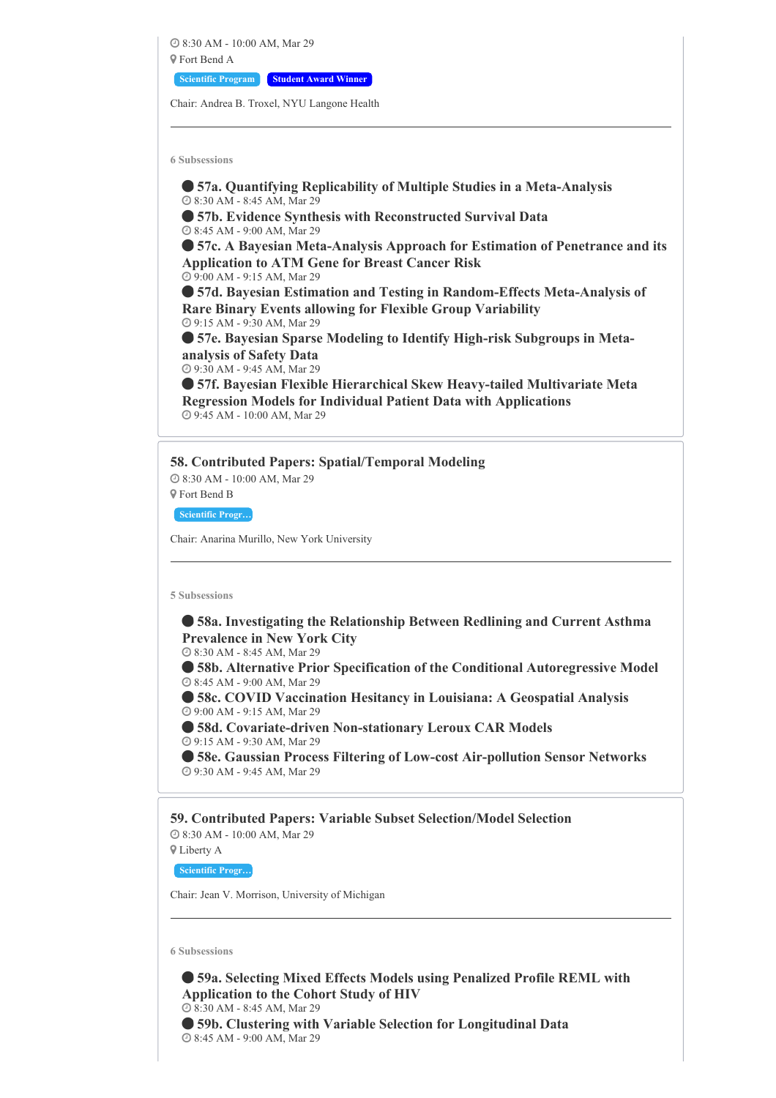8:30 AM - 10:00 AM, Mar 29 Fort Bend A **Scientific Program Student Award Winner**

Chair: Andrea B. Troxel, NYU Langone Health

**6 Subsessions**

 **57a. Quantifying Replicability of Multiple Studies in a Meta-Analysis** 8:30 AM - 8:45 AM, Mar 29

 **57b. Evidence Synthesis with Reconstructed Survival Data** 8:45 AM - 9:00 AM, Mar 29

 **57c. A Bayesian Meta-Analysis Approach for Estimation of Penetrance and its Application to ATM Gene for Breast Cancer Risk** 9:00 AM - 9:15 AM, Mar 29

 **57d. Bayesian Estimation and Testing in Random-Effects Meta-Analysis of Rare Binary Events allowing for Flexible Group Variability** 9:15 AM - 9:30 AM, Mar 29

 **57e. Bayesian Sparse Modeling to Identify High-risk Subgroups in Metaanalysis of Safety Data**

9:30 AM - 9:45 AM, Mar 29

 **57f. Bayesian Flexible Hierarchical Skew Heavy-tailed Multivariate Meta Regression Models for Individual Patient Data with Applications** 9:45 AM - 10:00 AM, Mar 29

# **58. Contributed Papers: Spatial/Temporal Modeling** 8:30 AM - 10:00 AM, Mar 29

Fort Bend B

**Scientific Progr…**

Chair: Anarina Murillo, New York University

**5 Subsessions**

 **58a. Investigating the Relationship Between Redlining and Current Asthma Prevalence in New York City**

8:30 AM - 8:45 AM, Mar 29

 **58b. Alternative Prior Specification of the Conditional Autoregressive Model** 8:45 AM - 9:00 AM, Mar 29

 **58c. COVID Vaccination Hesitancy in Louisiana: A Geospatial Analysis** 9:00 AM - 9:15 AM, Mar 29

 **58d. Covariate-driven Non-stationary Leroux CAR Models** 9:15 AM - 9:30 AM, Mar 29

 **58e. Gaussian Process Filtering of Low-cost Air-pollution Sensor Networks** 9:30 AM - 9:45 AM, Mar 29

**59. Contributed Papers: Variable Subset Selection/Model Selection** 8:30 AM - 10:00 AM, Mar 29 Liberty A

**Scientific Progr…**

Chair: Jean V. Morrison, University of Michigan

**6 Subsessions**

 **59a. Selecting Mixed Effects Models using Penalized Profile REML with Application to the Cohort Study of HIV 8:30 AM - 8:45 AM, Mar 29 59b. Clustering with Variable Selection for Longitudinal Data** 8:45 AM - 9:00 AM, Mar 29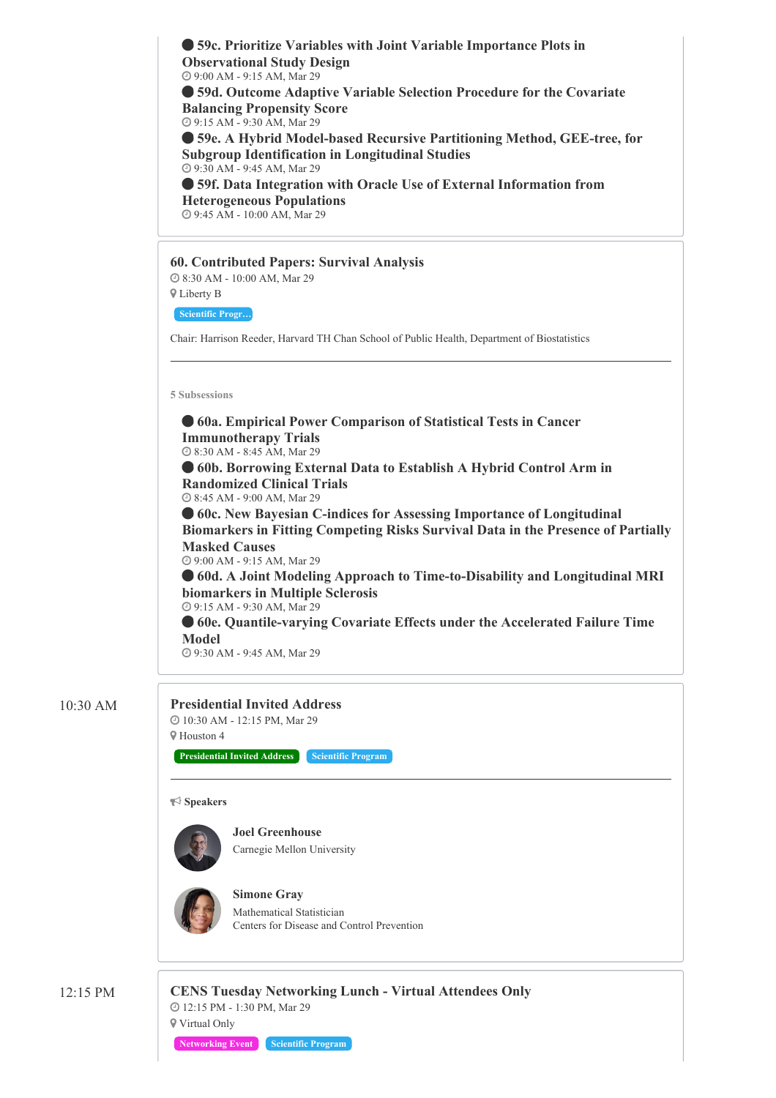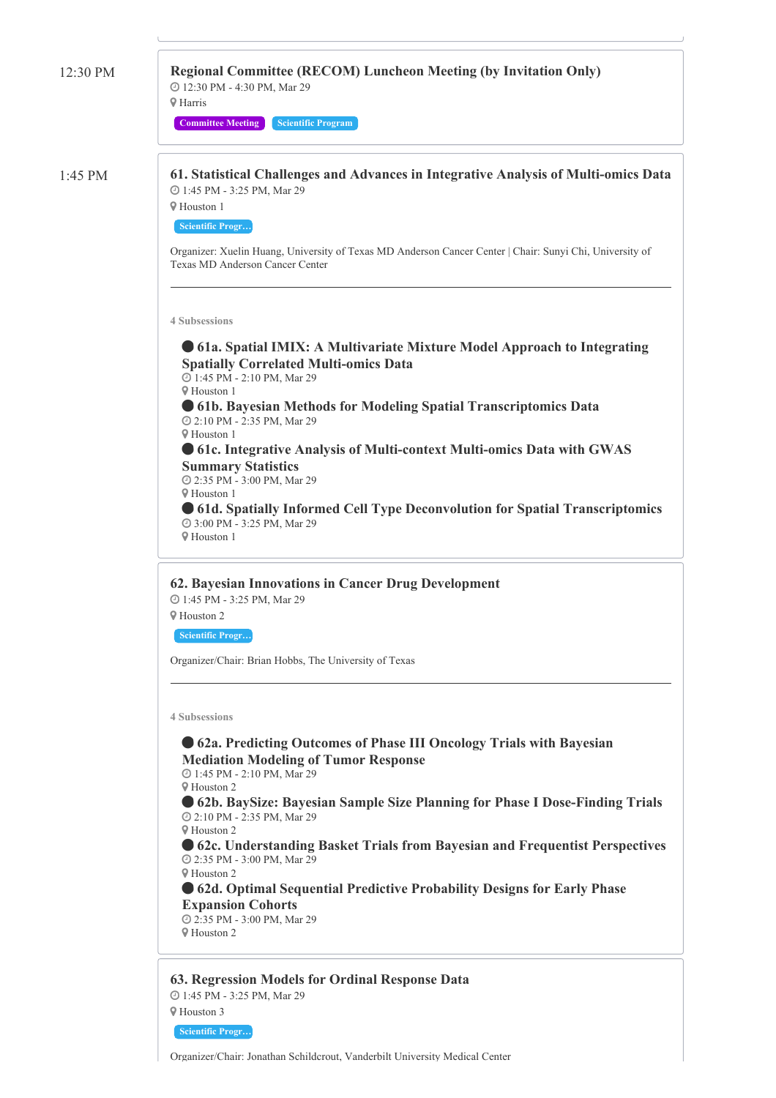| 12:30 PM  | <b>Regional Committee (RECOM) Luncheon Meeting (by Invitation Only)</b><br>@ 12:30 PM - 4:30 PM, Mar 29<br><b>V</b> Harris<br><b>Committee Meeting</b><br><b>Scientific Program</b>                                                                                                                                                                                                                                                                                                                                                                                                                                                    |
|-----------|----------------------------------------------------------------------------------------------------------------------------------------------------------------------------------------------------------------------------------------------------------------------------------------------------------------------------------------------------------------------------------------------------------------------------------------------------------------------------------------------------------------------------------------------------------------------------------------------------------------------------------------|
| $1:45$ PM | 61. Statistical Challenges and Advances in Integrative Analysis of Multi-omics Data<br>@ 1:45 PM - 3:25 PM, Mar 29<br><b>9 Houston 1</b><br><b>Scientific Progr</b><br>Organizer: Xuelin Huang, University of Texas MD Anderson Cancer Center   Chair: Sunyi Chi, University of                                                                                                                                                                                                                                                                                                                                                        |
|           | Texas MD Anderson Cancer Center<br><b>4 Subsessions</b><br>• 61a. Spatial IMIX: A Multivariate Mixture Model Approach to Integrating                                                                                                                                                                                                                                                                                                                                                                                                                                                                                                   |
|           | <b>Spatially Correlated Multi-omics Data</b><br>@ 1:45 PM - 2:10 PM, Mar 29<br><b>V</b> Houston 1<br>• 61b. Bayesian Methods for Modeling Spatial Transcriptomics Data<br>@ 2:10 PM - 2:35 PM, Mar 29<br><b>V</b> Houston 1<br>• 61c. Integrative Analysis of Multi-context Multi-omics Data with GWAS<br><b>Summary Statistics</b><br>@ 2:35 PM - 3:00 PM, Mar 29                                                                                                                                                                                                                                                                     |
|           | <b>V</b> Houston 1<br>• 61d. Spatially Informed Cell Type Deconvolution for Spatial Transcriptomics<br>@ 3:00 PM - 3:25 PM, Mar 29<br><b>V</b> Houston 1                                                                                                                                                                                                                                                                                                                                                                                                                                                                               |
|           | 62. Bayesian Innovations in Cancer Drug Development<br>@ 1:45 PM - 3:25 PM, Mar 29<br><b>V</b> Houston 2<br><b>Scientific Progr</b><br>Organizer/Chair: Brian Hobbs, The University of Texas                                                                                                                                                                                                                                                                                                                                                                                                                                           |
|           | <b>4 Subsessions</b><br>• 62a. Predicting Outcomes of Phase III Oncology Trials with Bayesian<br><b>Mediation Modeling of Tumor Response</b><br>@ 1:45 PM - 2:10 PM, Mar 29<br><b>V</b> Houston 2<br>• 62b. BaySize: Bayesian Sample Size Planning for Phase I Dose-Finding Trials<br>2:10 PM - 2:35 PM, Mar 29<br><b>V</b> Houston 2<br>• 62c. Understanding Basket Trials from Bayesian and Frequentist Perspectives<br>@ 2:35 PM - 3:00 PM, Mar 29<br><b>V</b> Houston 2<br>• 62d. Optimal Sequential Predictive Probability Designs for Early Phase<br><b>Expansion Cohorts</b><br>2:35 PM - 3:00 PM, Mar 29<br><b>V</b> Houston 2 |
|           | 63. Regression Models for Ordinal Response Data<br>@ 1:45 PM - 3:25 PM, Mar 29<br><b>♥</b> Houston 3                                                                                                                                                                                                                                                                                                                                                                                                                                                                                                                                   |

**Scientific Progr…**

Organizer/Chair: Jonathan Schildcrout, Vanderbilt University Medical Center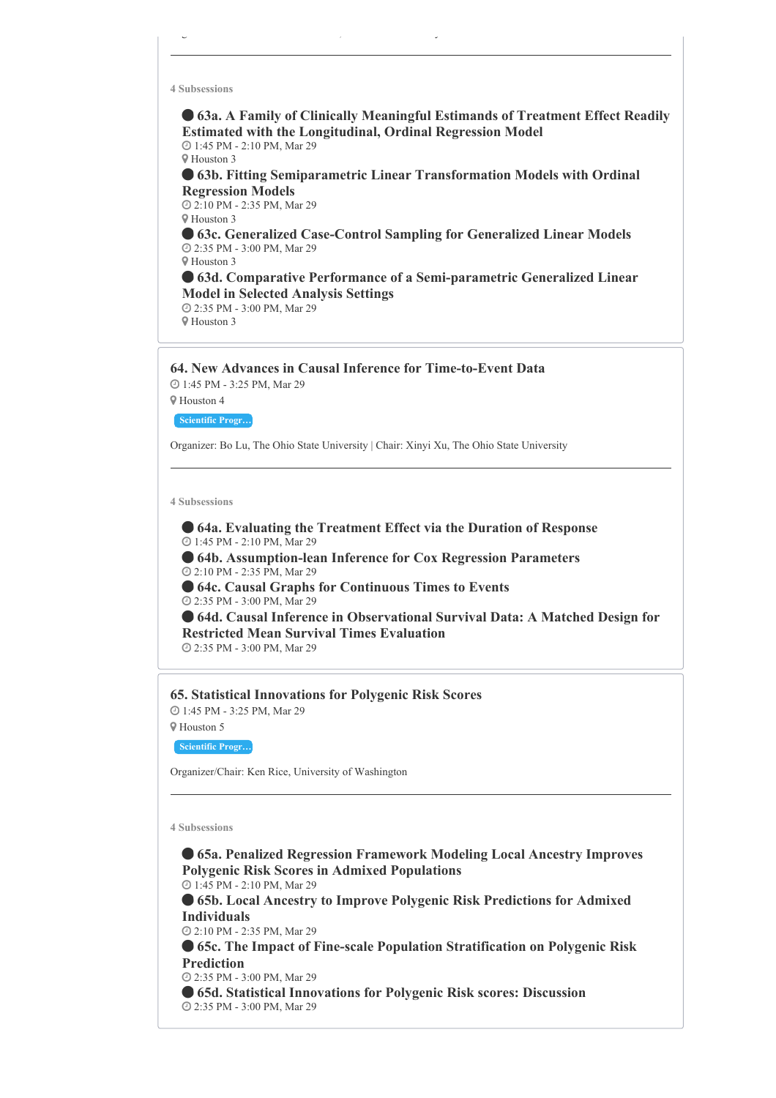**63a. A Family of Clinically Meaningful Estimands of Treatment Effect Readily Estimated with the Longitudinal, Ordinal Regression Model** 1:45 PM - 2:10 PM, Mar 29

Houston 3

 **63b. Fitting Semiparametric Linear Transformation Models with Ordinal Regression Models**

 2:10 PM - 2:35 PM, Mar 29 Houston 3

 **63c. Generalized Case-Control Sampling for Generalized Linear Models** 2:35 PM - 3:00 PM, Mar 29 Houston 3

 **63d. Comparative Performance of a Semi-parametric Generalized Linear Model in Selected Analysis Settings** 2:35 PM - 3:00 PM, Mar 29

Houston 3

**64. New Advances in Causal Inference for Time-to-Event Data**

Organizer/Chair: Jonathan Schildcrout, Vanderbilt University Medical Center

 1:45 PM - 3:25 PM, Mar 29 Houston 4

**Scientific Progr…**

Organizer: Bo Lu, The Ohio State University | Chair: Xinyi Xu, The Ohio State University

**4 Subsessions**

 **64a. Evaluating the Treatment Effect via the Duration of Response** 1:45 PM - 2:10 PM, Mar 29

 **64b. Assumption-lean Inference for Cox Regression Parameters** 2:10 PM - 2:35 PM, Mar 29

 **64c. Causal Graphs for Continuous Times to Events** 2:35 PM - 3:00 PM, Mar 29

 **64d. Causal Inference in Observational Survival Data: A Matched Design for Restricted Mean Survival Times Evaluation**

2:35 PM - 3:00 PM, Mar 29

**65. Statistical Innovations for Polygenic Risk Scores** 1:45 PM - 3:25 PM, Mar 29

Houston 5

**Scientific Progr…**

Organizer/Chair: Ken Rice, University of Washington

**4 Subsessions**

 **65a. Penalized Regression Framework Modeling Local Ancestry Improves Polygenic Risk Scores in Admixed Populations**

1:45 PM - 2:10 PM, Mar 29

 **65b. Local Ancestry to Improve Polygenic Risk Predictions for Admixed Individuals**

2:10 PM - 2:35 PM, Mar 29

 **65c. The Impact of Fine-scale Population Stratification on Polygenic Risk Prediction**

2:35 PM - 3:00 PM, Mar 29

 **65d. Statistical Innovations for Polygenic Risk scores: Discussion** 2:35 PM - 3:00 PM, Mar 29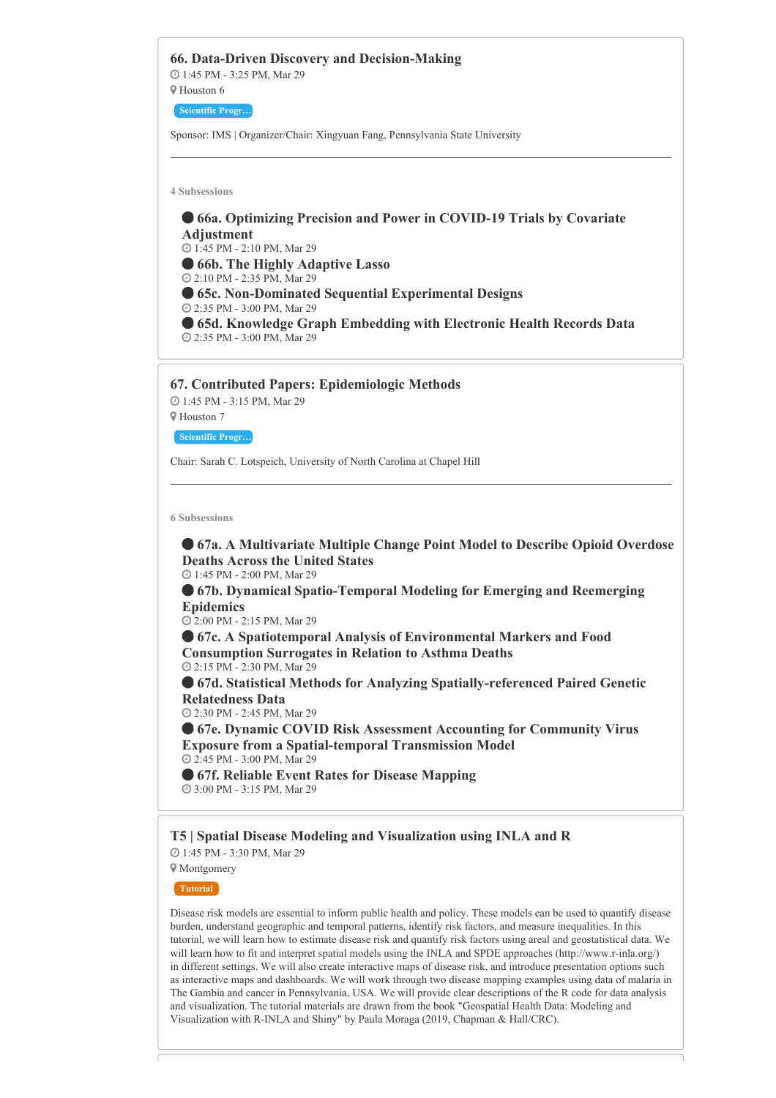

```
 67f. Reliable Event Rates for Disease Mapping
3:00 PM - 3:15 PM, Mar 29
```
# **T5 | Spatial Disease Modeling and Visualization using INLA and R**

 1:45 PM - 3:30 PM, Mar 29 Montgomery

**Tutorial**

Disease risk models are essential to inform public health and policy. These models can be used to quantify disease burden, understand geographic and temporal patterns, identify risk factors, and measure inequalities. In this tutorial, we will learn how to estimate disease risk and quantify risk factors using areal and geostatistical data. We will learn how to fit and interpret spatial models using the INLA and SPDE approaches (http://www.r-inla.org/) in different settings. We will also create interactive maps of disease risk, and introduce presentation options such as interactive maps and dashboards. We will work through two disease mapping examples using data of malaria in The Gambia and cancer in Pennsylvania, USA. We will provide clear descriptions of the R code for data analysis and visualization. The tutorial materials are drawn from the book "Geospatial Health Data: Modeling and Visualization with R-INLA and Shiny" by Paula Moraga (2019, Chapman & Hall/CRC).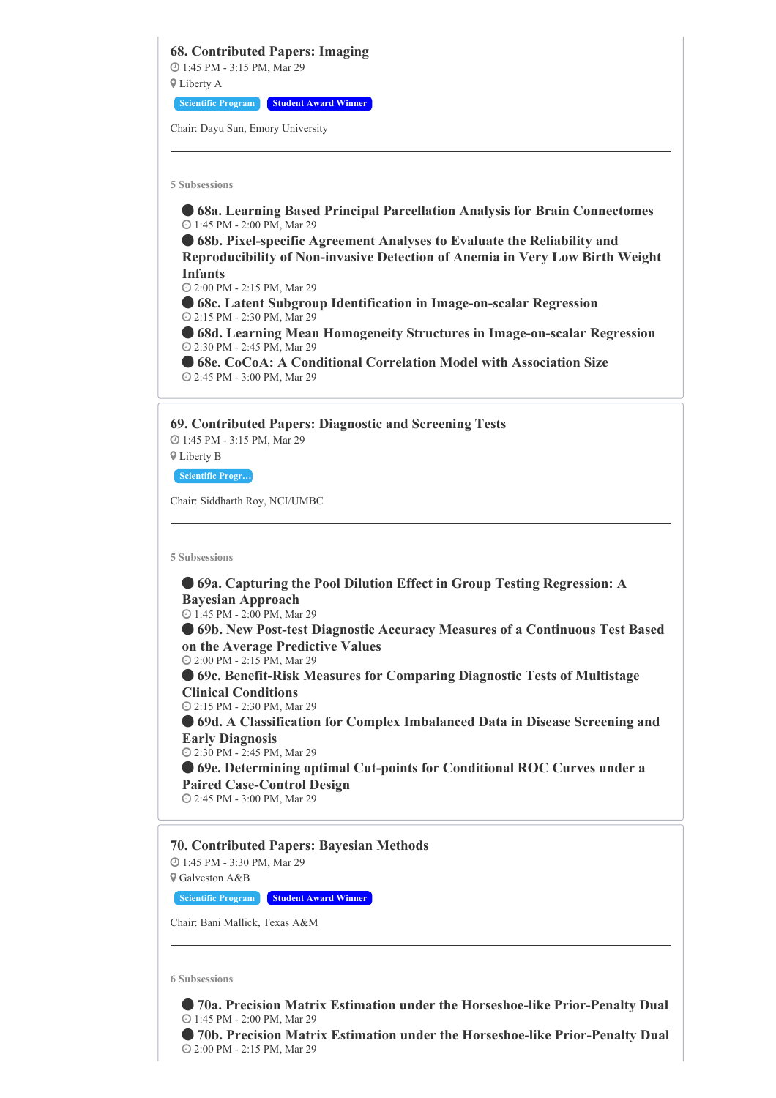**68. Contributed Papers: Imaging** 1:45 PM - 3:15 PM, Mar 29 Liberty A **Scientific Program Student Award Winner**

Chair: Dayu Sun, Emory University

**5 Subsessions**

 **68a. Learning Based Principal Parcellation Analysis for Brain Connectomes** 1:45 PM - 2:00 PM, Mar 29 **68b. Pixel-specific Agreement Analyses to Evaluate the Reliability and Reproducibility of Non-invasive Detection of Anemia in Very Low Birth Weight**

**Infants** 2:00 PM - 2:15 PM, Mar 29

 **68c. Latent Subgroup Identification in Image-on-scalar Regression** 2:15 PM - 2:30 PM, Mar 29

 **68d. Learning Mean Homogeneity Structures in Image-on-scalar Regression** 2:30 PM - 2:45 PM, Mar 29

 **68e. CoCoA: A Conditional Correlation Model with Association Size** 2:45 PM - 3:00 PM, Mar 29

**69. Contributed Papers: Diagnostic and Screening Tests**

 1:45 PM - 3:15 PM, Mar 29 Liberty B

**Scientific Progr…**

Chair: Siddharth Roy, NCI/UMBC

**5 Subsessions**

 **69a. Capturing the Pool Dilution Effect in Group Testing Regression: A Bayesian Approach**

1:45 PM - 2:00 PM, Mar 29

 **69b. New Post-test Diagnostic Accuracy Measures of a Continuous Test Based on the Average Predictive Values**

2:00 PM - 2:15 PM, Mar 29

 **69c. Benefit-Risk Measures for Comparing Diagnostic Tests of Multistage Clinical Conditions**

2:15 PM - 2:30 PM, Mar 29

 **69d. A Classification for Complex Imbalanced Data in Disease Screening and Early Diagnosis**

2:30 PM - 2:45 PM, Mar 29

 **69e. Determining optimal Cut-points for Conditional ROC Curves under a Paired Case-Control Design**

2:45 PM - 3:00 PM, Mar 29

**70. Contributed Papers: Bayesian Methods** 1:45 PM - 3:30 PM, Mar 29

Galveston A&B

**Scientific Program Student Award Winner**

Chair: Bani Mallick, Texas A&M

**6 Subsessions**

 **70a. Precision Matrix Estimation under the Horseshoe-like Prior-Penalty Dual** 1:45 PM - 2:00 PM, Mar 29

 **70b. Precision Matrix Estimation under the Horseshoe-like Prior-Penalty Dual** 2:00 PM - 2:15 PM, Mar 29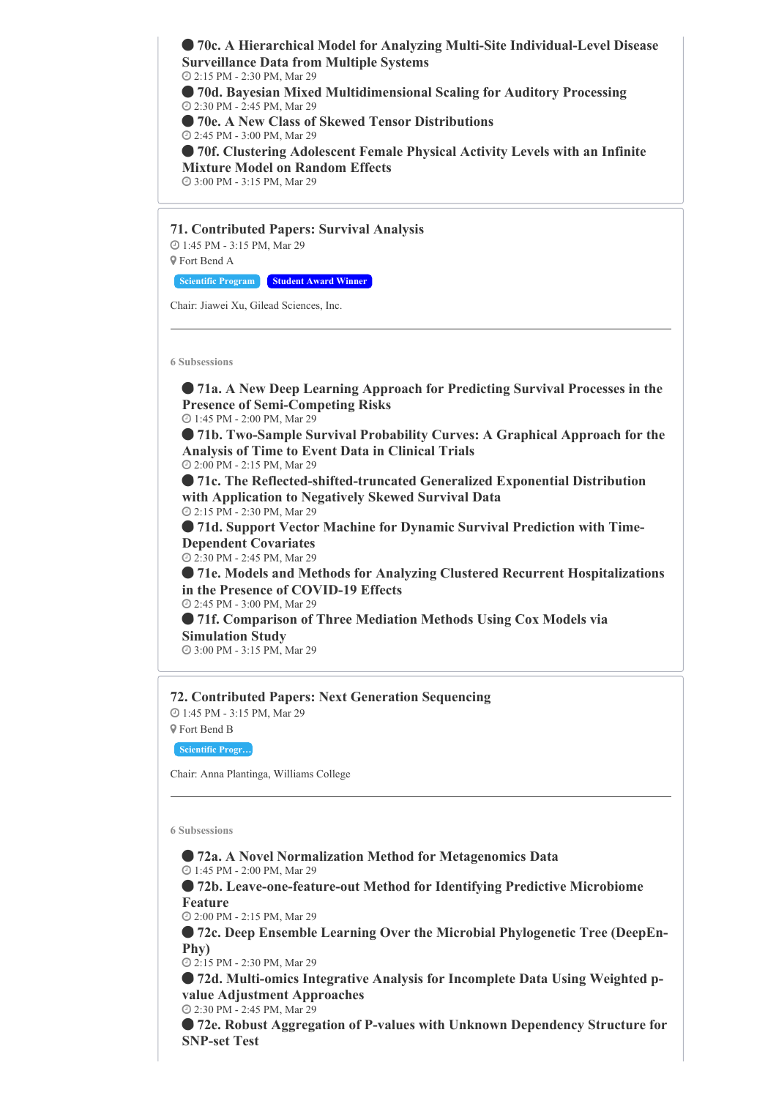**70c. A Hierarchical Model for Analyzing Multi-Site Individual-Level Disease Surveillance Data from Multiple Systems** 2:15 PM - 2:30 PM, Mar 29

 **70d. Bayesian Mixed Multidimensional Scaling for Auditory Processing** 2:30 PM - 2:45 PM, Mar 29

**70e. A New Class of Skewed Tensor Distributions**

2:45 PM - 3:00 PM, Mar 29

 **70f. Clustering Adolescent Female Physical Activity Levels with an Infinite Mixture Model on Random Effects**

3:00 PM - 3:15 PM, Mar 29

**71. Contributed Papers: Survival Analysis** 1:45 PM - 3:15 PM, Mar 29 Fort Bend A

**Scientific Program Student Award Winner**

Chair: Jiawei Xu, Gilead Sciences, Inc.

**6 Subsessions**

 **71a. A New Deep Learning Approach for Predicting Survival Processes in the Presence of Semi-Competing Risks**

1:45 PM - 2:00 PM, Mar 29

 **71b. Two-Sample Survival Probability Curves: A Graphical Approach for the Analysis of Time to Event Data in Clinical Trials**

2:00 PM - 2:15 PM, Mar 29

 **71c. The Reflected-shifted-truncated Generalized Exponential Distribution with Application to Negatively Skewed Survival Data** 2:15 PM - 2:30 PM, Mar 29

 **71d. Support Vector Machine for Dynamic Survival Prediction with Time-Dependent Covariates**

2:30 PM - 2:45 PM, Mar 29

 **71e. Models and Methods for Analyzing Clustered Recurrent Hospitalizations in the Presence of COVID-19 Effects**

2:45 PM - 3:00 PM, Mar 29

 **71f. Comparison of Three Mediation Methods Using Cox Models via Simulation Study** 3:00 PM - 3:15 PM, Mar 29

**72. Contributed Papers: Next Generation Sequencing**

 1:45 PM - 3:15 PM, Mar 29 Fort Bend B

**Scientific Progr…**

Chair: Anna Plantinga, Williams College

**6 Subsessions**

**72a. A Novel Normalization Method for Metagenomics Data**

1:45 PM - 2:00 PM, Mar 29

 **72b. Leave-one-feature-out Method for Identifying Predictive Microbiome Feature**

2:00 PM - 2:15 PM, Mar 29

 **72c. Deep Ensemble Learning Over the Microbial Phylogenetic Tree (DeepEn-Phy)**

2:15 PM - 2:30 PM, Mar 29

 **72d. Multi-omics Integrative Analysis for Incomplete Data Using Weighted pvalue Adjustment Approaches** 2:30 PM - 2:45 PM, Mar 29

 **72e. Robust Aggregation of P-values with Unknown Dependency Structure for SNP-set Test**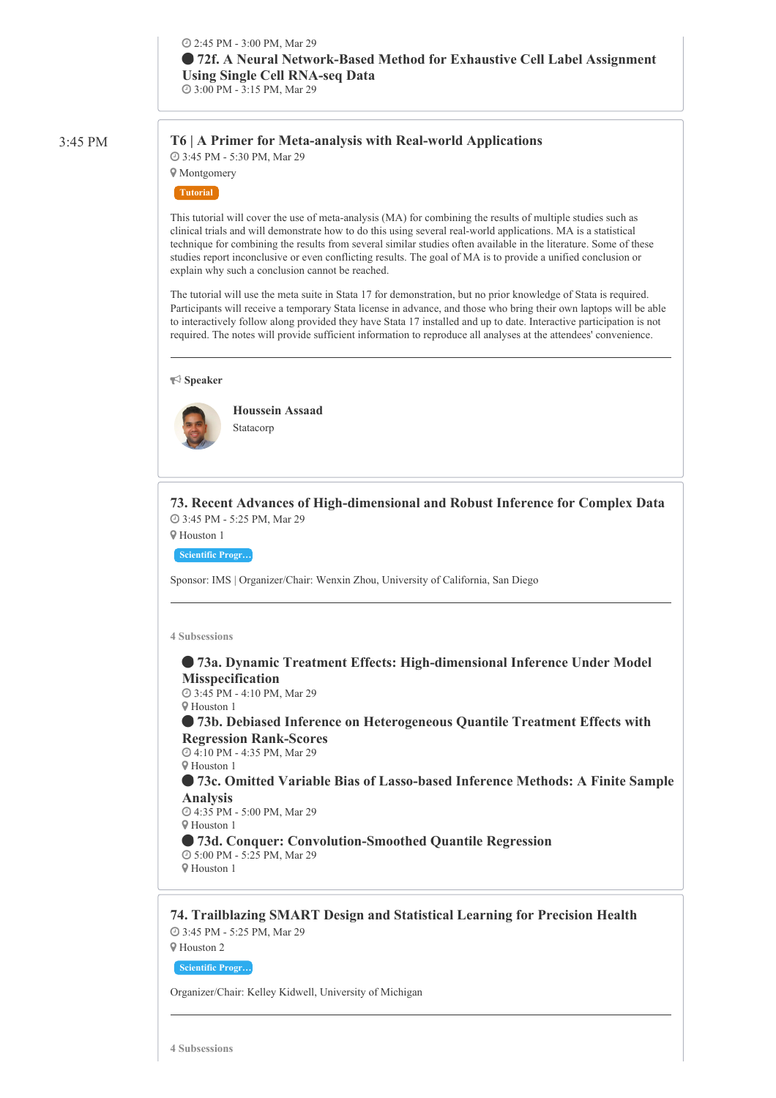# 3:45 PM **T6 | A Primer for Meta-analysis with Real-world Applications** 3:45 PM - 5:30 PM, Mar 29

**9** Montgomery

**Tutorial**

This tutorial will cover the use of meta-analysis (MA) for combining the results of multiple studies such as clinical trials and will demonstrate how to do this using several real-world applications. MA is a statistical technique for combining the results from several similar studies often available in the literature. Some of these studies report inconclusive or even conflicting results. The goal of MA is to provide a unified conclusion or explain why such a conclusion cannot be reached.

The tutorial will use the meta suite in Stata 17 for demonstration, but no prior knowledge of Stata is required. Participants will receive a temporary Stata license in advance, and those who bring their own laptops will be able to interactively follow along provided they have Stata 17 installed and up to date. Interactive participation is not required. The notes will provide sufficient information to reproduce all analyses at the attendees' convenience.

**Speaker**



**Houssein Assaad** Statacorp

**73. Recent Advances of High-dimensional and Robust Inference for Complex Data** 3:45 PM - 5:25 PM, Mar 29

Houston 1

**Scientific Progr…**

Sponsor: IMS | Organizer/Chair: Wenxin Zhou, University of California, San Diego

**4 Subsessions**

# **73a. Dynamic Treatment Effects: High-dimensional Inference Under Model Misspecification**

 3:45 PM - 4:10 PM, Mar 29 Houston 1

 **73b. Debiased Inference on Heterogeneous Quantile Treatment Effects with Regression Rank-Scores**

 4:10 PM - 4:35 PM, Mar 29 Houston 1

 **73c. Omitted Variable Bias of Lasso-based Inference Methods: A Finite Sample Analysis** 4:35 PM - 5:00 PM, Mar 29

Houston 1

 **73d. Conquer: Convolution-Smoothed Quantile Regression** 5:00 PM - 5:25 PM, Mar 29 Houston 1

**74. Trailblazing SMART Design and Statistical Learning for Precision Health** 3:45 PM - 5:25 PM, Mar 29

Houston 2

**Scientific Progr…**

Organizer/Chair: Kelley Kidwell, University of Michigan

**4 Subsessions**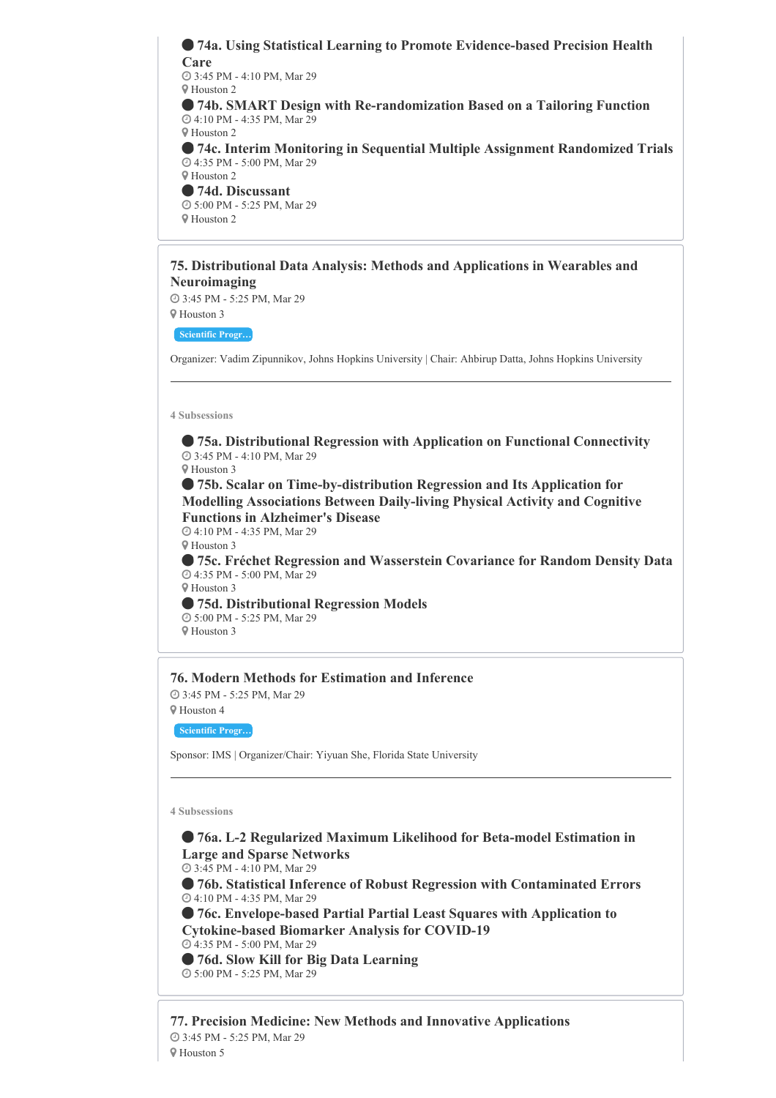**74a. Using Statistical Learning to Promote Evidence-based Precision Health Care** 3:45 PM - 4:10 PM, Mar 29 Houston 2 **74b. SMART Design with Re-randomization Based on a Tailoring Function** 4:10 PM - 4:35 PM, Mar 29 Houston 2 **74c. Interim Monitoring in Sequential Multiple Assignment Randomized Trials** 4:35 PM - 5:00 PM, Mar 29 Houston 2 **74d. Discussant** 5:00 PM - 5:25 PM, Mar 29 Houston 2

#### **75. Distributional Data Analysis: Methods and Applications in Wearables and Neuroimaging**

3:45 PM - 5:25 PM, Mar 29

Houston 3

**Scientific Progr…**

Organizer: Vadim Zipunnikov, Johns Hopkins University | Chair: Ahbirup Datta, Johns Hopkins University

#### **4 Subsessions**

 **75a. Distributional Regression with Application on Functional Connectivity** 3:45 PM - 4:10 PM, Mar 29

Houston 3

 **75b. Scalar on Time-by-distribution Regression and Its Application for Modelling Associations Between Daily-living Physical Activity and Cognitive Functions in Alzheimer's Disease**

 4:10 PM - 4:35 PM, Mar 29 Houston 3

 **75c. Fréchet Regression and Wasserstein Covariance for Random Density Data** 4:35 PM - 5:00 PM, Mar 29

 Houston 3 **75d. Distributional Regression Models** 5:00 PM - 5:25 PM, Mar 29

Houston 3

# **76. Modern Methods for Estimation and Inference**

 3:45 PM - 5:25 PM, Mar 29 Houston 4

**Scientific Progr…**

Sponsor: IMS | Organizer/Chair: Yiyuan She, Florida State University

**4 Subsessions**

 **76a. L-2 Regularized Maximum Likelihood for Beta-model Estimation in Large and Sparse Networks** 3:45 PM - 4:10 PM, Mar 29 **76b. Statistical Inference of Robust Regression with Contaminated Errors** 4:10 PM - 4:35 PM, Mar 29 **76c. Envelope-based Partial Partial Least Squares with Application to Cytokine-based Biomarker Analysis for COVID-19** 4:35 PM - 5:00 PM, Mar 29 **76d. Slow Kill for Big Data Learning** 5:00 PM - 5:25 PM, Mar 29

**77. Precision Medicine: New Methods and Innovative Applications** 3:45 PM - 5:25 PM, Mar 29 Houston 5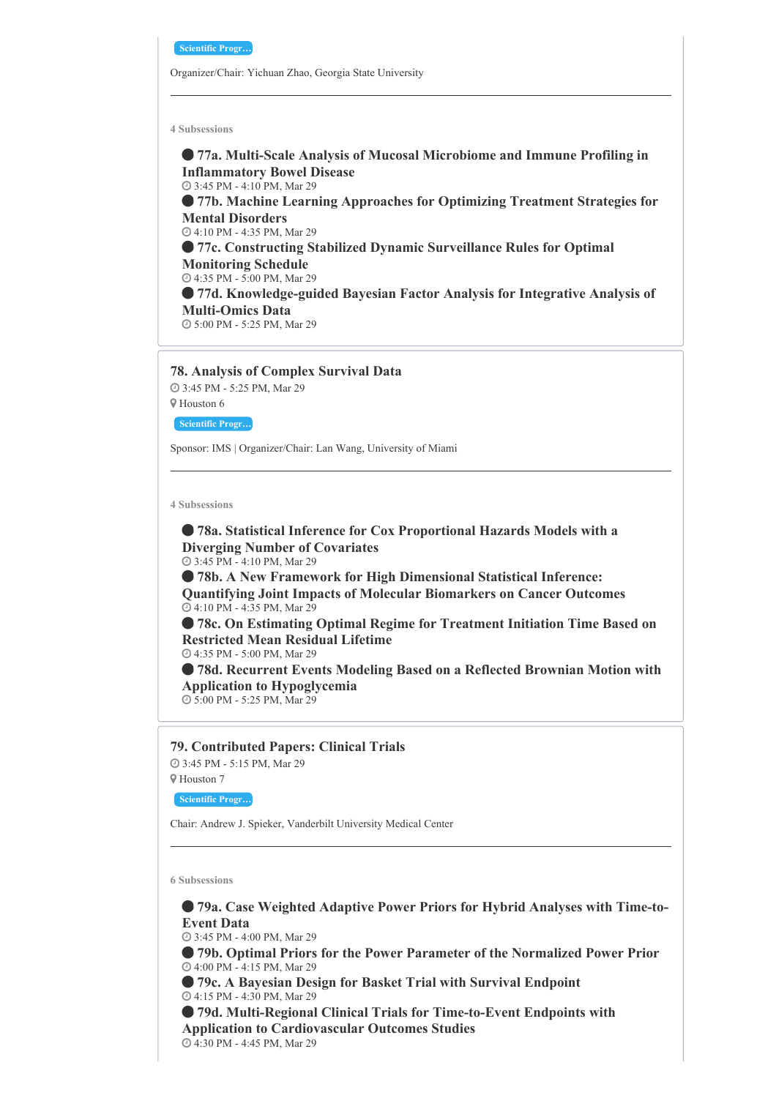**Scientific Progr…**

Organizer/Chair: Yichuan Zhao, Georgia State University

**4 Subsessions**

 **77a. Multi-Scale Analysis of Mucosal Microbiome and Immune Profiling in Inflammatory Bowel Disease** 3:45 PM - 4:10 PM, Mar 29

 **77b. Machine Learning Approaches for Optimizing Treatment Strategies for Mental Disorders** 4:10 PM - 4:35 PM, Mar 29

 **77c. Constructing Stabilized Dynamic Surveillance Rules for Optimal Monitoring Schedule** 4:35 PM - 5:00 PM, Mar 29

 **77d. Knowledge-guided Bayesian Factor Analysis for Integrative Analysis of Multi-Omics Data**

5:00 PM - 5:25 PM, Mar 29

### **78. Analysis of Complex Survival Data**

 3:45 PM - 5:25 PM, Mar 29 Houston 6

**Scientific Progr…**

Sponsor: IMS | Organizer/Chair: Lan Wang, University of Miami

**4 Subsessions**

 **78a. Statistical Inference for Cox Proportional Hazards Models with a Diverging Number of Covariates** 3:45 PM - 4:10 PM, Mar 29

 **78b. A New Framework for High Dimensional Statistical Inference: Quantifying Joint Impacts of Molecular Biomarkers on Cancer Outcomes** 4:10 PM - 4:35 PM, Mar 29

 **78c. On Estimating Optimal Regime for Treatment Initiation Time Based on Restricted Mean Residual Lifetime**

4:35 PM - 5:00 PM, Mar 29

 **78d. Recurrent Events Modeling Based on a Reflected Brownian Motion with Application to Hypoglycemia**

5:00 PM - 5:25 PM, Mar 29

#### **79. Contributed Papers: Clinical Trials**

 3:45 PM - 5:15 PM, Mar 29 Houston 7

**Scientific Progr…**

Chair: Andrew J. Spieker, Vanderbilt University Medical Center

**6 Subsessions**

 **79a. Case Weighted Adaptive Power Priors for Hybrid Analyses with Time-to-Event Data**

3:45 PM - 4:00 PM, Mar 29

 **79b. Optimal Priors for the Power Parameter of the Normalized Power Prior** 4:00 PM - 4:15 PM, Mar 29

 **79c. A Bayesian Design for Basket Trial with Survival Endpoint** 4:15 PM - 4:30 PM, Mar 29

 **79d. Multi-Regional Clinical Trials for Time-to-Event Endpoints with Application to Cardiovascular Outcomes Studies**

4:30 PM - 4:45 PM, Mar 29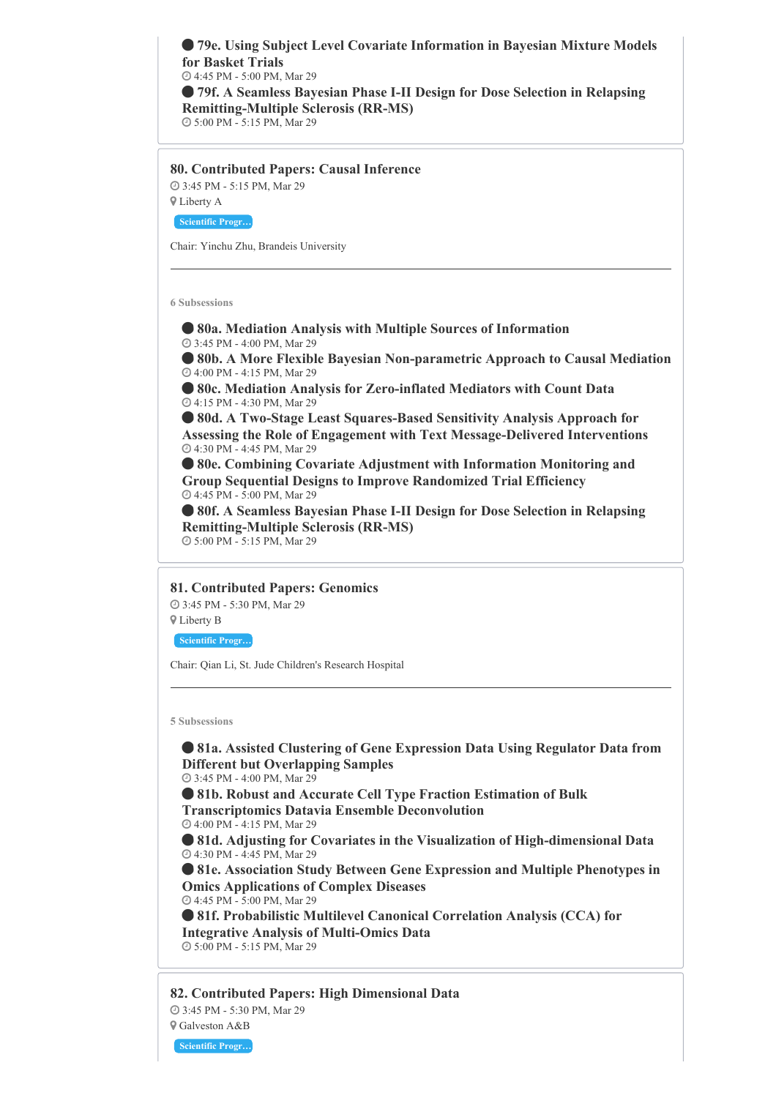**79e. Using Subject Level Covariate Information in Bayesian Mixture Models for Basket Trials** 4:45 PM - 5:00 PM, Mar 29

 **79f. A Seamless Bayesian Phase I-II Design for Dose Selection in Relapsing Remitting-Multiple Sclerosis (RR-MS)**

5:00 PM - 5:15 PM, Mar 29

**80. Contributed Papers: Causal Inference** 3:45 PM - 5:15 PM, Mar 29 Liberty A

**Scientific Progr…**

Chair: Yinchu Zhu, Brandeis University

**6 Subsessions**

 **80a. Mediation Analysis with Multiple Sources of Information** 3:45 PM - 4:00 PM, Mar 29

 **80b. A More Flexible Bayesian Non-parametric Approach to Causal Mediation** 4:00 PM - 4:15 PM, Mar 29

 **80c. Mediation Analysis for Zero-inflated Mediators with Count Data** 4:15 PM - 4:30 PM, Mar 29

 **80d. A Two-Stage Least Squares-Based Sensitivity Analysis Approach for Assessing the Role of Engagement with Text Message-Delivered Interventions** 4:30 PM - 4:45 PM, Mar 29

 **80e. Combining Covariate Adjustment with Information Monitoring and Group Sequential Designs to Improve Randomized Trial Efficiency** 4:45 PM - 5:00 PM, Mar 29

 **80f. A Seamless Bayesian Phase I-II Design for Dose Selection in Relapsing Remitting-Multiple Sclerosis (RR-MS)** 5:00 PM - 5:15 PM, Mar 29

**81. Contributed Papers: Genomics**

 3:45 PM - 5:30 PM, Mar 29 Liberty B

**Scientific Progr…**

Chair: Qian Li, St. Jude Children's Research Hospital

**5 Subsessions**

 **81a. Assisted Clustering of Gene Expression Data Using Regulator Data from Different but Overlapping Samples**

3:45 PM - 4:00 PM, Mar 29

 **81b. Robust and Accurate Cell Type Fraction Estimation of Bulk Transcriptomics Datavia Ensemble Deconvolution**

 4:00 PM - 4:15 PM, Mar 29 **81d. Adjusting for Covariates in the Visualization of High-dimensional Data**

4:30 PM - 4:45 PM, Mar 29

 **81e. Association Study Between Gene Expression and Multiple Phenotypes in Omics Applications of Complex Diseases**

4:45 PM - 5:00 PM, Mar 29

 **81f. Probabilistic Multilevel Canonical Correlation Analysis (CCA) for Integrative Analysis of Multi-Omics Data** 5:00 PM - 5:15 PM, Mar 29

**82. Contributed Papers: High Dimensional Data** 3:45 PM - 5:30 PM, Mar 29 Galveston A&B

**Scientific Progr…**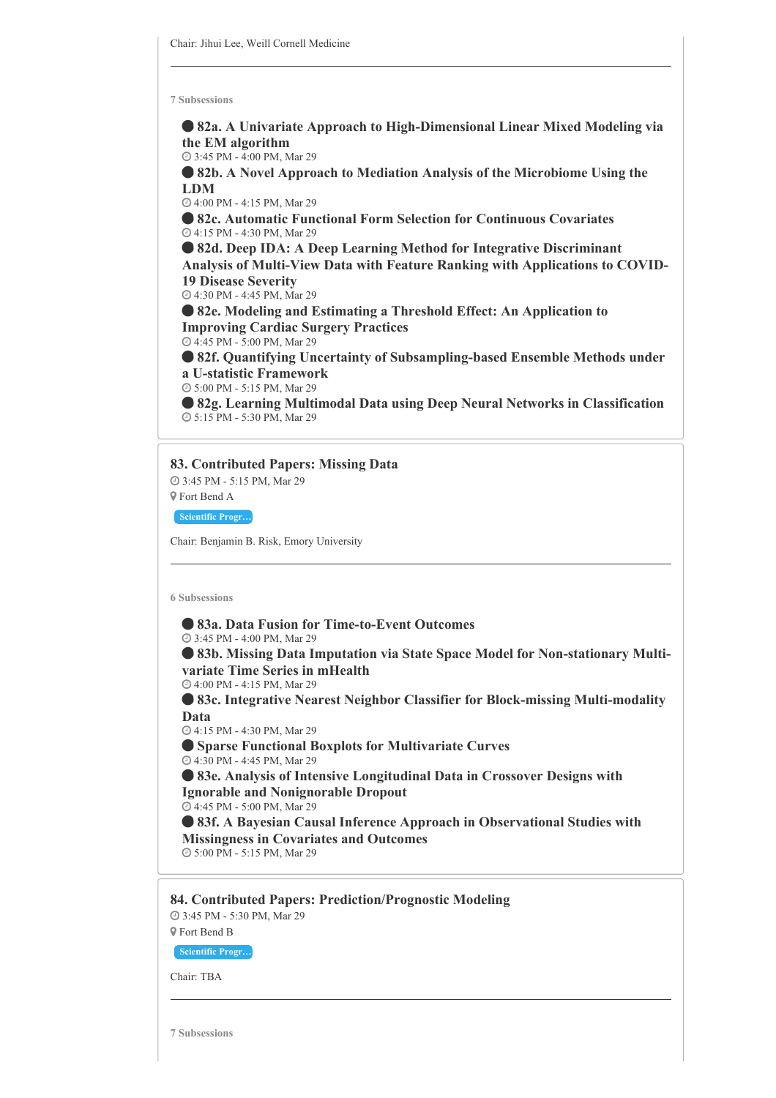**82a. A Univariate Approach to High-Dimensional Linear Mixed Modeling via the EM algorithm**

3:45 PM - 4:00 PM, Mar 29

 **82b. A Novel Approach to Mediation Analysis of the Microbiome Using the LDM**

4:00 PM - 4:15 PM, Mar 29

 **82c. Automatic Functional Form Selection for Continuous Covariates** 4:15 PM - 4:30 PM, Mar 29

 **82d. Deep IDA: A Deep Learning Method for Integrative Discriminant Analysis of Multi-View Data with Feature Ranking with Applications to COVID-19 Disease Severity**

4:30 PM - 4:45 PM, Mar 29

 **82e. Modeling and Estimating a Threshold Effect: An Application to Improving Cardiac Surgery Practices**

4:45 PM - 5:00 PM, Mar 29

 **82f. Quantifying Uncertainty of Subsampling-based Ensemble Methods under a U-statistic Framework**

5:00 PM - 5:15 PM, Mar 29

 **82g. Learning Multimodal Data using Deep Neural Networks in Classification** 5:15 PM - 5:30 PM, Mar 29

#### **83. Contributed Papers: Missing Data**

 3:45 PM - 5:15 PM, Mar 29 Fort Bend A

**Scientific Progr…**

Chair: Benjamin B. Risk, Emory University

**6 Subsessions**

 **83a. Data Fusion for Time-to-Event Outcomes** 3:45 PM - 4:00 PM, Mar 29 **83b. Missing Data Imputation via State Space Model for Non-stationary Multivariate Time Series in mHealth** 4:00 PM - 4:15 PM, Mar 29 **83c. Integrative Nearest Neighbor Classifier for Block-missing Multi-modality Data** 4:15 PM - 4:30 PM, Mar 29 **Sparse Functional Boxplots for Multivariate Curves** 4:30 PM - 4:45 PM, Mar 29 **83e. Analysis of Intensive Longitudinal Data in Crossover Designs with Ignorable and Nonignorable Dropout** 4:45 PM - 5:00 PM, Mar 29 **83f. A Bayesian Causal Inference Approach in Observational Studies with Missingness in Covariates and Outcomes** 5:00 PM - 5:15 PM, Mar 29 **84. Contributed Papers: Prediction/Prognostic Modeling**

 3:45 PM - 5:30 PM, Mar 29 Fort Bend B

**Scientific Progr…**

Chair: TBA

**7 Subsessions**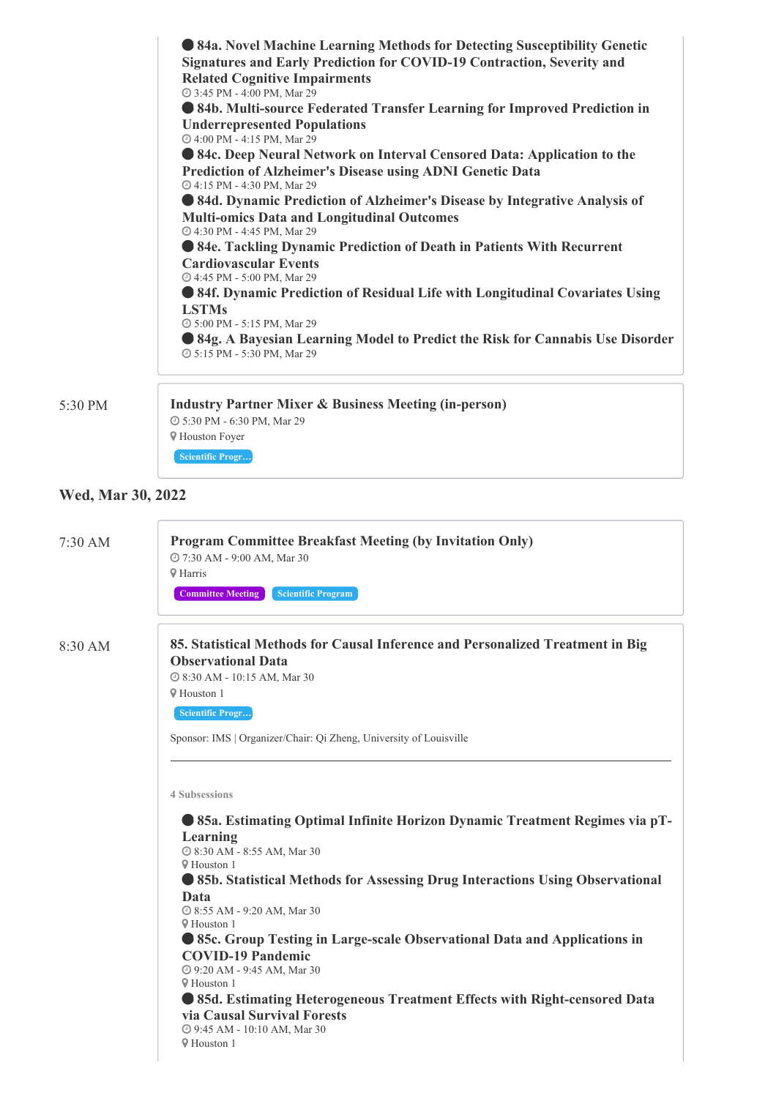| <b>• 84a. Novel Machine Learning Methods for Detecting Susceptibility Genetic</b>                              |  |  |  |  |  |
|----------------------------------------------------------------------------------------------------------------|--|--|--|--|--|
| Signatures and Early Prediction for COVID-19 Contraction, Severity and<br><b>Related Cognitive Impairments</b> |  |  |  |  |  |
| @ 3:45 PM - 4:00 PM, Mar 29                                                                                    |  |  |  |  |  |
| • 84b. Multi-source Federated Transfer Learning for Improved Prediction in                                     |  |  |  |  |  |
| <b>Underrepresented Populations</b><br>@ 4:00 PM - 4:15 PM, Mar 29                                             |  |  |  |  |  |
| • 84c. Deep Neural Network on Interval Censored Data: Application to the                                       |  |  |  |  |  |
| Prediction of Alzheimer's Disease using ADNI Genetic Data                                                      |  |  |  |  |  |
| @ 4:15 PM - 4:30 PM, Mar 29                                                                                    |  |  |  |  |  |
| • 84d. Dynamic Prediction of Alzheimer's Disease by Integrative Analysis of                                    |  |  |  |  |  |
| <b>Multi-omics Data and Longitudinal Outcomes</b><br>@ 4:30 PM - 4:45 PM, Mar 29                               |  |  |  |  |  |
| • 84e. Tackling Dynamic Prediction of Death in Patients With Recurrent                                         |  |  |  |  |  |
| <b>Cardiovascular Events</b>                                                                                   |  |  |  |  |  |
| @ 4:45 PM - 5:00 PM, Mar 29                                                                                    |  |  |  |  |  |
| • 84f. Dynamic Prediction of Residual Life with Longitudinal Covariates Using                                  |  |  |  |  |  |
| <b>LSTMs</b>                                                                                                   |  |  |  |  |  |
| © 5:00 PM - 5:15 PM, Mar 29                                                                                    |  |  |  |  |  |
| 84g. A Bayesian Learning Model to Predict the Risk for Cannabis Use Disorder<br>@ 5:15 PM - 5:30 PM, Mar 29    |  |  |  |  |  |
|                                                                                                                |  |  |  |  |  |
| <b>Industry Partner Mixer &amp; Business Meeting (in-person)</b>                                               |  |  |  |  |  |
| <b>@ 5:30 PM - 6:30 PM, Mar 29</b>                                                                             |  |  |  |  |  |

5:30 PM **Industry Partner Mixer & Business Meeting (in-person)**

# **Wed, Mar 30, 2022**

 $\sqrt{2}$ 

 Houston Foyer **Scientific Progr…**

| $7:30$ AM | <b>Program Committee Breakfast Meeting (by Invitation Only)</b><br>@ 7:30 AM - 9:00 AM, Mar 30<br><b>9 Harris</b><br><b>Committee Meeting</b><br><b>Scientific Program</b>                                                                                                                                                                                                                                                                                                                                                                                                                                                                             |  |  |
|-----------|--------------------------------------------------------------------------------------------------------------------------------------------------------------------------------------------------------------------------------------------------------------------------------------------------------------------------------------------------------------------------------------------------------------------------------------------------------------------------------------------------------------------------------------------------------------------------------------------------------------------------------------------------------|--|--|
| $8:30$ AM | 85. Statistical Methods for Causal Inference and Personalized Treatment in Big<br><b>Observational Data</b><br>@ 8:30 AM - 10:15 AM, Mar 30<br><b>V</b> Houston 1<br><b>Scientific Progr</b><br>Sponsor: IMS   Organizer/Chair: Qi Zheng, University of Louisville                                                                                                                                                                                                                                                                                                                                                                                     |  |  |
|           | <b>4 Subsessions</b><br>• 85a. Estimating Optimal Infinite Horizon Dynamic Treatment Regimes via pT-<br>Learning<br>@ 8:30 AM - 8:55 AM, Mar 30<br><b>9 Houston 1</b><br>• 85b. Statistical Methods for Assessing Drug Interactions Using Observational<br>Data<br>© 8:55 AM - 9:20 AM, Mar 30<br><b>V</b> Houston 1<br>• 85c. Group Testing in Large-scale Observational Data and Applications in<br><b>COVID-19 Pandemic</b><br>@ 9:20 AM - 9:45 AM, Mar 30<br><b>V</b> Houston 1<br>• 85d. Estimating Heterogeneous Treatment Effects with Right-censored Data<br>via Causal Survival Forests<br>@ 9:45 AM - 10:10 AM, Mar 30<br><b>V</b> Houston 1 |  |  |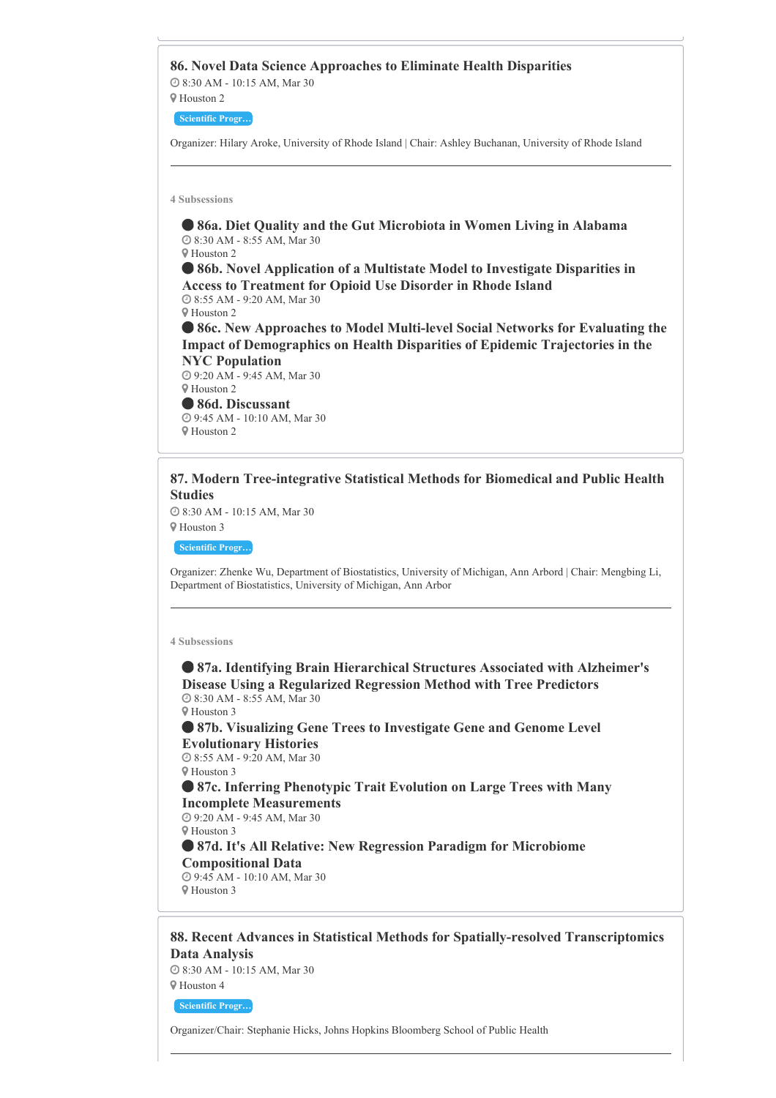**86. Novel Data Science Approaches to Eliminate Health Disparities** 8:30 AM - 10:15 AM, Mar 30 Houston 2 **Scientific Progr…** Organizer: Hilary Aroke, University of Rhode Island | Chair: Ashley Buchanan, University of Rhode Island **4 Subsessions 86a. Diet Quality and the Gut Microbiota in Women Living in Alabama** 8:30 AM - 8:55 AM, Mar 30 Houston 2 **86b. Novel Application of a Multistate Model to Investigate Disparities in Access to Treatment for Opioid Use Disorder in Rhode Island** 8:55 AM - 9:20 AM, Mar 30 Houston 2 **86c. New Approaches to Model Multi-level Social Networks for Evaluating the Impact of Demographics on Health Disparities of Epidemic Trajectories in the NYC Population** 9:20 AM - 9:45 AM, Mar 30

Houston 2

 **86d. Discussant** 9:45 AM - 10:10 AM, Mar 30 Houston 2

# **87. Modern Tree-integrative Statistical Methods for Biomedical and Public Health Studies**

 8:30 AM - 10:15 AM, Mar 30 Houston 3

**Scientific Progr…**

Organizer: Zhenke Wu, Department of Biostatistics, University of Michigan, Ann Arbord | Chair: Mengbing Li, Department of Biostatistics, University of Michigan, Ann Arbor

#### **4 Subsessions**

 **87a. Identifying Brain Hierarchical Structures Associated with Alzheimer's Disease Using a Regularized Regression Method with Tree Predictors** 8:30 AM - 8:55 AM, Mar 30

Houston 3

 **87b. Visualizing Gene Trees to Investigate Gene and Genome Level Evolutionary Histories**

 8:55 AM - 9:20 AM, Mar 30 Houston 3

 **87c. Inferring Phenotypic Trait Evolution on Large Trees with Many Incomplete Measurements** 9:20 AM - 9:45 AM, Mar 30

Houston 3

 **87d. It's All Relative: New Regression Paradigm for Microbiome Compositional Data**

 9:45 AM - 10:10 AM, Mar 30 Houston 3

# **88. Recent Advances in Statistical Methods for Spatially-resolved Transcriptomics Data Analysis**

 8:30 AM - 10:15 AM, Mar 30 Houston 4

**Scientific Progr…**

Organizer/Chair: Stephanie Hicks, Johns Hopkins Bloomberg School of Public Health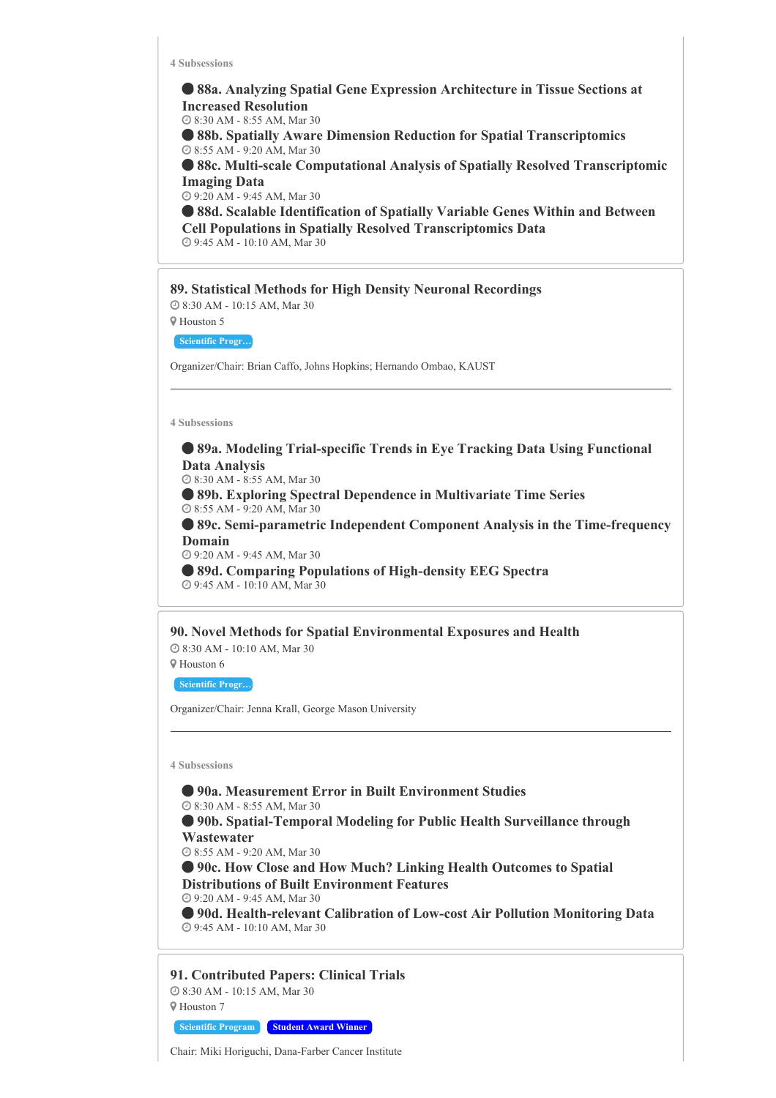**88a. Analyzing Spatial Gene Expression Architecture in Tissue Sections at Increased Resolution** 8:30 AM - 8:55 AM, Mar 30

 **88b. Spatially Aware Dimension Reduction for Spatial Transcriptomics** 8:55 AM - 9:20 AM, Mar 30

 **88c. Multi-scale Computational Analysis of Spatially Resolved Transcriptomic Imaging Data**

9:20 AM - 9:45 AM, Mar 30

 **88d. Scalable Identification of Spatially Variable Genes Within and Between Cell Populations in Spatially Resolved Transcriptomics Data** 9:45 AM - 10:10 AM, Mar 30

#### **89. Statistical Methods for High Density Neuronal Recordings**

 8:30 AM - 10:15 AM, Mar 30 Houston 5

**Scientific Progr…**

Organizer/Chair: Brian Caffo, Johns Hopkins; Hernando Ombao, KAUST

#### **4 Subsessions**

 **89a. Modeling Trial-specific Trends in Eye Tracking Data Using Functional Data Analysis**

8:30 AM - 8:55 AM, Mar 30

 **89b. Exploring Spectral Dependence in Multivariate Time Series** 8:55 AM - 9:20 AM, Mar 30

 **89c. Semi-parametric Independent Component Analysis in the Time-frequency Domain**

9:20 AM - 9:45 AM, Mar 30

 **89d. Comparing Populations of High-density EEG Spectra** 9:45 AM - 10:10 AM, Mar 30

**90. Novel Methods for Spatial Environmental Exposures and Health**

 8:30 AM - 10:10 AM, Mar 30 Houston 6

**Scientific Progr…**

Organizer/Chair: Jenna Krall, George Mason University

**4 Subsessions**

 **90a. Measurement Error in Built Environment Studies** 8:30 AM - 8:55 AM, Mar 30 **90b. Spatial-Temporal Modeling for Public Health Surveillance through Wastewater** 8:55 AM - 9:20 AM, Mar 30 **90c. How Close and How Much? Linking Health Outcomes to Spatial Distributions of Built Environment Features** 9:20 AM - 9:45 AM, Mar 30 **90d. Health-relevant Calibration of Low-cost Air Pollution Monitoring Data** 9:45 AM - 10:10 AM, Mar 30

**91. Contributed Papers: Clinical Trials** 8:30 AM - 10:15 AM, Mar 30 Houston 7

**Scientific Program Student Award Winner**

Chair: Miki Horiguchi, Dana-Farber Cancer Institute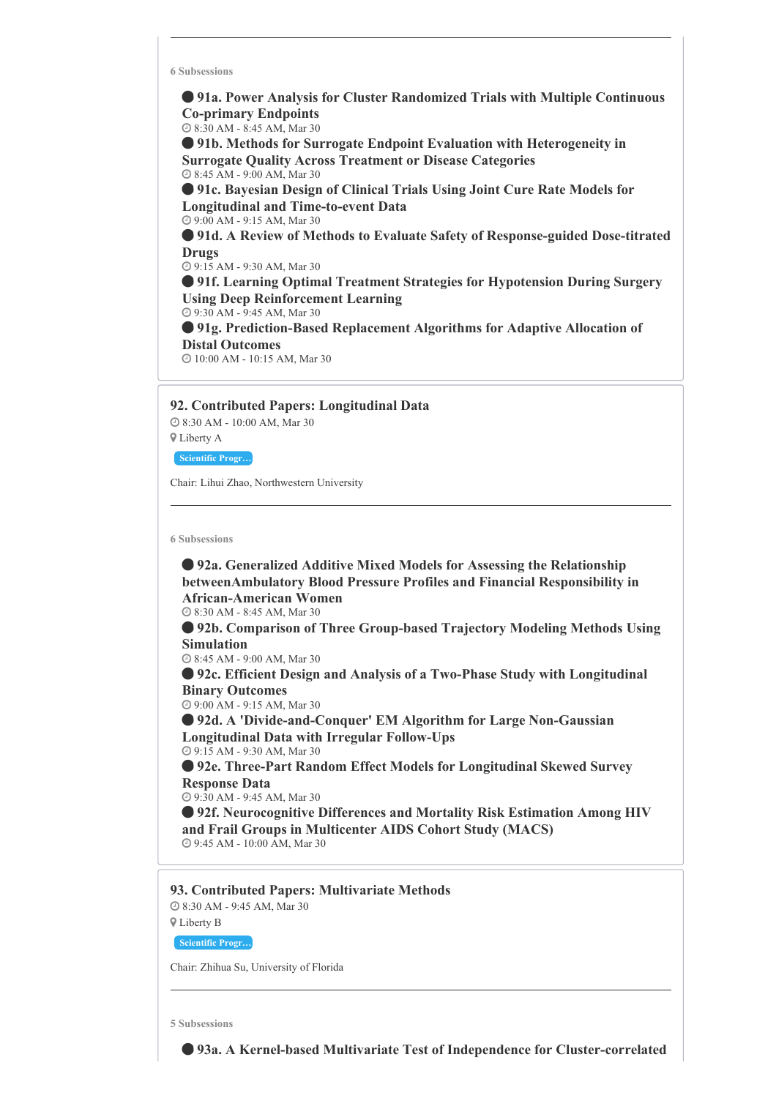**91a. Power Analysis for Cluster Randomized Trials with Multiple Continuous Co-primary Endpoints**

8:30 AM - 8:45 AM, Mar 30

 **91b. Methods for Surrogate Endpoint Evaluation with Heterogeneity in Surrogate Quality Across Treatment or Disease Categories** 8:45 AM - 9:00 AM, Mar 30

 **91c. Bayesian Design of Clinical Trials Using Joint Cure Rate Models for Longitudinal and Time-to-event Data** 9:00 AM - 9:15 AM, Mar 30

 **91d. A Review of Methods to Evaluate Safety of Response-guided Dose-titrated Drugs**

9:15 AM - 9:30 AM, Mar 30

 **91f. Learning Optimal Treatment Strategies for Hypotension During Surgery Using Deep Reinforcement Learning**

9:30 AM - 9:45 AM, Mar 30

 **91g. Prediction-Based Replacement Algorithms for Adaptive Allocation of Distal Outcomes**

10:00 AM - 10:15 AM, Mar 30

#### **92. Contributed Papers: Longitudinal Data**

 8:30 AM - 10:00 AM, Mar 30 Liberty A

**Scientific Progr…**

Chair: Lihui Zhao, Northwestern University

**6 Subsessions**

 **92a. Generalized Additive Mixed Models for Assessing the Relationship betweenAmbulatory Blood Pressure Profiles and Financial Responsibility in African-American Women** 8:30 AM - 8:45 AM, Mar 30 **92b. Comparison of Three Group-based Trajectory Modeling Methods Using Simulation** 8:45 AM - 9:00 AM, Mar 30 **92c. Efficient Design and Analysis of a Two-Phase Study with Longitudinal Binary Outcomes** 9:00 AM - 9:15 AM, Mar 30 **92d. A 'Divide-and-Conquer' EM Algorithm for Large Non-Gaussian Longitudinal Data with Irregular Follow-Ups** 9:15 AM - 9:30 AM, Mar 30 **92e. Three-Part Random Effect Models for Longitudinal Skewed Survey Response Data** 9:30 AM - 9:45 AM, Mar 30 **92f. Neurocognitive Differences and Mortality Risk Estimation Among HIV and Frail Groups in Multicenter AIDS Cohort Study (MACS)** 9:45 AM - 10:00 AM, Mar 30 **93. Contributed Papers: Multivariate Methods**

8:30 AM - 9:45 AM, Mar 30

Liberty B

**Scientific Progr…**

Chair: Zhihua Su, University of Florida

**5 Subsessions**



**93a. A Kernel-based Multivariate Test of Independence for Cluster-correlated**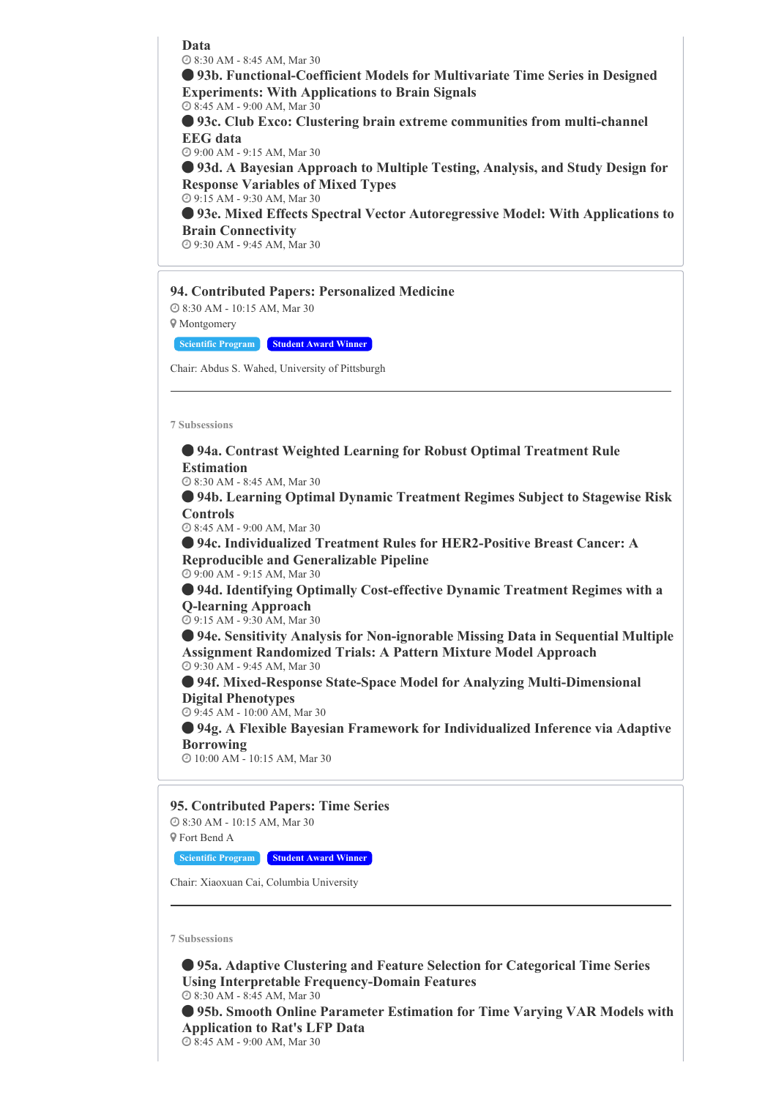**Data**

8:30 AM - 8:45 AM, Mar 30

 **93b. Functional-Coefficient Models for Multivariate Time Series in Designed Experiments: With Applications to Brain Signals**

 8:45 AM - 9:00 AM, Mar 30 **93c. Club Exco: Clustering brain extreme communities from multi-channel**

**EEG data**

9:00 AM - 9:15 AM, Mar 30

 **93d. A Bayesian Approach to Multiple Testing, Analysis, and Study Design for Response Variables of Mixed Types**

9:15 AM - 9:30 AM, Mar 30

 **93e. Mixed Effects Spectral Vector Autoregressive Model: With Applications to Brain Connectivity**

9:30 AM - 9:45 AM, Mar 30

#### **94. Contributed Papers: Personalized Medicine**

 8:30 AM - 10:15 AM, Mar 30 Montgomery

**Scientific Program Student Award Winner**

Chair: Abdus S. Wahed, University of Pittsburgh

**7 Subsessions**

 **94a. Contrast Weighted Learning for Robust Optimal Treatment Rule Estimation**

8:30 AM - 8:45 AM, Mar 30

 **94b. Learning Optimal Dynamic Treatment Regimes Subject to Stagewise Risk Controls**

8:45 AM - 9:00 AM, Mar 30

 **94c. Individualized Treatment Rules for HER2-Positive Breast Cancer: A Reproducible and Generalizable Pipeline** 9:00 AM - 9:15 AM, Mar 30

 **94d. Identifying Optimally Cost-effective Dynamic Treatment Regimes with a Q-learning Approach**

9:15 AM - 9:30 AM, Mar 30

 **94e. Sensitivity Analysis for Non-ignorable Missing Data in Sequential Multiple Assignment Randomized Trials: A Pattern Mixture Model Approach** 9:30 AM - 9:45 AM, Mar 30

 **94f. Mixed-Response State-Space Model for Analyzing Multi-Dimensional Digital Phenotypes**

9:45 AM - 10:00 AM, Mar 30

 **94g. A Flexible Bayesian Framework for Individualized Inference via Adaptive Borrowing**

10:00 AM - 10:15 AM, Mar 30

**95. Contributed Papers: Time Series**

 8:30 AM - 10:15 AM, Mar 30 Fort Bend A

**Scientific Program Student Award Winner**

Chair: Xiaoxuan Cai, Columbia University

**7 Subsessions**

 **95a. Adaptive Clustering and Feature Selection for Categorical Time Series Using Interpretable Frequency-Domain Features** 8:30 AM - 8:45 AM, Mar 30 **95b. Smooth Online Parameter Estimation for Time Varying VAR Models with Application to Rat's LFP Data** 8:45 AM - 9:00 AM, Mar 30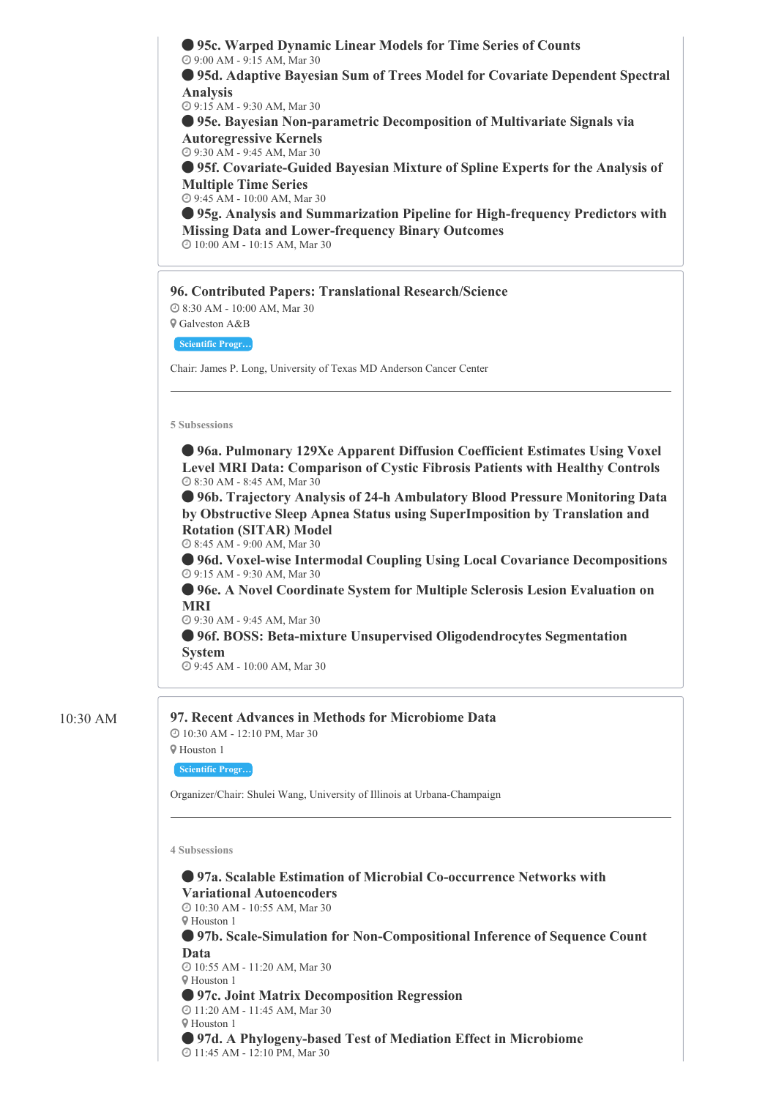

 **97b. Scale-Simulation for Non-Compositional Inference of Sequence Count Data** 10:55 AM - 11:20 AM, Mar 30

 Houston 1 **97c. Joint Matrix Decomposition Regression** 11:20 AM - 11:45 AM, Mar 30 Houston 1 **97d. A Phylogeny-based Test of Mediation Effect in Microbiome** 11:45 AM - 12:10 PM, Mar 30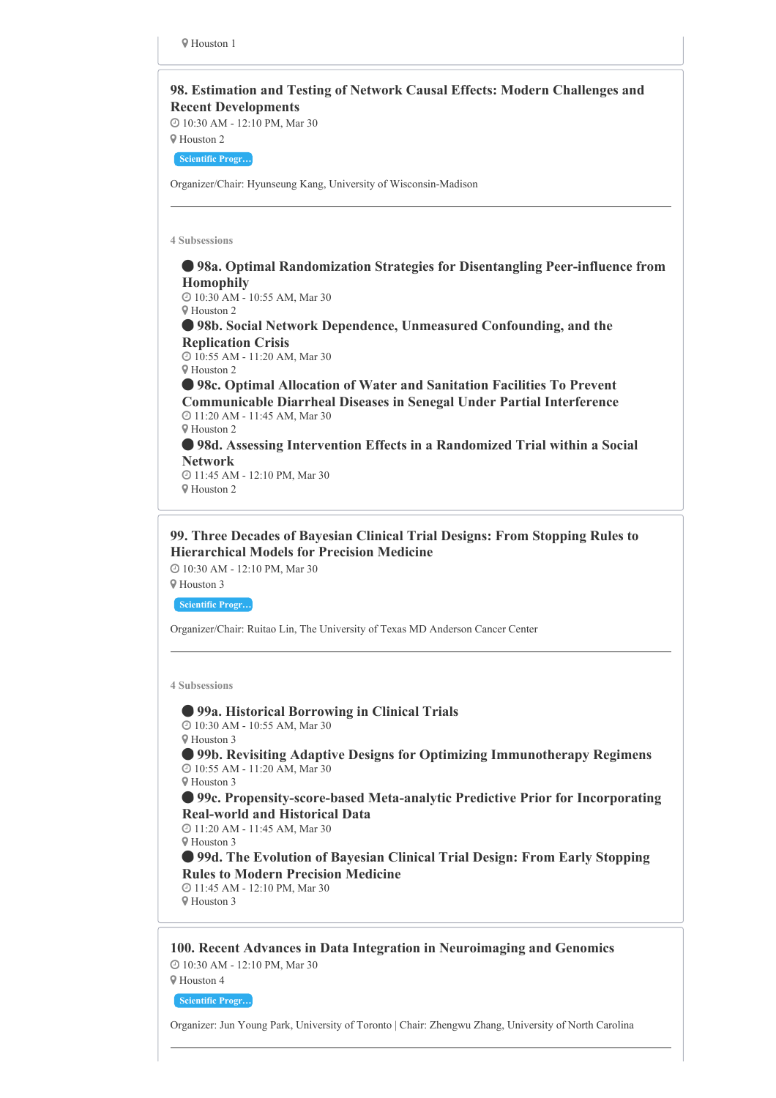

# **99. Three Decades of Bayesian Clinical Trial Designs: From Stopping Rules to Hierarchical Models for Precision Medicine**

10:30 AM - 12:10 PM, Mar 30

Houston 3

**Scientific Progr…**

Organizer/Chair: Ruitao Lin, The University of Texas MD Anderson Cancer Center

**4 Subsessions**

 **99a. Historical Borrowing in Clinical Trials** 10:30 AM - 10:55 AM, Mar 30

Houston 3

 **99b. Revisiting Adaptive Designs for Optimizing Immunotherapy Regimens** 10:55 AM - 11:20 AM, Mar 30

Houston 3

 **99c. Propensity-score-based Meta-analytic Predictive Prior for Incorporating Real-world and Historical Data**

 11:20 AM - 11:45 AM, Mar 30 Houston 3

 **99d. The Evolution of Bayesian Clinical Trial Design: From Early Stopping Rules to Modern Precision Medicine**

 11:45 AM - 12:10 PM, Mar 30 Houston 3

**100. Recent Advances in Data Integration in Neuroimaging and Genomics** 10:30 AM - 12:10 PM, Mar 30 Houston 4

**Scientific Progr…**

Organizer: Jun Young Park, University of Toronto | Chair: Zhengwu Zhang, University of North Carolina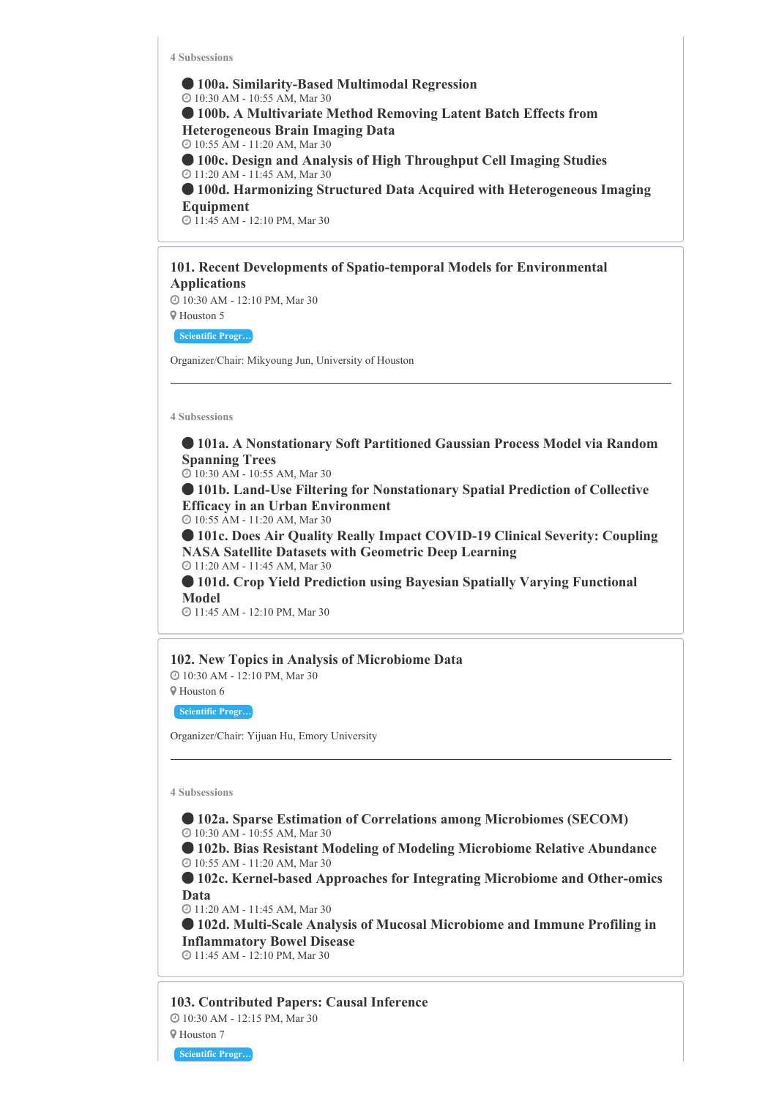**100a. Similarity-Based Multimodal Regression** 10:30 AM - 10:55 AM, Mar 30 **100b. A Multivariate Method Removing Latent Batch Effects from Heterogeneous Brain Imaging Data** 10:55 AM - 11:20 AM, Mar 30 **100c. Design and Analysis of High Throughput Cell Imaging Studies** 11:20 AM - 11:45 AM, Mar 30 **100d. Harmonizing Structured Data Acquired with Heterogeneous Imaging Equipment** 11:45 AM - 12:10 PM, Mar 30

**101. Recent Developments of Spatio-temporal Models for Environmental Applications**

 10:30 AM - 12:10 PM, Mar 30 Houston 5

**Scientific Progr…**

Organizer/Chair: Mikyoung Jun, University of Houston

**4 Subsessions**

 **101a. A Nonstationary Soft Partitioned Gaussian Process Model via Random Spanning Trees**

10:30 AM - 10:55 AM, Mar 30

 **101b. Land-Use Filtering for Nonstationary Spatial Prediction of Collective Efficacy in an Urban Environment**

10:55 AM - 11:20 AM, Mar 30

 **101c. Does Air Quality Really Impact COVID-19 Clinical Severity: Coupling NASA Satellite Datasets with Geometric Deep Learning** 11:20 AM - 11:45 AM, Mar 30

 **101d. Crop Yield Prediction using Bayesian Spatially Varying Functional Model**

11:45 AM - 12:10 PM, Mar 30

# **102. New Topics in Analysis of Microbiome Data**

 10:30 AM - 12:10 PM, Mar 30 Houston 6

**Scientific Progr…**

Organizer/Chair: Yijuan Hu, Emory University

**4 Subsessions**

 **102a. Sparse Estimation of Correlations among Microbiomes (SECOM)** 10:30 AM - 10:55 AM, Mar 30

 **102b. Bias Resistant Modeling of Modeling Microbiome Relative Abundance** 10:55 AM - 11:20 AM, Mar 30

 **102c. Kernel-based Approaches for Integrating Microbiome and Other-omics Data**

11:20 AM - 11:45 AM, Mar 30

 **102d. Multi-Scale Analysis of Mucosal Microbiome and Immune Profiling in Inflammatory Bowel Disease** 11:45 AM - 12:10 PM, Mar 30

**103. Contributed Papers: Causal Inference** 10:30 AM - 12:15 PM, Mar 30 Houston 7

**Scientific Progr…**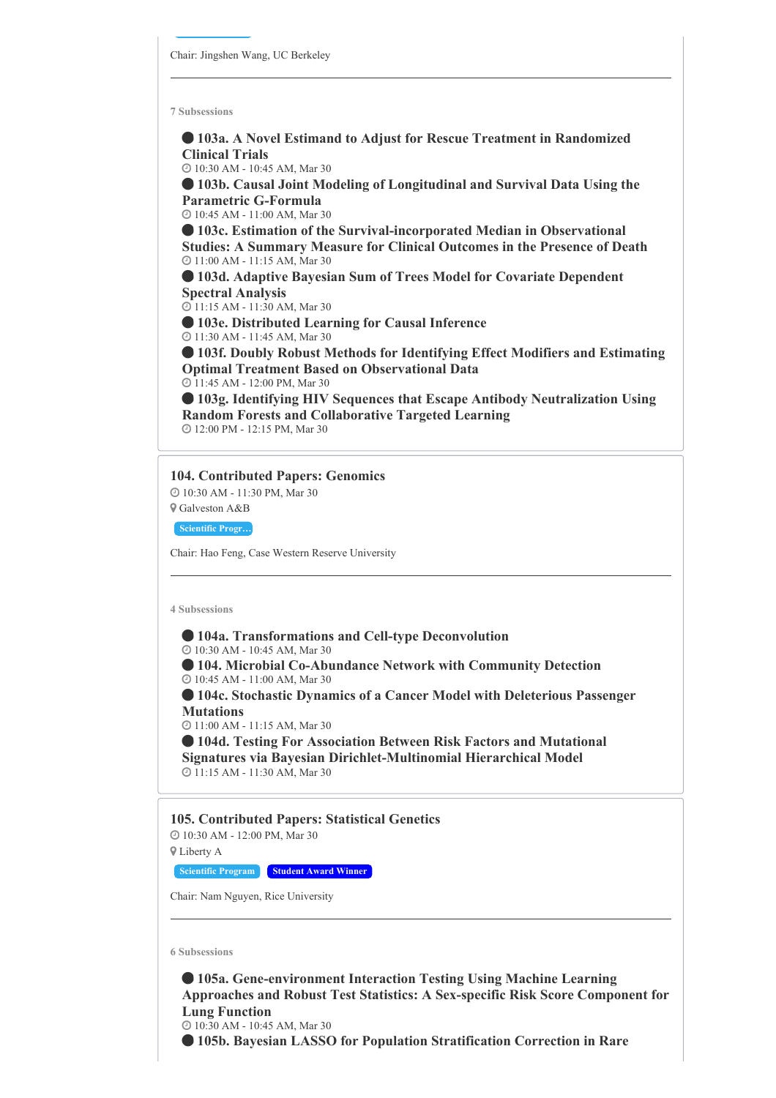**103a. A Novel Estimand to Adjust for Rescue Treatment in Randomized Clinical Trials**

10:30 AM - 10:45 AM, Mar 30

 **103b. Causal Joint Modeling of Longitudinal and Survival Data Using the Parametric G-Formula**

10:45 AM - 11:00 AM, Mar 30

 **103c. Estimation of the Survival-incorporated Median in Observational Studies: A Summary Measure for Clinical Outcomes in the Presence of Death** 11:00 AM - 11:15 AM, Mar 30

 **103d. Adaptive Bayesian Sum of Trees Model for Covariate Dependent Spectral Analysis**

11:15 AM - 11:30 AM, Mar 30

**103e. Distributed Learning for Causal Inference**

11:30 AM - 11:45 AM, Mar 30

 **103f. Doubly Robust Methods for Identifying Effect Modifiers and Estimating Optimal Treatment Based on Observational Data**

11:45 AM - 12:00 PM, Mar 30

 **103g. Identifying HIV Sequences that Escape Antibody Neutralization Using Random Forests and Collaborative Targeted Learning** 12:00 PM - 12:15 PM, Mar 30

# **104. Contributed Papers: Genomics**

 10:30 AM - 11:30 PM, Mar 30 Galveston A&B

**Scientific Progr…**

Chair: Hao Feng, Case Western Reserve University

**4 Subsessions**

# **104a. Transformations and Cell-type Deconvolution**

10:30 AM - 10:45 AM, Mar 30

 **104. Microbial Co-Abundance Network with Community Detection** 10:45 AM - 11:00 AM, Mar 30

 **104c. Stochastic Dynamics of a Cancer Model with Deleterious Passenger Mutations**

11:00 AM - 11:15 AM, Mar 30

 **104d. Testing For Association Between Risk Factors and Mutational Signatures via Bayesian Dirichlet-Multinomial Hierarchical Model** 11:15 AM - 11:30 AM, Mar 30

**105. Contributed Papers: Statistical Genetics**

 10:30 AM - 12:00 PM, Mar 30 Liberty A

**Scientific Program Student Award Winner**

Chair: Nam Nguyen, Rice University

**6 Subsessions**

 **105a. Gene-environment Interaction Testing Using Machine Learning Approaches and Robust Test Statistics: A Sex-specific Risk Score Component for Lung Function**

10:30 AM - 10:45 AM, Mar 30

**105b. Bayesian LASSO for Population Stratification Correction in Rare**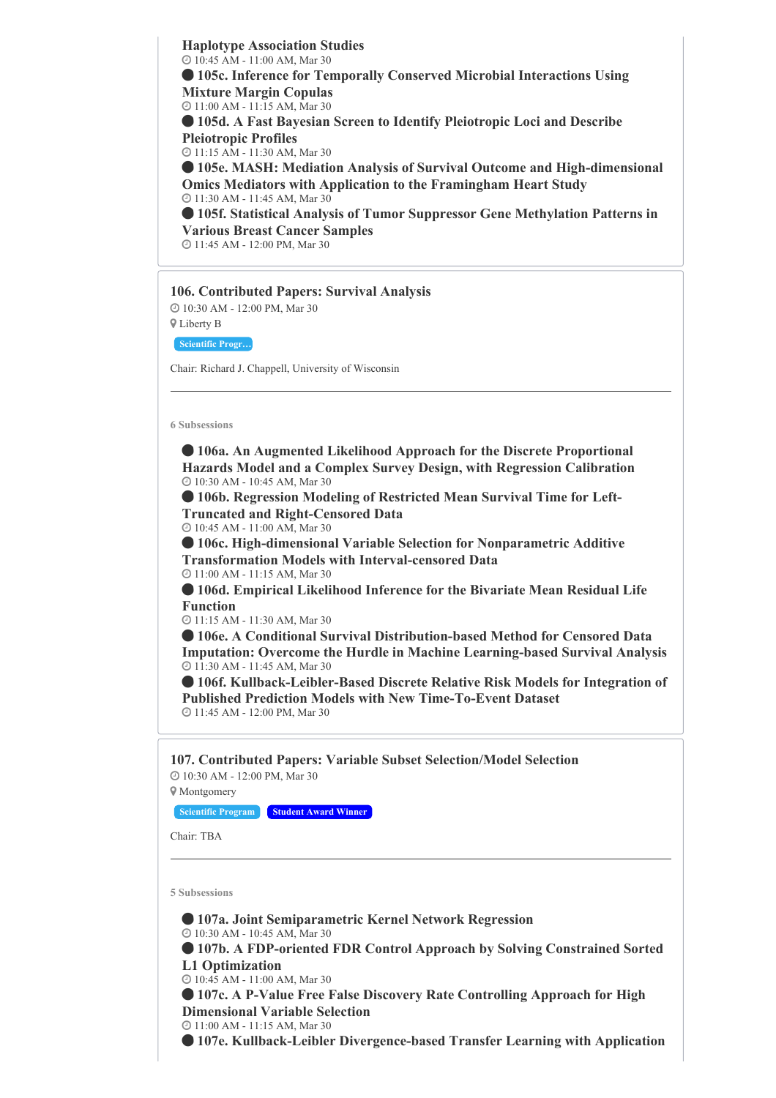**Haplotype Association Studies** 10:45 AM - 11:00 AM, Mar 30

 **105c. Inference for Temporally Conserved Microbial Interactions Using Mixture Margin Copulas**

11:00 AM - 11:15 AM, Mar 30

 **105d. A Fast Bayesian Screen to Identify Pleiotropic Loci and Describe Pleiotropic Profiles**

11:15 AM - 11:30 AM, Mar 30

 **105e. MASH: Mediation Analysis of Survival Outcome and High-dimensional Omics Mediators with Application to the Framingham Heart Study** 11:30 AM - 11:45 AM, Mar 30

 **105f. Statistical Analysis of Tumor Suppressor Gene Methylation Patterns in Various Breast Cancer Samples**

11:45 AM - 12:00 PM, Mar 30

# **106. Contributed Papers: Survival Analysis**

 10:30 AM - 12:00 PM, Mar 30 Liberty B

**Scientific Progr…**

Chair: Richard J. Chappell, University of Wisconsin

**6 Subsessions**

 **106a. An Augmented Likelihood Approach for the Discrete Proportional Hazards Model and a Complex Survey Design, with Regression Calibration** 10:30 AM - 10:45 AM, Mar 30

 **106b. Regression Modeling of Restricted Mean Survival Time for Left-Truncated and Right-Censored Data**

10:45 AM - 11:00 AM, Mar 30

 **106c. High-dimensional Variable Selection for Nonparametric Additive Transformation Models with Interval-censored Data** 11:00 AM - 11:15 AM, Mar 30

 **106d. Empirical Likelihood Inference for the Bivariate Mean Residual Life Function**

11:15 AM - 11:30 AM, Mar 30

 **106e. A Conditional Survival Distribution-based Method for Censored Data Imputation: Overcome the Hurdle in Machine Learning-based Survival Analysis** 11:30 AM - 11:45 AM, Mar 30

 **106f. Kullback-Leibler-Based Discrete Relative Risk Models for Integration of Published Prediction Models with New Time-To-Event Dataset** 11:45 AM - 12:00 PM, Mar 30

**107. Contributed Papers: Variable Subset Selection/Model Selection** 10:30 AM - 12:00 PM, Mar 30

Montgomery

**Scientific Program Student Award Winner**

Chair: TBA

**5 Subsessions**

 **107a. Joint Semiparametric Kernel Network Regression** 10:30 AM - 10:45 AM, Mar 30

 **107b. A FDP-oriented FDR Control Approach by Solving Constrained Sorted L1 Optimization**

10:45 AM - 11:00 AM, Mar 30

 **107c. A P-Value Free False Discovery Rate Controlling Approach for High Dimensional Variable Selection**

11:00 AM - 11:15 AM, Mar 30

**107e. Kullback-Leibler Divergence-based Transfer Learning with Application**